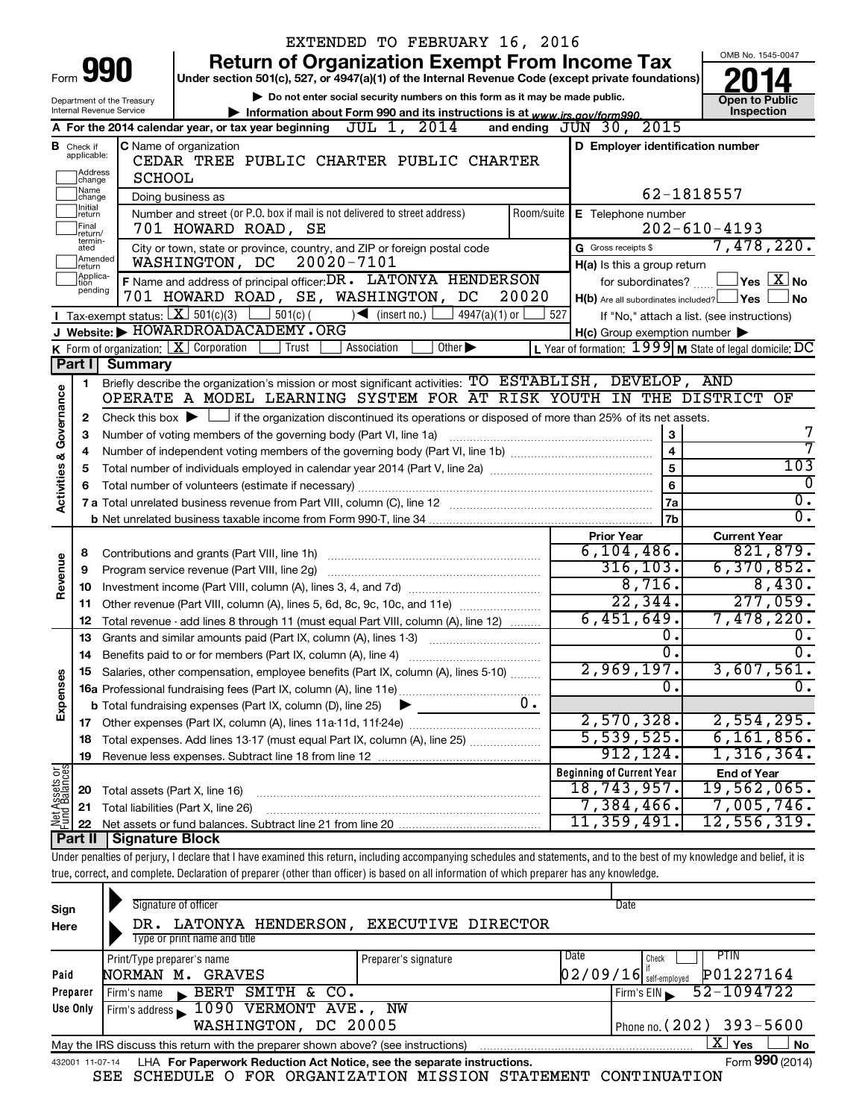|                         |                               |                                                                        | EXTENDED TO FEBRUARY 16, 2016                                                                                                                                              |            |                                                     |                                                         |  |  |  |  |
|-------------------------|-------------------------------|------------------------------------------------------------------------|----------------------------------------------------------------------------------------------------------------------------------------------------------------------------|------------|-----------------------------------------------------|---------------------------------------------------------|--|--|--|--|
|                         |                               |                                                                        | <b>Return of Organization Exempt From Income Tax</b>                                                                                                                       |            |                                                     | OMB No. 1545-0047                                       |  |  |  |  |
|                         |                               | 990                                                                    | Under section 501(c), 527, or 4947(a)(1) of the Internal Revenue Code (except private foundations)                                                                         |            |                                                     |                                                         |  |  |  |  |
|                         |                               | Department of the Treasury                                             | Do not enter social security numbers on this form as it may be made public.                                                                                                |            |                                                     | <b>Open to Public</b>                                   |  |  |  |  |
|                         |                               | <b>Internal Revenue Service</b>                                        | Information about Form 990 and its instructions is at www.irs.gov/form990.                                                                                                 |            |                                                     | Inspection                                              |  |  |  |  |
|                         |                               |                                                                        | A For the 2014 calendar year, or tax year beginning $\overline{JUL}$ 1, $2014$                                                                                             |            | 2015<br>and ending $JUN$ 30,                        |                                                         |  |  |  |  |
|                         | <b>B</b> Check if applicable: |                                                                        | C Name of organization                                                                                                                                                     |            | D Employer identification number                    |                                                         |  |  |  |  |
|                         |                               |                                                                        | CEDAR TREE PUBLIC CHARTER PUBLIC CHARTER                                                                                                                                   |            |                                                     |                                                         |  |  |  |  |
|                         | Address<br> change<br>Name    | <b>SCHOOL</b>                                                          |                                                                                                                                                                            |            |                                                     |                                                         |  |  |  |  |
|                         | change<br>Initial             |                                                                        | Doing business as                                                                                                                                                          |            |                                                     | 62-1818557                                              |  |  |  |  |
|                         | return<br>Final               |                                                                        | Number and street (or P.O. box if mail is not delivered to street address)<br>701 HOWARD ROAD, SE                                                                          | Room/suite | E Telephone number                                  | $202 - 610 - 4193$                                      |  |  |  |  |
|                         | return/<br>termin-            |                                                                        |                                                                                                                                                                            |            | G Gross receipts \$                                 | 7,478,220.                                              |  |  |  |  |
|                         | ated<br>Amended               |                                                                        | City or town, state or province, country, and ZIP or foreign postal code<br>20020-7101<br>WASHINGTON, DC                                                                   |            |                                                     |                                                         |  |  |  |  |
|                         | Ireturn<br>Applica-<br>Ition  |                                                                        | F Name and address of principal officer: DR. LATONYA HENDERSON                                                                                                             |            | H(a) Is this a group return<br>for subordinates?    | $ {\mathsf Y}$ es $ \overline{{\mathsf X}} $ No         |  |  |  |  |
|                         | pending                       |                                                                        | 701 HOWARD ROAD, SE, WASHINGTON, DC<br>20020                                                                                                                               |            | $H(b)$ Are all subordinates included? $\Box$ Yes    | No                                                      |  |  |  |  |
|                         |                               |                                                                        | Tax-exempt status: $X \ 501(c)(3)$<br>$501(c)$ (<br>$\sqrt{\phantom{a}}$ (insert no.)<br>$4947(a)(1)$ or                                                                   | 527        |                                                     | If "No," attach a list. (see instructions)              |  |  |  |  |
|                         |                               |                                                                        | Website: MOWARDROADACADEMY.ORG                                                                                                                                             |            | $H(c)$ Group exemption number $\blacktriangleright$ |                                                         |  |  |  |  |
|                         |                               |                                                                        | K Form of organization: $X$ Corporation<br>Trust<br>Association<br>Other $\blacktriangleright$                                                                             |            |                                                     | L Year of formation: 1999 M State of legal domicile: DC |  |  |  |  |
|                         | Part II                       | Summary                                                                |                                                                                                                                                                            |            |                                                     |                                                         |  |  |  |  |
|                         | 1.                            |                                                                        | Briefly describe the organization's mission or most significant activities: TO ESTABLISH, DEVELOP, AND                                                                     |            |                                                     |                                                         |  |  |  |  |
| Activities & Governance |                               |                                                                        | OPERATE A MODEL LEARNING SYSTEM FOR AT RISK YOUTH IN THE DISTRICT OF                                                                                                       |            |                                                     |                                                         |  |  |  |  |
|                         | 2                             |                                                                        | Check this box $\blacktriangleright$ $\Box$ if the organization discontinued its operations or disposed of more than 25% of its net assets.                                |            |                                                     |                                                         |  |  |  |  |
|                         | З                             | 3<br>Number of voting members of the governing body (Part VI, line 1a) |                                                                                                                                                                            |            |                                                     |                                                         |  |  |  |  |
|                         |                               | $\overline{\mathbf{4}}$<br>$\overline{5}$                              |                                                                                                                                                                            |            |                                                     |                                                         |  |  |  |  |
|                         | 5                             | 103                                                                    |                                                                                                                                                                            |            |                                                     |                                                         |  |  |  |  |
|                         |                               |                                                                        |                                                                                                                                                                            |            | 6                                                   | 0                                                       |  |  |  |  |
|                         |                               |                                                                        |                                                                                                                                                                            |            | 7a                                                  | $\overline{0}$ .                                        |  |  |  |  |
|                         |                               |                                                                        |                                                                                                                                                                            |            | 7 <sub>b</sub>                                      | $\overline{0}$ .                                        |  |  |  |  |
|                         |                               |                                                                        |                                                                                                                                                                            |            | <b>Prior Year</b>                                   | <b>Current Year</b><br>821,879.                         |  |  |  |  |
|                         | 8                             |                                                                        |                                                                                                                                                                            |            | 6, 104, 486.<br>316, 103.                           | 6,370,852.                                              |  |  |  |  |
| Revenue                 | 9                             |                                                                        | Program service revenue (Part VIII, line 2g)                                                                                                                               |            | 8,716.                                              | 8,430.                                                  |  |  |  |  |
|                         | 10                            |                                                                        |                                                                                                                                                                            |            | 22, 344.                                            | 277,059.                                                |  |  |  |  |
|                         | 11                            |                                                                        | Other revenue (Part VIII, column (A), lines 5, 6d, 8c, 9c, 10c, and 11e)                                                                                                   |            | 6,451,649.                                          | 7,478,220.                                              |  |  |  |  |
|                         | 12<br>13                      |                                                                        | Total revenue - add lines 8 through 11 (must equal Part VIII, column (A), line 12)<br>Grants and similar amounts paid (Part IX, column (A), lines 1-3) <i></i>             |            | 0.                                                  | υ.                                                      |  |  |  |  |
|                         |                               |                                                                        |                                                                                                                                                                            |            | $\overline{0}$ .                                    | σ.                                                      |  |  |  |  |
|                         | 15                            |                                                                        | Salaries, other compensation, employee benefits (Part IX, column (A), lines 5-10)                                                                                          |            | 2,969,197.                                          | 3,607,561.                                              |  |  |  |  |
| Expenses                |                               |                                                                        |                                                                                                                                                                            |            | 0.                                                  | δ.                                                      |  |  |  |  |
|                         |                               |                                                                        | 0.<br><b>b</b> Total fundraising expenses (Part IX, column (D), line 25)                                                                                                   |            |                                                     |                                                         |  |  |  |  |
|                         |                               |                                                                        |                                                                                                                                                                            |            | 2,570,328.                                          | 2,554,295.                                              |  |  |  |  |
|                         | 18                            |                                                                        | Total expenses. Add lines 13-17 (must equal Part IX, column (A), line 25)                                                                                                  |            | $\overline{5,539,525.}$                             | 6, 161, 856.                                            |  |  |  |  |
|                         | 19                            |                                                                        |                                                                                                                                                                            |            | 912, 124.                                           | 1,316,364.                                              |  |  |  |  |
| Net Assets or           |                               |                                                                        |                                                                                                                                                                            |            | <b>Beginning of Current Year</b>                    | <b>End of Year</b>                                      |  |  |  |  |
|                         | 20                            | Total assets (Part X, line 16)                                         |                                                                                                                                                                            |            | 18,743,957.                                         | 19,562,065.                                             |  |  |  |  |
|                         | 21                            |                                                                        | Total liabilities (Part X, line 26)                                                                                                                                        |            | 7,384,466.                                          | $7,005,746$ .                                           |  |  |  |  |
|                         | 22                            |                                                                        |                                                                                                                                                                            |            | 11,359,491.                                         | 12,556,319.                                             |  |  |  |  |
|                         | Part II                       | <b>Signature Block</b>                                                 |                                                                                                                                                                            |            |                                                     |                                                         |  |  |  |  |
|                         |                               |                                                                        | Under penalties of perjury, I declare that I have examined this return, including accompanying schedules and statements, and to the best of my knowledge and belief, it is |            |                                                     |                                                         |  |  |  |  |
|                         |                               |                                                                        | true, correct, and complete. Declaration of preparer (other than officer) is based on all information of which preparer has any knowledge.                                 |            |                                                     |                                                         |  |  |  |  |
|                         |                               |                                                                        |                                                                                                                                                                            |            |                                                     |                                                         |  |  |  |  |
| Sign                    |                               |                                                                        | Signature of officer                                                                                                                                                       |            | Date                                                |                                                         |  |  |  |  |
| Here                    |                               |                                                                        | DR. LATONYA HENDERSON, EXECUTIVE DIRECTOR                                                                                                                                  |            |                                                     |                                                         |  |  |  |  |

| Here                                                                                                              | DR. DATUNIA HENDERSUN, EAECUIIVE DIRECTUR                                                                    |                      |      |                          |                |  |  |  |  |  |
|-------------------------------------------------------------------------------------------------------------------|--------------------------------------------------------------------------------------------------------------|----------------------|------|--------------------------|----------------|--|--|--|--|--|
|                                                                                                                   | Type or print name and title                                                                                 |                      |      |                          |                |  |  |  |  |  |
|                                                                                                                   | Print/Type preparer's name                                                                                   | Preparer's signature | Date | Check                    | PTIN           |  |  |  |  |  |
| Paid                                                                                                              | NORMAN M. GRAVES                                                                                             |                      |      | $02/09/16$ self-employed | P01227164      |  |  |  |  |  |
| Preparer                                                                                                          | BERT SMITH & CO.<br>I Firm's name                                                                            |                      |      | Firm's EIN               | $52 - 1094722$ |  |  |  |  |  |
| Use Only                                                                                                          | Firm's address 1090 VERMONT AVE., NW                                                                         |                      |      |                          |                |  |  |  |  |  |
|                                                                                                                   | WASHINGTON, DC 20005<br>Phone no. (202) 393-5600                                                             |                      |      |                          |                |  |  |  |  |  |
| х<br><b>No</b><br><b>Yes</b><br>May the IRS discuss this return with the preparer shown above? (see instructions) |                                                                                                              |                      |      |                          |                |  |  |  |  |  |
|                                                                                                                   | Form 990 (2014)<br>LHA For Paperwork Reduction Act Notice, see the separate instructions.<br>432001 11-07-14 |                      |      |                          |                |  |  |  |  |  |

SEE SCHEDULE O FOR ORGANIZATION MISSION STATEMENT CONTINUATION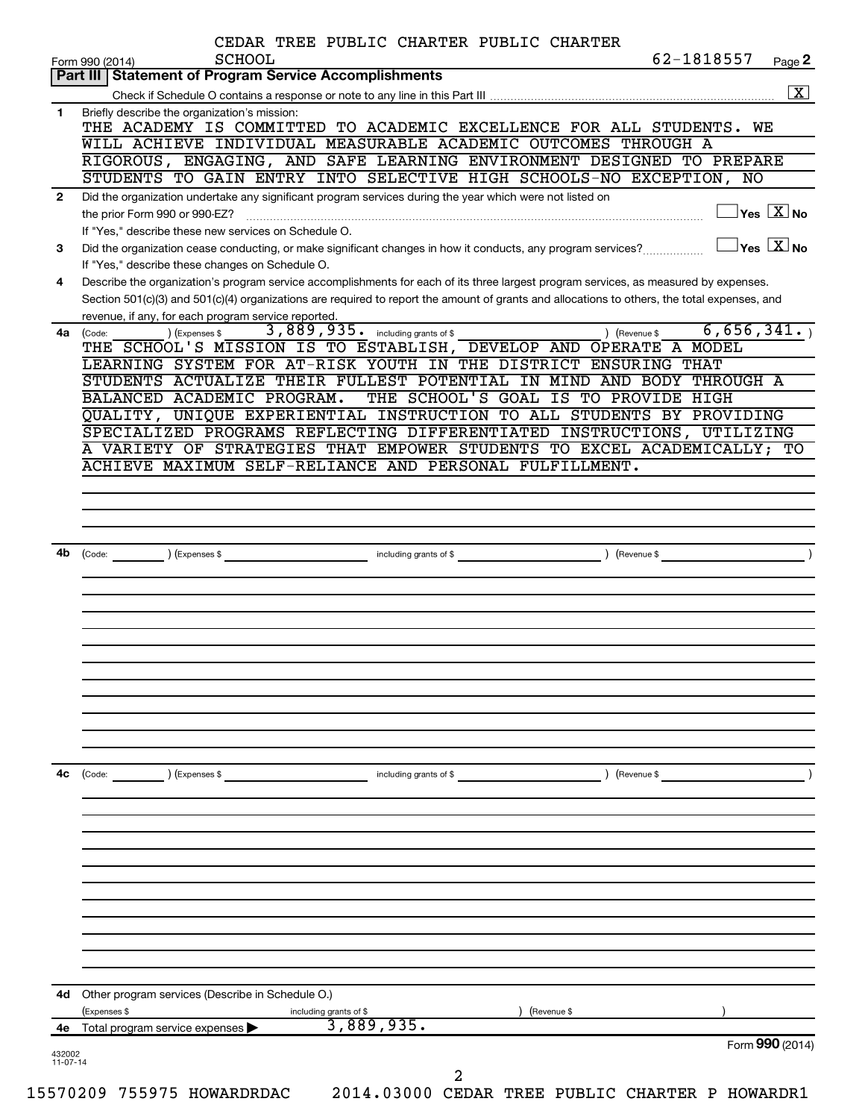|              | CEDAR TREE PUBLIC CHARTER PUBLIC CHARTER<br>62-1818557<br><b>SCHOOL</b><br>Form 990 (2014)                                                                                              | Page 2                                    |
|--------------|-----------------------------------------------------------------------------------------------------------------------------------------------------------------------------------------|-------------------------------------------|
|              | Part III   Statement of Program Service Accomplishments                                                                                                                                 |                                           |
|              |                                                                                                                                                                                         | $\boxed{\text{X}}$                        |
| 1.           | Briefly describe the organization's mission:<br>THE ACADEMY IS COMMITTED TO ACADEMIC EXCELLENCE FOR ALL STUDENTS. WE                                                                    |                                           |
|              | WILL ACHIEVE INDIVIDUAL MEASURABLE ACADEMIC OUTCOMES THROUGH A                                                                                                                          |                                           |
|              | RIGOROUS, ENGAGING, AND SAFE LEARNING ENVIRONMENT DESIGNED TO PREPARE                                                                                                                   |                                           |
|              | STUDENTS TO GAIN ENTRY INTO SELECTIVE HIGH SCHOOLS-NO EXCEPTION, NO                                                                                                                     |                                           |
| $\mathbf{2}$ | Did the organization undertake any significant program services during the year which were not listed on                                                                                |                                           |
|              | the prior Form 990 or 990-EZ?                                                                                                                                                           | $\overline{\ }$ Yes $\overline{\rm X}$ No |
|              | If "Yes," describe these new services on Schedule O.                                                                                                                                    |                                           |
| 3            | Did the organization cease conducting, or make significant changes in how it conducts, any program services?                                                                            | $\exists$ Yes $\boxed{\text{X}}$ No       |
|              | If "Yes," describe these changes on Schedule O.<br>Describe the organization's program service accomplishments for each of its three largest program services, as measured by expenses. |                                           |
| 4            | Section 501(c)(3) and 501(c)(4) organizations are required to report the amount of grants and allocations to others, the total expenses, and                                            |                                           |
|              | revenue, if any, for each program service reported.                                                                                                                                     |                                           |
| 4a           | 3,889,935. including grants of \$<br>) (Revenue \$<br>(Expenses \$<br>(Code:                                                                                                            | 6,656,341.                                |
|              | THE SCHOOL'S MISSION IS TO ESTABLISH, DEVELOP AND OPERATE A MODEL                                                                                                                       |                                           |
|              | LEARNING SYSTEM FOR AT-RISK YOUTH IN THE DISTRICT ENSURING THAT                                                                                                                         |                                           |
|              | STUDENTS ACTUALIZE THEIR FULLEST POTENTIAL IN MIND AND BODY THROUGH A                                                                                                                   |                                           |
|              | BALANCED ACADEMIC PROGRAM.<br>THE SCHOOL'S GOAL IS TO PROVIDE HIGH                                                                                                                      |                                           |
|              | QUALITY, UNIQUE EXPERIENTIAL INSTRUCTION TO ALL STUDENTS BY PROVIDING<br>SPECIALIZED PROGRAMS REFLECTING DIFFERENTIATED INSTRUCTIONS, UTILIZING                                         |                                           |
|              | A VARIETY OF STRATEGIES THAT EMPOWER STUDENTS TO EXCEL ACADEMICALLY; TO                                                                                                                 |                                           |
|              | ACHIEVE MAXIMUM SELF-RELIANCE AND PERSONAL FULFILLMENT.                                                                                                                                 |                                           |
|              |                                                                                                                                                                                         |                                           |
|              |                                                                                                                                                                                         |                                           |
|              |                                                                                                                                                                                         |                                           |
|              |                                                                                                                                                                                         |                                           |
| 4b           |                                                                                                                                                                                         |                                           |
|              |                                                                                                                                                                                         |                                           |
|              |                                                                                                                                                                                         |                                           |
|              |                                                                                                                                                                                         |                                           |
|              |                                                                                                                                                                                         |                                           |
|              |                                                                                                                                                                                         |                                           |
|              |                                                                                                                                                                                         |                                           |
|              |                                                                                                                                                                                         |                                           |
|              |                                                                                                                                                                                         |                                           |
|              |                                                                                                                                                                                         |                                           |
|              |                                                                                                                                                                                         |                                           |
|              |                                                                                                                                                                                         |                                           |
|              |                                                                                                                                                                                         |                                           |
| 4с           | (Code:<br>) (Expenses \$<br>including grants of \$<br>) (Revenue \$                                                                                                                     |                                           |
|              |                                                                                                                                                                                         |                                           |
|              |                                                                                                                                                                                         |                                           |
|              |                                                                                                                                                                                         |                                           |
|              |                                                                                                                                                                                         |                                           |
|              |                                                                                                                                                                                         |                                           |
|              |                                                                                                                                                                                         |                                           |
|              |                                                                                                                                                                                         |                                           |
|              |                                                                                                                                                                                         |                                           |
|              |                                                                                                                                                                                         |                                           |
|              |                                                                                                                                                                                         |                                           |
|              |                                                                                                                                                                                         |                                           |
|              | 4d Other program services (Describe in Schedule O.)                                                                                                                                     |                                           |
| 4е           | (Expenses \$<br>(Revenue \$<br>including grants of \$<br>3,889,935.                                                                                                                     |                                           |
| 432002       | Total program service expenses >                                                                                                                                                        | Form 990 (2014)                           |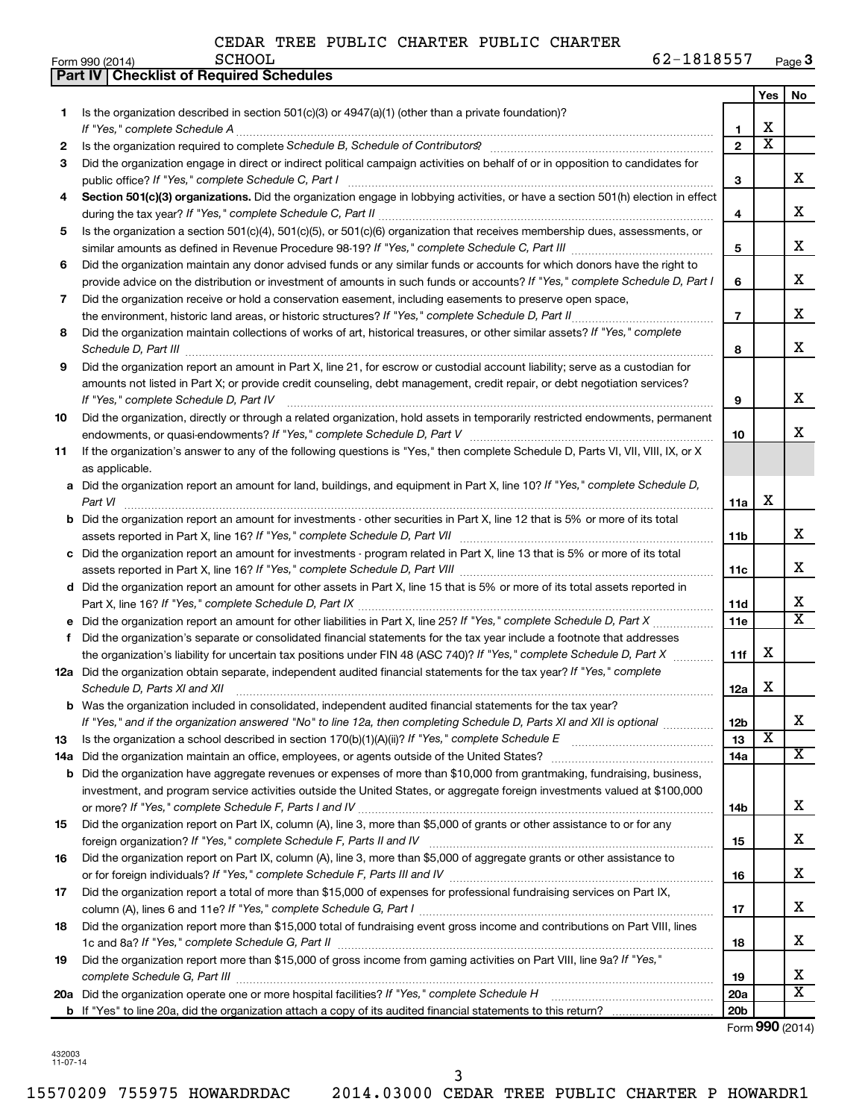|     | Part IV   Checklist of Required Schedules                                                                                                                                                                                                                                                                                                                           |                       |                         |                         |
|-----|---------------------------------------------------------------------------------------------------------------------------------------------------------------------------------------------------------------------------------------------------------------------------------------------------------------------------------------------------------------------|-----------------------|-------------------------|-------------------------|
|     |                                                                                                                                                                                                                                                                                                                                                                     |                       | Yes                     | No                      |
| 1   | Is the organization described in section 501(c)(3) or $4947(a)(1)$ (other than a private foundation)?                                                                                                                                                                                                                                                               |                       |                         |                         |
|     |                                                                                                                                                                                                                                                                                                                                                                     | 1                     | х                       |                         |
| 2   |                                                                                                                                                                                                                                                                                                                                                                     | $\overline{2}$        | $\overline{\textbf{x}}$ |                         |
| 3   | Did the organization engage in direct or indirect political campaign activities on behalf of or in opposition to candidates for                                                                                                                                                                                                                                     |                       |                         |                         |
|     |                                                                                                                                                                                                                                                                                                                                                                     | 3                     |                         | x                       |
| 4   | Section 501(c)(3) organizations. Did the organization engage in lobbying activities, or have a section 501(h) election in effect                                                                                                                                                                                                                                    |                       |                         |                         |
|     |                                                                                                                                                                                                                                                                                                                                                                     | 4                     |                         | x                       |
| 5   | Is the organization a section 501(c)(4), 501(c)(5), or 501(c)(6) organization that receives membership dues, assessments, or                                                                                                                                                                                                                                        |                       |                         |                         |
|     |                                                                                                                                                                                                                                                                                                                                                                     | 5                     |                         | x                       |
| 6   | Did the organization maintain any donor advised funds or any similar funds or accounts for which donors have the right to                                                                                                                                                                                                                                           |                       |                         |                         |
|     | provide advice on the distribution or investment of amounts in such funds or accounts? If "Yes," complete Schedule D, Part I                                                                                                                                                                                                                                        | 6                     |                         | x                       |
|     |                                                                                                                                                                                                                                                                                                                                                                     |                       |                         |                         |
| 7   | Did the organization receive or hold a conservation easement, including easements to preserve open space,                                                                                                                                                                                                                                                           |                       |                         | x                       |
|     | the environment, historic land areas, or historic structures? If "Yes," complete Schedule D, Part II                                                                                                                                                                                                                                                                | $\overline{7}$        |                         |                         |
| 8   | Did the organization maintain collections of works of art, historical treasures, or other similar assets? If "Yes," complete<br>Schedule D, Part III <b>Marting Communities</b> and the contract of the contract of the contract of the contract of the contract of the contract of the contract of the contract of the contract of the contract of the contract of | 8                     |                         | x                       |
| 9   | Did the organization report an amount in Part X, line 21, for escrow or custodial account liability; serve as a custodian for                                                                                                                                                                                                                                       |                       |                         |                         |
|     | amounts not listed in Part X; or provide credit counseling, debt management, credit repair, or debt negotiation services?                                                                                                                                                                                                                                           |                       |                         |                         |
|     | If "Yes." complete Schedule D, Part IV                                                                                                                                                                                                                                                                                                                              | 9                     |                         | х                       |
| 10  | Did the organization, directly or through a related organization, hold assets in temporarily restricted endowments, permanent                                                                                                                                                                                                                                       |                       |                         |                         |
|     |                                                                                                                                                                                                                                                                                                                                                                     | 10                    |                         | x                       |
| 11  | If the organization's answer to any of the following questions is "Yes," then complete Schedule D, Parts VI, VII, VIII, IX, or X                                                                                                                                                                                                                                    |                       |                         |                         |
|     | as applicable.                                                                                                                                                                                                                                                                                                                                                      |                       |                         |                         |
|     | a Did the organization report an amount for land, buildings, and equipment in Part X, line 10? If "Yes," complete Schedule D,                                                                                                                                                                                                                                       |                       |                         |                         |
|     | Part VI                                                                                                                                                                                                                                                                                                                                                             | 11a                   | X                       |                         |
|     | <b>b</b> Did the organization report an amount for investments - other securities in Part X, line 12 that is 5% or more of its total                                                                                                                                                                                                                                |                       |                         |                         |
|     |                                                                                                                                                                                                                                                                                                                                                                     | 11 <sub>b</sub>       |                         | х                       |
|     | c Did the organization report an amount for investments - program related in Part X, line 13 that is 5% or more of its total                                                                                                                                                                                                                                        |                       |                         |                         |
|     |                                                                                                                                                                                                                                                                                                                                                                     | 11c                   |                         | х                       |
|     | d Did the organization report an amount for other assets in Part X, line 15 that is 5% or more of its total assets reported in                                                                                                                                                                                                                                      |                       |                         |                         |
|     |                                                                                                                                                                                                                                                                                                                                                                     | 11d                   |                         | x                       |
|     | Did the organization report an amount for other liabilities in Part X, line 25? If "Yes," complete Schedule D, Part X                                                                                                                                                                                                                                               | 11e                   |                         | $\overline{\texttt{x}}$ |
| f   | Did the organization's separate or consolidated financial statements for the tax year include a footnote that addresses                                                                                                                                                                                                                                             |                       |                         |                         |
|     | the organization's liability for uncertain tax positions under FIN 48 (ASC 740)? If "Yes," complete Schedule D, Part X                                                                                                                                                                                                                                              | 11f                   | х                       |                         |
|     | 12a Did the organization obtain separate, independent audited financial statements for the tax year? If "Yes," complete                                                                                                                                                                                                                                             |                       |                         |                         |
|     |                                                                                                                                                                                                                                                                                                                                                                     | 12a                   | х                       |                         |
|     | Schedule D, Parts XI and XII<br>Was the organization included in consolidated, independent audited financial statements for the tax year?                                                                                                                                                                                                                           |                       |                         |                         |
| b   |                                                                                                                                                                                                                                                                                                                                                                     |                       |                         | х                       |
|     | If "Yes," and if the organization answered "No" to line 12a, then completing Schedule D, Parts XI and XII is optional                                                                                                                                                                                                                                               | 12 <sub>b</sub><br>13 | X                       |                         |
| 13  |                                                                                                                                                                                                                                                                                                                                                                     | 14a                   |                         | x                       |
| 14a | Did the organization maintain an office, employees, or agents outside of the United States?                                                                                                                                                                                                                                                                         |                       |                         |                         |
| b   | Did the organization have aggregate revenues or expenses of more than \$10,000 from grantmaking, fundraising, business,                                                                                                                                                                                                                                             |                       |                         |                         |
|     | investment, and program service activities outside the United States, or aggregate foreign investments valued at \$100,000                                                                                                                                                                                                                                          |                       |                         | x                       |
|     |                                                                                                                                                                                                                                                                                                                                                                     | 14b                   |                         |                         |
| 15  | Did the organization report on Part IX, column (A), line 3, more than \$5,000 of grants or other assistance to or for any                                                                                                                                                                                                                                           |                       |                         | х                       |
|     |                                                                                                                                                                                                                                                                                                                                                                     | 15                    |                         |                         |
| 16  | Did the organization report on Part IX, column (A), line 3, more than \$5,000 of aggregate grants or other assistance to                                                                                                                                                                                                                                            |                       |                         |                         |
|     |                                                                                                                                                                                                                                                                                                                                                                     | 16                    |                         | x                       |
| 17  | Did the organization report a total of more than \$15,000 of expenses for professional fundraising services on Part IX,                                                                                                                                                                                                                                             |                       |                         |                         |
|     |                                                                                                                                                                                                                                                                                                                                                                     | 17                    |                         | x                       |
| 18  | Did the organization report more than \$15,000 total of fundraising event gross income and contributions on Part VIII, lines                                                                                                                                                                                                                                        |                       |                         |                         |
|     |                                                                                                                                                                                                                                                                                                                                                                     | 18                    |                         | x                       |
| 19  | Did the organization report more than \$15,000 of gross income from gaming activities on Part VIII, line 9a? If "Yes,"                                                                                                                                                                                                                                              |                       |                         |                         |
|     |                                                                                                                                                                                                                                                                                                                                                                     | 19                    |                         | x                       |
|     | 20a Did the organization operate one or more hospital facilities? If "Yes," complete Schedule H                                                                                                                                                                                                                                                                     | 20a                   |                         | X                       |
|     |                                                                                                                                                                                                                                                                                                                                                                     | 20 <sub>b</sub>       |                         |                         |

Form (2014) **990**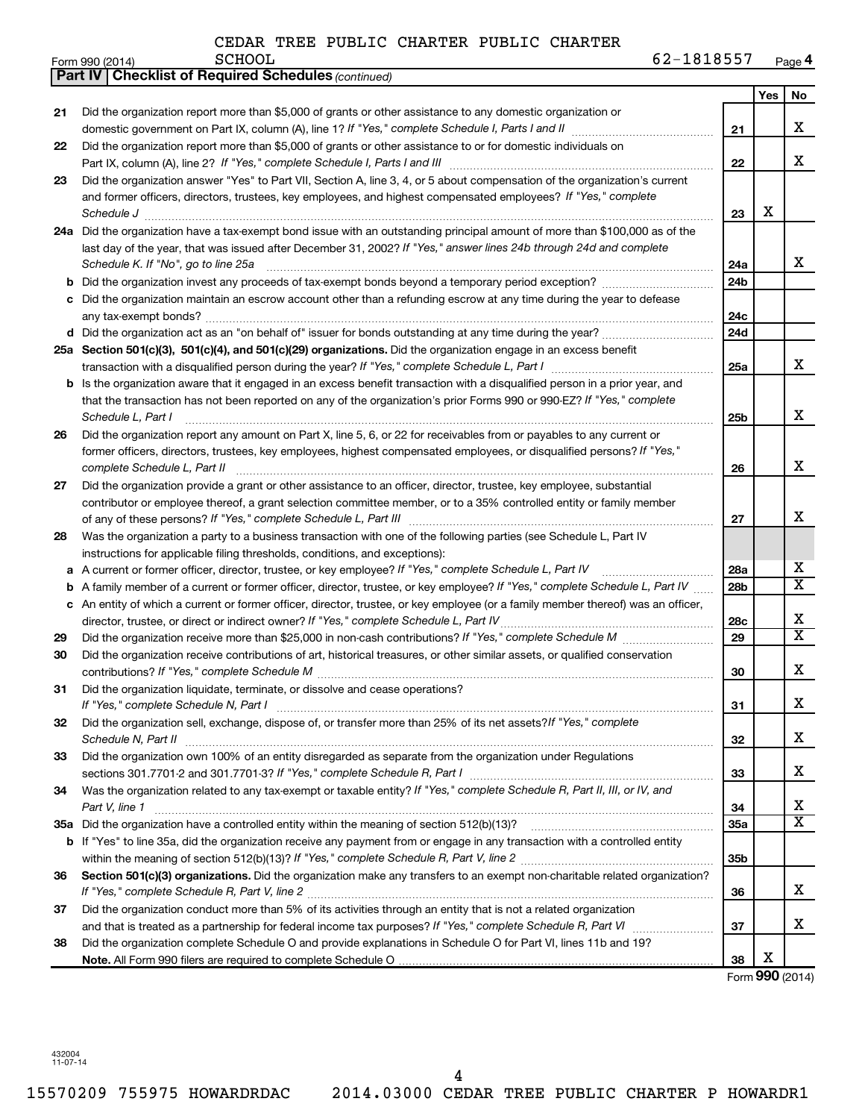|    | 62-1818557<br><b>SCHOOL</b><br>Form 990 (2014)                                                                                      |                 |            | Page 4                  |
|----|-------------------------------------------------------------------------------------------------------------------------------------|-----------------|------------|-------------------------|
|    | <b>Checklist of Required Schedules (continued)</b><br><b>Part IV I</b>                                                              |                 |            |                         |
|    |                                                                                                                                     |                 | <b>Yes</b> | No                      |
| 21 | Did the organization report more than \$5,000 of grants or other assistance to any domestic organization or                         |                 |            |                         |
|    |                                                                                                                                     | 21              |            | X                       |
| 22 | Did the organization report more than \$5,000 of grants or other assistance to or for domestic individuals on                       |                 |            |                         |
|    |                                                                                                                                     | 22              |            | X                       |
| 23 | Did the organization answer "Yes" to Part VII, Section A, line 3, 4, or 5 about compensation of the organization's current          |                 |            |                         |
|    | and former officers, directors, trustees, key employees, and highest compensated employees? If "Yes," complete                      |                 |            |                         |
|    | Schedule J <b>Execute Schedule J Execute Schedule J Execute Schedule J Execute Schedule J</b>                                       | 23              | X          |                         |
|    | 24a Did the organization have a tax-exempt bond issue with an outstanding principal amount of more than \$100,000 as of the         |                 |            |                         |
|    | last day of the year, that was issued after December 31, 2002? If "Yes," answer lines 24b through 24d and complete                  |                 |            |                         |
|    | Schedule K. If "No", go to line 25a                                                                                                 | 24a             |            | x                       |
|    | <b>b</b> Did the organization invest any proceeds of tax-exempt bonds beyond a temporary period exception?                          | 24 <sub>b</sub> |            |                         |
|    | c Did the organization maintain an escrow account other than a refunding escrow at any time during the year to defease              |                 |            |                         |
|    |                                                                                                                                     | 24c             |            |                         |
|    |                                                                                                                                     | 24d             |            |                         |
|    | 25a Section 501(c)(3), 501(c)(4), and 501(c)(29) organizations. Did the organization engage in an excess benefit                    |                 |            |                         |
|    |                                                                                                                                     | 25a             |            | X                       |
|    | <b>b</b> Is the organization aware that it engaged in an excess benefit transaction with a disqualified person in a prior year, and |                 |            |                         |
|    | that the transaction has not been reported on any of the organization's prior Forms 990 or 990-EZ? If "Yes," complete               |                 |            |                         |
|    | Schedule L, Part I                                                                                                                  | 25b             |            | X                       |
| 26 | Did the organization report any amount on Part X, line 5, 6, or 22 for receivables from or payables to any current or               |                 |            |                         |
|    | former officers, directors, trustees, key employees, highest compensated employees, or disqualified persons? If "Yes,"              |                 |            |                         |
|    | complete Schedule L, Part II                                                                                                        | 26              |            | X                       |
| 27 | Did the organization provide a grant or other assistance to an officer, director, trustee, key employee, substantial                |                 |            |                         |
|    | contributor or employee thereof, a grant selection committee member, or to a 35% controlled entity or family member                 |                 |            |                         |
|    |                                                                                                                                     | 27              |            | X                       |
| 28 | Was the organization a party to a business transaction with one of the following parties (see Schedule L, Part IV                   |                 |            |                         |
|    | instructions for applicable filing thresholds, conditions, and exceptions):                                                         |                 |            |                         |
|    | a A current or former officer, director, trustee, or key employee? If "Yes," complete Schedule L, Part IV                           | 28a             |            | х                       |
|    | <b>b</b> A family member of a current or former officer, director, trustee, or key employee? If "Yes," complete Schedule L, Part IV | 28 <sub>b</sub> |            | $\overline{\mathbf{x}}$ |
|    | c An entity of which a current or former officer, director, trustee, or key employee (or a family member thereof) was an officer,   |                 |            |                         |
|    | director, trustee, or direct or indirect owner? If "Yes," complete Schedule L, Part IV                                              | 28c             |            | X                       |
| 29 |                                                                                                                                     | 29              |            | $\overline{\mathbf{x}}$ |
| 30 | Did the organization receive contributions of art, historical treasures, or other similar assets, or qualified conservation         |                 |            |                         |
|    |                                                                                                                                     | 30              |            | X                       |
| 31 | Did the organization liquidate, terminate, or dissolve and cease operations?                                                        |                 |            |                         |
|    |                                                                                                                                     | 31              |            | X                       |
| 32 | Did the organization sell, exchange, dispose of, or transfer more than 25% of its net assets? If "Yes," complete                    |                 |            |                         |
|    |                                                                                                                                     | 32              |            | x                       |
| 33 | Did the organization own 100% of an entity disregarded as separate from the organization under Regulations                          |                 |            |                         |
|    |                                                                                                                                     | 33              |            | x                       |
| 34 | Was the organization related to any tax-exempt or taxable entity? If "Yes," complete Schedule R, Part II, III, or IV, and           |                 |            |                         |
|    | Part V, line 1                                                                                                                      | 34              |            | X                       |
|    |                                                                                                                                     | 35a             |            | $\overline{\mathbf{x}}$ |
|    | b If "Yes" to line 35a, did the organization receive any payment from or engage in any transaction with a controlled entity         |                 |            |                         |
|    |                                                                                                                                     | 35 <sub>b</sub> |            |                         |
| 36 | Section 501(c)(3) organizations. Did the organization make any transfers to an exempt non-charitable related organization?          |                 |            |                         |
|    |                                                                                                                                     | 36              |            | x                       |
| 37 | Did the organization conduct more than 5% of its activities through an entity that is not a related organization                    |                 |            |                         |
|    |                                                                                                                                     | 37              |            | x                       |
| 38 | Did the organization complete Schedule O and provide explanations in Schedule O for Part VI, lines 11b and 19?                      |                 |            |                         |
|    |                                                                                                                                     | 38              | X          |                         |

Form (2014) **990**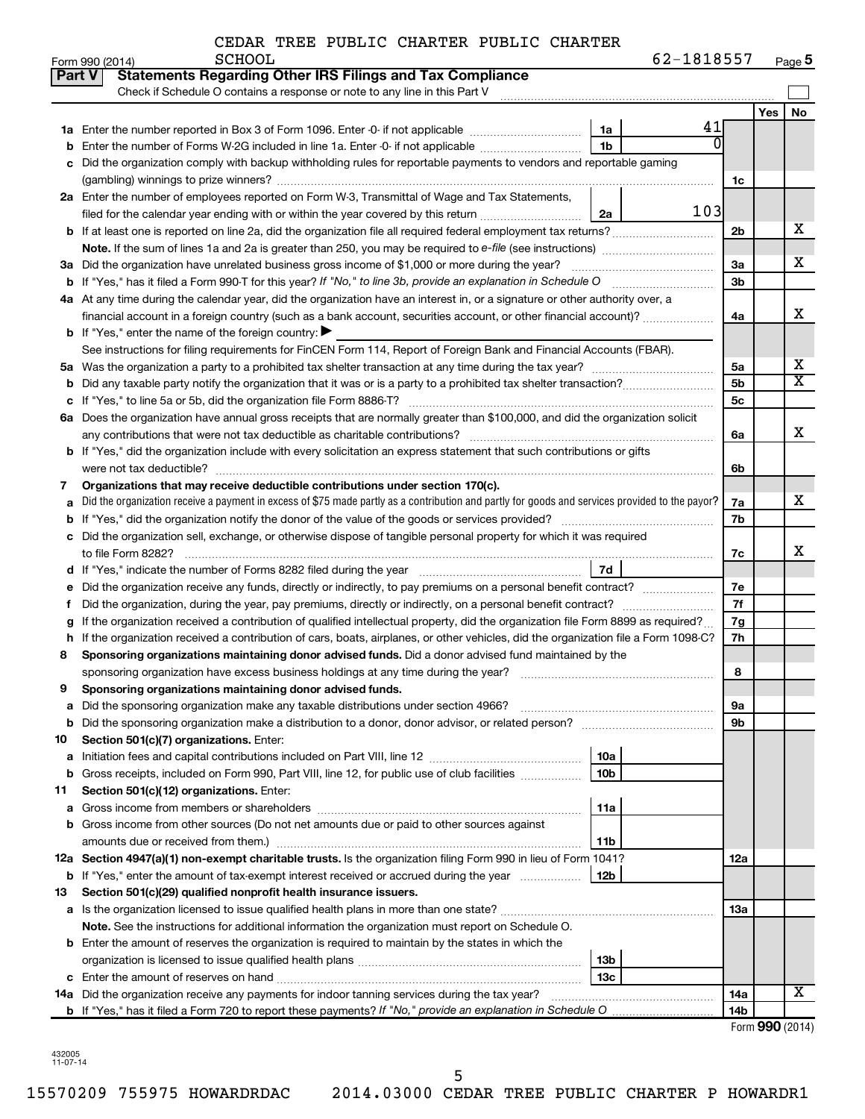| 62-1818557 | Page 5 |
|------------|--------|
|------------|--------|

|    | Form 990 (2014)<br><b>PCHOOT</b><br>$02 - 1818251$                                                                                              |                |     | Page 5                  |
|----|-------------------------------------------------------------------------------------------------------------------------------------------------|----------------|-----|-------------------------|
|    | <b>Statements Regarding Other IRS Filings and Tax Compliance</b><br>Part V                                                                      |                |     |                         |
|    | Check if Schedule O contains a response or note to any line in this Part V                                                                      |                |     |                         |
|    | 41                                                                                                                                              |                | Yes | No                      |
|    | 1a<br>0                                                                                                                                         |                |     |                         |
|    | 1b                                                                                                                                              |                |     |                         |
| c  | Did the organization comply with backup withholding rules for reportable payments to vendors and reportable gaming                              |                |     |                         |
|    |                                                                                                                                                 | 1c             |     |                         |
|    | 2a Enter the number of employees reported on Form W-3, Transmittal of Wage and Tax Statements,                                                  |                |     |                         |
|    | 103<br>2a                                                                                                                                       |                |     |                         |
|    |                                                                                                                                                 | 2b             |     | х                       |
|    |                                                                                                                                                 |                |     |                         |
|    | 3a Did the organization have unrelated business gross income of \$1,000 or more during the year?                                                | 3a             |     | х                       |
|    |                                                                                                                                                 | 3 <sub>b</sub> |     |                         |
|    | 4a At any time during the calendar year, did the organization have an interest in, or a signature or other authority over, a                    |                |     |                         |
|    | financial account in a foreign country (such as a bank account, securities account, or other financial account)?                                | 4a             |     | х                       |
|    | <b>b</b> If "Yes," enter the name of the foreign country: $\blacktriangleright$                                                                 |                |     |                         |
|    | See instructions for filing requirements for FinCEN Form 114, Report of Foreign Bank and Financial Accounts (FBAR).                             |                |     |                         |
|    |                                                                                                                                                 | 5a             |     | х                       |
| b  |                                                                                                                                                 | 5 <sub>b</sub> |     | $\overline{\textbf{X}}$ |
|    |                                                                                                                                                 | 5c             |     |                         |
|    | 6a Does the organization have annual gross receipts that are normally greater than \$100,000, and did the organization solicit                  |                |     |                         |
|    |                                                                                                                                                 | 6a             |     | х                       |
|    | <b>b</b> If "Yes," did the organization include with every solicitation an express statement that such contributions or gifts                   |                |     |                         |
|    |                                                                                                                                                 | 6b             |     |                         |
| 7  | Organizations that may receive deductible contributions under section 170(c).                                                                   |                |     |                         |
| a  | Did the organization receive a payment in excess of \$75 made partly as a contribution and partly for goods and services provided to the payor? | 7a             |     | х                       |
| b  |                                                                                                                                                 | 7b             |     |                         |
| c  | Did the organization sell, exchange, or otherwise dispose of tangible personal property for which it was required                               |                |     |                         |
|    |                                                                                                                                                 | 7c             |     | х                       |
|    | 7d                                                                                                                                              |                |     |                         |
| е  | Did the organization receive any funds, directly or indirectly, to pay premiums on a personal benefit contract?                                 | 7e             |     |                         |
| Ť. |                                                                                                                                                 | 7f             |     |                         |
| g  | If the organization received a contribution of qualified intellectual property, did the organization file Form 8899 as required?                | 7g             |     |                         |
|    | h If the organization received a contribution of cars, boats, airplanes, or other vehicles, did the organization file a Form 1098-C?            | 7h             |     |                         |
| 8  | Sponsoring organizations maintaining donor advised funds. Did a donor advised fund maintained by the                                            |                |     |                         |
|    |                                                                                                                                                 | 8              |     |                         |
|    | Sponsoring organizations maintaining donor advised funds.                                                                                       |                |     |                         |
|    |                                                                                                                                                 | 9а             |     |                         |
| b  |                                                                                                                                                 | 9b             |     |                         |
| 10 | Section 501(c)(7) organizations. Enter:                                                                                                         |                |     |                         |
| а  | 10a                                                                                                                                             |                |     |                         |
| b  | Gross receipts, included on Form 990, Part VIII, line 12, for public use of club facilities<br>10b                                              |                |     |                         |
| 11 | Section 501(c)(12) organizations. Enter:                                                                                                        |                |     |                         |
| а  | 11a                                                                                                                                             |                |     |                         |
| b  | Gross income from other sources (Do not net amounts due or paid to other sources against                                                        |                |     |                         |
|    | 11b                                                                                                                                             |                |     |                         |
|    | 12a Section 4947(a)(1) non-exempt charitable trusts. Is the organization filing Form 990 in lieu of Form 1041?                                  | 12a            |     |                         |
|    | 12 <sub>b</sub><br><b>b</b> If "Yes," enter the amount of tax-exempt interest received or accrued during the year                               |                |     |                         |
| 13 | Section 501(c)(29) qualified nonprofit health insurance issuers.                                                                                |                |     |                         |
| а  |                                                                                                                                                 | 13a            |     |                         |
|    | Note. See the instructions for additional information the organization must report on Schedule O.                                               |                |     |                         |
| b  | Enter the amount of reserves the organization is required to maintain by the states in which the                                                |                |     |                         |
|    | 13b                                                                                                                                             |                |     |                         |
|    | 13с                                                                                                                                             |                |     |                         |
|    | 14a Did the organization receive any payments for indoor tanning services during the tax year?                                                  | 14a            |     | X                       |
|    |                                                                                                                                                 | 14b            |     |                         |
|    |                                                                                                                                                 |                |     | Enrm $990(2014)$        |

Form (2014) **990**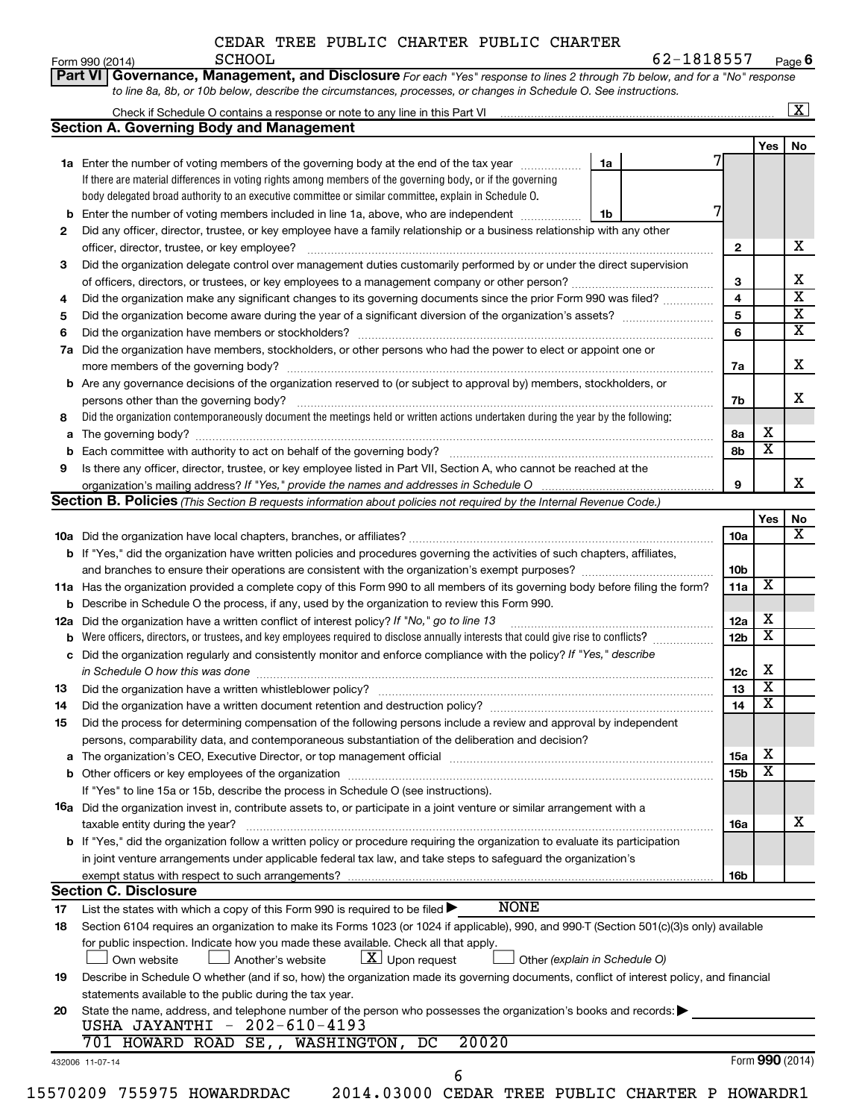| CEDAR TREE PUBLIC CHARTER PUBLIC CHARTER |  |  |
|------------------------------------------|--|--|
|                                          |  |  |

|     |                                                                                                                                                                                                             |    |   |                 |                         | $\boxed{\text{X}}$           |
|-----|-------------------------------------------------------------------------------------------------------------------------------------------------------------------------------------------------------------|----|---|-----------------|-------------------------|------------------------------|
|     | <b>Section A. Governing Body and Management</b>                                                                                                                                                             |    |   |                 |                         |                              |
|     |                                                                                                                                                                                                             |    |   |                 | Yes   No                |                              |
|     | 1a Enter the number of voting members of the governing body at the end of the tax year <i>manumum</i>                                                                                                       | 1a |   |                 |                         |                              |
|     | If there are material differences in voting rights among members of the governing body, or if the governing                                                                                                 |    |   |                 |                         |                              |
|     | body delegated broad authority to an executive committee or similar committee, explain in Schedule O.                                                                                                       |    | 7 |                 |                         |                              |
|     | <b>b</b> Enter the number of voting members included in line 1a, above, who are independent                                                                                                                 | 1b |   |                 |                         |                              |
| 2   | Did any officer, director, trustee, or key employee have a family relationship or a business relationship with any other                                                                                    |    |   |                 |                         |                              |
|     |                                                                                                                                                                                                             |    |   | $\mathbf{2}$    |                         | х                            |
| 3   | Did the organization delegate control over management duties customarily performed by or under the direct supervision                                                                                       |    |   |                 |                         |                              |
|     |                                                                                                                                                                                                             |    |   | 3               |                         | Х<br>$\overline{\mathbf{x}}$ |
| 4   | Did the organization make any significant changes to its governing documents since the prior Form 990 was filed?                                                                                            |    |   | 4               |                         | $\overline{\mathbf{x}}$      |
| 5   |                                                                                                                                                                                                             |    |   | 5               |                         | $\overline{\mathbf{X}}$      |
| 6   |                                                                                                                                                                                                             |    |   | 6               |                         |                              |
| 7a  | Did the organization have members, stockholders, or other persons who had the power to elect or appoint one or                                                                                              |    |   |                 |                         | х                            |
|     |                                                                                                                                                                                                             |    |   | 7a              |                         |                              |
|     | <b>b</b> Are any governance decisions of the organization reserved to (or subject to approval by) members, stockholders, or                                                                                 |    |   |                 |                         | x                            |
|     |                                                                                                                                                                                                             |    |   | 7b              |                         |                              |
| 8   | Did the organization contemporaneously document the meetings held or written actions undertaken during the year by the following:                                                                           |    |   |                 | х                       |                              |
| a   |                                                                                                                                                                                                             |    |   | 8а<br>8b        | $\overline{\mathbf{X}}$ |                              |
| 9   |                                                                                                                                                                                                             |    |   |                 |                         |                              |
|     | Is there any officer, director, trustee, or key employee listed in Part VII, Section A, who cannot be reached at the                                                                                        |    |   | 9               |                         |                              |
|     | Section B. Policies (This Section B requests information about policies not required by the Internal Revenue Code.)                                                                                         |    |   |                 |                         |                              |
|     |                                                                                                                                                                                                             |    |   |                 | Yes                     | No                           |
|     |                                                                                                                                                                                                             |    |   | <b>10a</b>      |                         |                              |
|     | b If "Yes," did the organization have written policies and procedures governing the activities of such chapters, affiliates,                                                                                |    |   |                 |                         |                              |
|     |                                                                                                                                                                                                             |    |   | 10b             |                         |                              |
|     | 11a Has the organization provided a complete copy of this Form 990 to all members of its governing body before filing the form?                                                                             |    |   | 11a             | X                       |                              |
|     | <b>b</b> Describe in Schedule O the process, if any, used by the organization to review this Form 990.                                                                                                      |    |   |                 |                         |                              |
| 12a | Did the organization have a written conflict of interest policy? If "No," go to line 13                                                                                                                     |    |   | 12a             | х                       |                              |
|     | <b>b</b> Were officers, directors, or trustees, and key employees required to disclose annually interests that could give rise to conflicts?                                                                |    |   | 12 <sub>b</sub> | $\overline{\textbf{x}}$ |                              |
|     | c Did the organization regularly and consistently monitor and enforce compliance with the policy? If "Yes," describe                                                                                        |    |   |                 |                         |                              |
|     | in Schedule O how this was done manufactured and continuum and contact the state of the state of the state of                                                                                               |    |   | 12c             | X                       |                              |
| 13  |                                                                                                                                                                                                             |    |   | 13              | $\overline{\mathbf{X}}$ |                              |
| 14  | Did the organization have a written document retention and destruction policy? [111] [12] manument content and the organization have a written document retention and destruction policy?                   |    |   | 14              | $\overline{\textbf{x}}$ |                              |
| 15  | Did the process for determining compensation of the following persons include a review and approval by independent                                                                                          |    |   |                 |                         |                              |
|     | persons, comparability data, and contemporaneous substantiation of the deliberation and decision?                                                                                                           |    |   |                 |                         |                              |
| a   | The organization's CEO, Executive Director, or top management official [111] [12] manuscription and an intervention of the organization's CEO, Executive Director, or top management official [11] $\ldots$ |    |   | 15a             | X                       |                              |
|     |                                                                                                                                                                                                             |    |   | 15b             | X                       |                              |
|     | If "Yes" to line 15a or 15b, describe the process in Schedule O (see instructions).                                                                                                                         |    |   |                 |                         |                              |
|     | 16a Did the organization invest in, contribute assets to, or participate in a joint venture or similar arrangement with a                                                                                   |    |   |                 |                         |                              |
|     | taxable entity during the year?                                                                                                                                                                             |    |   | 16a             |                         |                              |
|     | <b>b</b> If "Yes," did the organization follow a written policy or procedure requiring the organization to evaluate its participation                                                                       |    |   |                 |                         |                              |
|     | in joint venture arrangements under applicable federal tax law, and take steps to safeguard the organization's                                                                                              |    |   |                 |                         |                              |
|     | exempt status with respect to such arrangements?                                                                                                                                                            |    |   | 16b             |                         |                              |
|     | <b>Section C. Disclosure</b>                                                                                                                                                                                |    |   |                 |                         |                              |
| 17  | <b>NONE</b><br>List the states with which a copy of this Form 990 is required to be filed $\blacktriangleright$                                                                                             |    |   |                 |                         |                              |
| 18  | Section 6104 requires an organization to make its Forms 1023 (or 1024 if applicable), 990, and 990-T (Section 501(c)(3)s only) available                                                                    |    |   |                 |                         |                              |
|     | for public inspection. Indicate how you made these available. Check all that apply.                                                                                                                         |    |   |                 |                         |                              |
|     | $\lfloor x \rfloor$ Upon request<br>Another's website<br>Other (explain in Schedule O)<br>Own website                                                                                                       |    |   |                 |                         |                              |
| 19  | Describe in Schedule O whether (and if so, how) the organization made its governing documents, conflict of interest policy, and financial                                                                   |    |   |                 |                         |                              |
|     | statements available to the public during the tax year.                                                                                                                                                     |    |   |                 |                         |                              |
|     | State the name, address, and telephone number of the person who possesses the organization's books and records:<br>USHA JAYANTHI - 202-610-4193                                                             |    |   |                 |                         |                              |
| 20  |                                                                                                                                                                                                             |    |   |                 |                         |                              |
|     |                                                                                                                                                                                                             |    |   |                 |                         |                              |
|     | 20020<br>701 HOWARD ROAD SE,, WASHINGTON, DC<br>432006 11-07-14                                                                                                                                             |    |   |                 | Form 990 (2014)         |                              |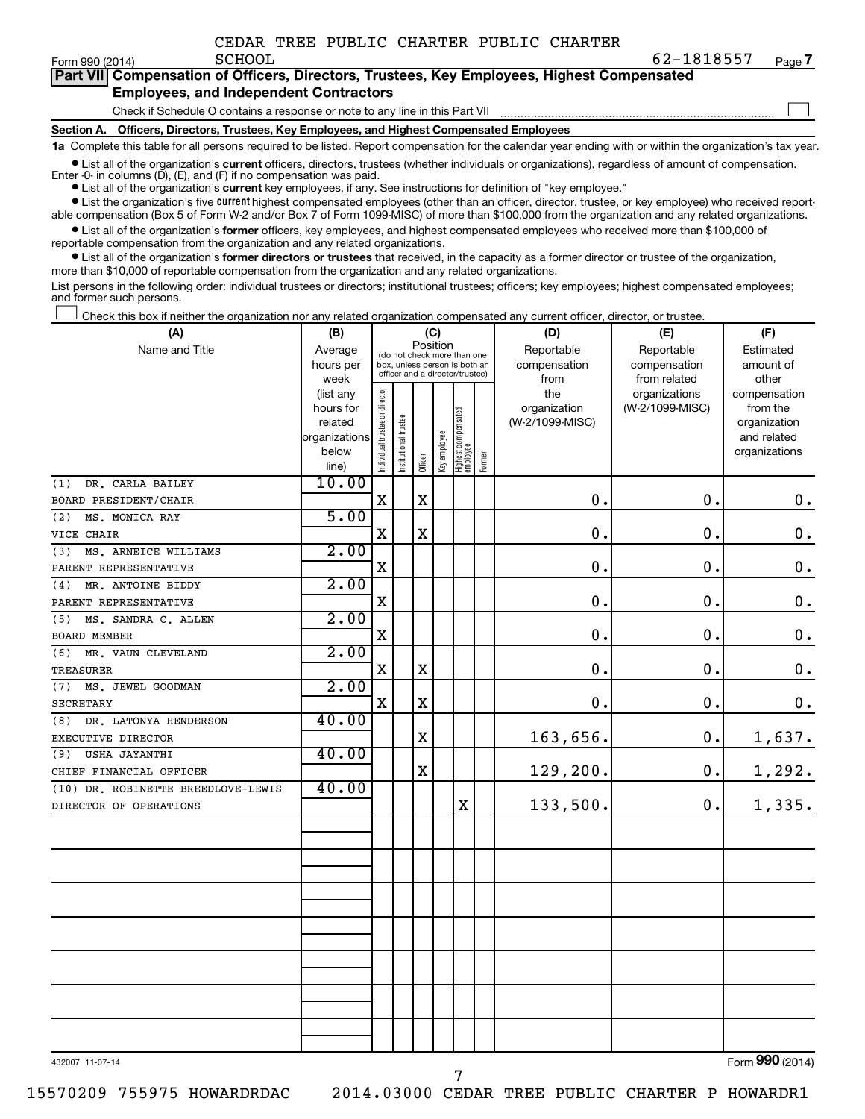| Form 990 (2014) |  |
|-----------------|--|
|-----------------|--|

 $\Box$ 

| Part VII Compensation of Officers, Directors, Trustees, Key Employees, Highest Compensated |  |
|--------------------------------------------------------------------------------------------|--|
| <b>Employees, and Independent Contractors</b>                                              |  |

Check if Schedule O contains a response or note to any line in this Part VII

**Section A. Officers, Directors, Trustees, Key Employees, and Highest Compensated Employees**

**1a**  Complete this table for all persons required to be listed. Report compensation for the calendar year ending with or within the organization's tax year.

**•** List all of the organization's current officers, directors, trustees (whether individuals or organizations), regardless of amount of compensation. Enter -0- in columns  $(D)$ ,  $(E)$ , and  $(F)$  if no compensation was paid.

**•** List all of the organization's **current** key employees, if any. See instructions for definition of "key employee."

**•** List the organization's five current highest compensated employees (other than an officer, director, trustee, or key employee) who received reportable compensation (Box 5 of Form W-2 and/or Box 7 of Form 1099-MISC) of more than \$100,000 from the organization and any related organizations.

**•** List all of the organization's former officers, key employees, and highest compensated employees who received more than \$100,000 of reportable compensation from the organization and any related organizations.

**•** List all of the organization's former directors or trustees that received, in the capacity as a former director or trustee of the organization, more than \$10,000 of reportable compensation from the organization and any related organizations.

List persons in the following order: individual trustees or directors; institutional trustees; officers; key employees; highest compensated employees; and former such persons.

Check this box if neither the organization nor any related organization compensated any current officer, director, or trustee.  $\Box$ 

| (A)                                | (C)<br>(B)             |                                         |                       |                                                                  |              |                                 |        | (D)             | (E)             | (F)                          |
|------------------------------------|------------------------|-----------------------------------------|-----------------------|------------------------------------------------------------------|--------------|---------------------------------|--------|-----------------|-----------------|------------------------------|
| Name and Title                     | Average                | Position<br>(do not check more than one |                       |                                                                  |              |                                 |        | Reportable      | Reportable      | Estimated                    |
|                                    | hours per              |                                         |                       | box, unless person is both an<br>officer and a director/trustee) |              |                                 |        | compensation    | compensation    | amount of                    |
|                                    | week                   |                                         |                       |                                                                  |              |                                 |        | from            | from related    | other                        |
|                                    | (list any              |                                         |                       |                                                                  |              |                                 |        | the             | organizations   | compensation                 |
|                                    | hours for              |                                         |                       |                                                                  |              |                                 |        | organization    | (W-2/1099-MISC) | from the                     |
|                                    | related                |                                         |                       |                                                                  |              |                                 |        | (W-2/1099-MISC) |                 | organization                 |
|                                    | organizations<br>below |                                         |                       |                                                                  |              |                                 |        |                 |                 | and related<br>organizations |
|                                    | line)                  | Individual trustee or director          | Institutional trustee | Officer                                                          | Key employee | Highest compensated<br>employee | Former |                 |                 |                              |
| DR. CARLA BAILEY<br>(1)            | 10.00                  |                                         |                       |                                                                  |              |                                 |        |                 |                 |                              |
| BOARD PRESIDENT/CHAIR              |                        | $\mathbf X$                             |                       | $\mathbf X$                                                      |              |                                 |        | 0.              | 0.              | $\mathbf 0$ .                |
| (2)<br>MS. MONICA RAY              | 5.00                   |                                         |                       |                                                                  |              |                                 |        |                 |                 |                              |
| VICE CHAIR                         |                        | $\mathbf X$                             |                       | X                                                                |              |                                 |        | $\mathbf 0$ .   | $\mathbf 0$ .   | $\mathbf 0$ .                |
| MS. ARNEICE WILLIAMS<br>(3)        | 2.00                   |                                         |                       |                                                                  |              |                                 |        |                 |                 |                              |
| PARENT REPRESENTATIVE              |                        | $\mathbf X$                             |                       |                                                                  |              |                                 |        | 0.              | 0.              | $\mathbf 0$ .                |
| MR. ANTOINE BIDDY<br>(4)           | 2.00                   |                                         |                       |                                                                  |              |                                 |        |                 |                 |                              |
| PARENT REPRESENTATIVE              |                        | $\mathbf x$                             |                       |                                                                  |              |                                 |        | 0.              | 0.              | $\mathbf 0$ .                |
| MS. SANDRA C. ALLEN<br>(5)         | 2.00                   |                                         |                       |                                                                  |              |                                 |        |                 |                 |                              |
| <b>BOARD MEMBER</b>                |                        | X                                       |                       |                                                                  |              |                                 |        | 0.              | 0.              | $\mathbf 0$ .                |
| MR. VAUN CLEVELAND<br>(6)          | 2.00                   |                                         |                       |                                                                  |              |                                 |        |                 |                 |                              |
| <b>TREASURER</b>                   |                        | X                                       |                       | X                                                                |              |                                 |        | $\mathbf 0$ .   | $\mathbf 0$ .   | $\mathbf 0$ .                |
| (7) MS. JEWEL GOODMAN              | 2.00                   |                                         |                       |                                                                  |              |                                 |        |                 |                 |                              |
| <b>SECRETARY</b>                   |                        | X                                       |                       | $\mathbf X$                                                      |              |                                 |        | 0.              | 0.              | $\mathbf 0$ .                |
| DR. LATONYA HENDERSON<br>(8)       | 40.00                  |                                         |                       |                                                                  |              |                                 |        |                 |                 |                              |
| EXECUTIVE DIRECTOR                 |                        |                                         |                       | X                                                                |              |                                 |        | 163,656.        | 0.              | 1,637.                       |
| (9) USHA JAYANTHI                  | 40.00                  |                                         |                       |                                                                  |              |                                 |        |                 |                 |                              |
| CHIEF FINANCIAL OFFICER            |                        |                                         |                       | $\mathbf X$                                                      |              |                                 |        | 129,200.        | 0.              | 1,292.                       |
| (10) DR. ROBINETTE BREEDLOVE-LEWIS | 40.00                  |                                         |                       |                                                                  |              |                                 |        |                 |                 |                              |
| DIRECTOR OF OPERATIONS             |                        |                                         |                       |                                                                  |              | $\mathbf X$                     |        | 133,500.        | $\mathbf 0$ .   | 1,335.                       |
|                                    |                        |                                         |                       |                                                                  |              |                                 |        |                 |                 |                              |
|                                    |                        |                                         |                       |                                                                  |              |                                 |        |                 |                 |                              |
|                                    |                        |                                         |                       |                                                                  |              |                                 |        |                 |                 |                              |
|                                    |                        |                                         |                       |                                                                  |              |                                 |        |                 |                 |                              |
|                                    |                        |                                         |                       |                                                                  |              |                                 |        |                 |                 |                              |
|                                    |                        |                                         |                       |                                                                  |              |                                 |        |                 |                 |                              |
|                                    |                        |                                         |                       |                                                                  |              |                                 |        |                 |                 |                              |
|                                    |                        |                                         |                       |                                                                  |              |                                 |        |                 |                 |                              |
|                                    |                        |                                         |                       |                                                                  |              |                                 |        |                 |                 |                              |
|                                    |                        |                                         |                       |                                                                  |              |                                 |        |                 |                 |                              |
|                                    |                        |                                         |                       |                                                                  |              |                                 |        |                 |                 |                              |
|                                    |                        |                                         |                       |                                                                  |              |                                 |        |                 |                 |                              |

7

432007 11-07-14

Form (2014) **990**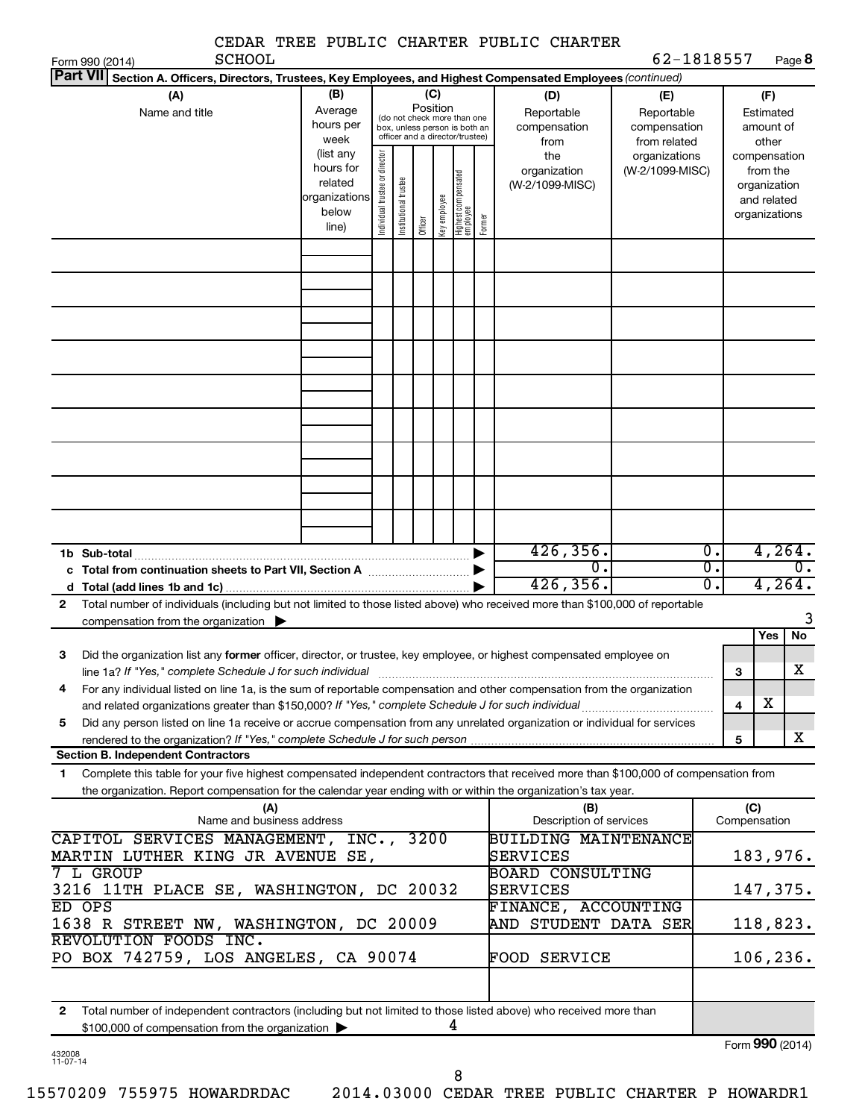| <b>SCHOOL</b>                                                                                                                                                                                                                                                                                                                   |                                                                                                                                                                                                                                                |                                |                       |         |              |                                 |                                                             | CEDAR TREE PUBLIC CHARTER PUBLIC CHARTER                   | 62-1818557      |                                                          |                                      |
|---------------------------------------------------------------------------------------------------------------------------------------------------------------------------------------------------------------------------------------------------------------------------------------------------------------------------------|------------------------------------------------------------------------------------------------------------------------------------------------------------------------------------------------------------------------------------------------|--------------------------------|-----------------------|---------|--------------|---------------------------------|-------------------------------------------------------------|------------------------------------------------------------|-----------------|----------------------------------------------------------|--------------------------------------|
| Form 990 (2014)<br><b>Part VII</b><br>Section A. Officers, Directors, Trustees, Key Employees, and Highest Compensated Employees (continued)                                                                                                                                                                                    |                                                                                                                                                                                                                                                |                                |                       |         |              |                                 |                                                             |                                                            |                 |                                                          | Page 8                               |
| (A)<br>Name and title                                                                                                                                                                                                                                                                                                           | (B)<br>(C)<br>(D)<br>(E)<br>Position<br>Average<br>Reportable<br>(do not check more than one<br>hours per<br>compensation<br>box, unless person is both an<br>officer and a director/trustee)<br>week<br>from<br>(list any<br>the<br>hours for |                                |                       |         |              |                                 | Reportable<br>compensation<br>from related<br>organizations | (F)<br>Estimated<br>amount of<br>other<br>compensation     |                 |                                                          |                                      |
|                                                                                                                                                                                                                                                                                                                                 | related<br>organizations<br>below<br>line)                                                                                                                                                                                                     | Individual trustee or director | Institutional trustee | Officer | Key employee | Highest compensated<br>employee | Former                                                      | organization<br>(W-2/1099-MISC)                            | (W-2/1099-MISC) | from the<br>organization<br>and related<br>organizations |                                      |
|                                                                                                                                                                                                                                                                                                                                 |                                                                                                                                                                                                                                                |                                |                       |         |              |                                 |                                                             |                                                            |                 |                                                          |                                      |
|                                                                                                                                                                                                                                                                                                                                 |                                                                                                                                                                                                                                                |                                |                       |         |              |                                 |                                                             |                                                            |                 |                                                          |                                      |
|                                                                                                                                                                                                                                                                                                                                 |                                                                                                                                                                                                                                                |                                |                       |         |              |                                 |                                                             |                                                            |                 |                                                          |                                      |
| 1b Sub-total<br>c Total from continuation sheets to Part VII, Section A manuscription.<br>Total number of individuals (including but not limited to those listed above) who received more than \$100,000 of reportable<br>2<br>compensation from the organization $\blacktriangleright$                                         |                                                                                                                                                                                                                                                |                                |                       |         |              |                                 | $\blacktriangleright$<br>▶                                  | 426, 356.<br>$\overline{0}$ .<br>426, 356.                 |                 | $\overline{0}$ .<br>$\overline{0}$ .<br>0.               | 4,264.<br>$\overline{0}$ .<br>4,264. |
| Did the organization list any <b>former</b> officer, director, or trustee, key employee, or highest compensated employee on<br>З<br>line 1a? If "Yes," complete Schedule J for such individual<br>For any individual listed on line 1a, is the sum of reportable compensation and other compensation from the organization<br>4 |                                                                                                                                                                                                                                                |                                |                       |         |              |                                 |                                                             |                                                            |                 | Yes<br>3                                                 | No<br>X                              |
| and related organizations greater than \$150,000? If "Yes," complete Schedule J for such individual<br>Did any person listed on line 1a receive or accrue compensation from any unrelated organization or individual for services<br>5<br><b>Section B. Independent Contractors</b>                                             |                                                                                                                                                                                                                                                |                                |                       |         |              |                                 |                                                             |                                                            |                 | х<br>$\overline{\mathbf{4}}$<br>5                        | х                                    |
| Complete this table for your five highest compensated independent contractors that received more than \$100,000 of compensation from<br>1                                                                                                                                                                                       |                                                                                                                                                                                                                                                |                                |                       |         |              |                                 |                                                             |                                                            |                 |                                                          |                                      |
| the organization. Report compensation for the calendar year ending with or within the organization's tax year.<br>(A)<br>Name and business address                                                                                                                                                                              |                                                                                                                                                                                                                                                |                                |                       |         |              |                                 |                                                             | (B)<br>Description of services                             |                 | (C)<br>Compensation                                      |                                      |
| CAPITOL SERVICES MANAGEMENT, INC.,<br>MARTIN LUTHER KING JR AVENUE SE,                                                                                                                                                                                                                                                          |                                                                                                                                                                                                                                                |                                |                       | 3200    |              |                                 |                                                             | <b>BUILDING MAINTENANCE</b><br>SERVICES                    |                 | 183,976.                                                 |                                      |
| 7 L GROUP<br>3216 11TH PLACE SE, WASHINGTON, DC 20032<br>ED OPS                                                                                                                                                                                                                                                                 |                                                                                                                                                                                                                                                |                                |                       |         |              |                                 |                                                             | <b>BOARD CONSULTING</b><br>SERVICES<br>FINANCE, ACCOUNTING |                 | 147,375.                                                 |                                      |
| 1638 R STREET NW, WASHINGTON, DC 20009<br>REVOLUTION FOODS INC.<br>PO BOX 742759, LOS ANGELES, CA 90074                                                                                                                                                                                                                         |                                                                                                                                                                                                                                                |                                |                       |         |              |                                 |                                                             | AND STUDENT DATA SER<br>FOOD SERVICE                       |                 | 118,823.<br>106, 236.                                    |                                      |
| Total number of independent contractors (including but not limited to those listed above) who received more than<br>$\mathbf{2}$<br>\$100,000 of compensation from the organization                                                                                                                                             |                                                                                                                                                                                                                                                |                                |                       |         |              | 4                               |                                                             |                                                            |                 | $Form$ 990 (2014)                                        |                                      |

| 432008   |  |
|----------|--|
| 11-07-14 |  |

Form (2014) **990**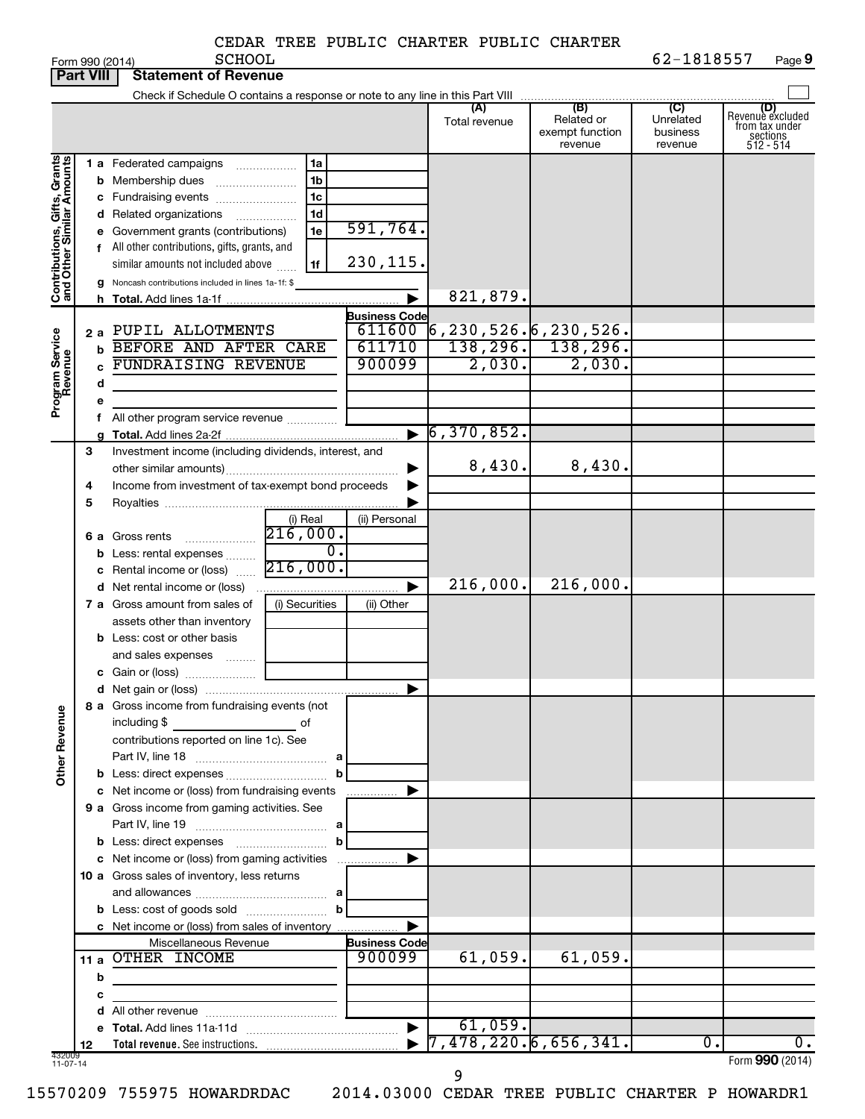|                                                           | <b>Part VIII</b> | <b>Statement of Revenue</b>                                 |                                              |                       |                                     |                                                 |                                         |                                                                    |
|-----------------------------------------------------------|------------------|-------------------------------------------------------------|----------------------------------------------|-----------------------|-------------------------------------|-------------------------------------------------|-----------------------------------------|--------------------------------------------------------------------|
|                                                           |                  |                                                             |                                              |                       |                                     |                                                 |                                         |                                                                    |
|                                                           |                  |                                                             |                                              |                       | (A)<br>Total revenue                | (B)<br>Related or<br>exempt function<br>revenue | (C)<br>Unrelated<br>business<br>revenue | (D)<br>Revenue excluded<br>from tax under<br>sections<br>512 - 514 |
|                                                           |                  | 1 a Federated campaigns                                     | 1a<br>.                                      |                       |                                     |                                                 |                                         |                                                                    |
|                                                           |                  | <b>b</b> Membership dues                                    | 1 <sub>b</sub>                               |                       |                                     |                                                 |                                         |                                                                    |
|                                                           |                  | c Fundraising events                                        | 1 <sub>c</sub>                               |                       |                                     |                                                 |                                         |                                                                    |
|                                                           |                  | d Related organizations                                     | 1 <sub>d</sub>                               |                       |                                     |                                                 |                                         |                                                                    |
|                                                           |                  | e Government grants (contributions)                         | 1e                                           | 591,764.              |                                     |                                                 |                                         |                                                                    |
|                                                           |                  | f All other contributions, gifts, grants, and               |                                              |                       |                                     |                                                 |                                         |                                                                    |
|                                                           |                  | similar amounts not included above                          | 1f                                           | 230,115.              |                                     |                                                 |                                         |                                                                    |
|                                                           |                  | g Noncash contributions included in lines 1a-1f: \$         |                                              |                       |                                     |                                                 |                                         |                                                                    |
| Contributions, Gifts, Grants<br>and Other Similar Amounts |                  |                                                             |                                              |                       | 821,879.                            |                                                 |                                         |                                                                    |
|                                                           |                  |                                                             |                                              | <b>Business Code</b>  |                                     |                                                 |                                         |                                                                    |
|                                                           |                  | 2 a PUPIL ALLOTMENTS                                        |                                              | 611600                | <mark>16,230,526.</mark> 6,230,526. |                                                 |                                         |                                                                    |
|                                                           | b                | BEFORE AND AFTER CARE                                       |                                              | 611710                |                                     | $138, 296.$ 138, 296.                           |                                         |                                                                    |
|                                                           |                  | <b>FUNDRAISING REVENUE</b>                                  |                                              | 900099                | 2,030.                              | 2,030.                                          |                                         |                                                                    |
|                                                           | d                |                                                             |                                              |                       |                                     |                                                 |                                         |                                                                    |
| Program Service<br>Revenue                                |                  |                                                             |                                              |                       |                                     |                                                 |                                         |                                                                    |
|                                                           |                  | All other program service revenue                           |                                              |                       |                                     |                                                 |                                         |                                                                    |
|                                                           |                  |                                                             |                                              | $\blacktriangleright$ | 6,370,852.                          |                                                 |                                         |                                                                    |
|                                                           | З                | Investment income (including dividends, interest, and       |                                              |                       |                                     |                                                 |                                         |                                                                    |
|                                                           |                  |                                                             |                                              |                       | 8,430.                              | 8,430.                                          |                                         |                                                                    |
|                                                           | 4                | Income from investment of tax-exempt bond proceeds          |                                              |                       |                                     |                                                 |                                         |                                                                    |
|                                                           | 5                |                                                             |                                              |                       |                                     |                                                 |                                         |                                                                    |
|                                                           |                  |                                                             | (i) Real                                     | (ii) Personal         |                                     |                                                 |                                         |                                                                    |
|                                                           |                  | <b>6 a</b> Gross rents                                      | 216,000.                                     |                       |                                     |                                                 |                                         |                                                                    |
|                                                           |                  | <b>b</b> Less: rental expenses                              | $\overline{0}$ .                             |                       |                                     |                                                 |                                         |                                                                    |
|                                                           |                  | c Rental income or (loss)                                   | 216,000.                                     |                       |                                     |                                                 |                                         |                                                                    |
|                                                           |                  | <b>d</b> Net rental income or (loss)                        |                                              |                       | 216,000.                            | 216,000.                                        |                                         |                                                                    |
|                                                           |                  | 7 a Gross amount from sales of                              | (i) Securities                               | (ii) Other            |                                     |                                                 |                                         |                                                                    |
|                                                           |                  | assets other than inventory                                 |                                              |                       |                                     |                                                 |                                         |                                                                    |
|                                                           |                  | <b>b</b> Less: cost or other basis                          |                                              |                       |                                     |                                                 |                                         |                                                                    |
|                                                           |                  | and sales expenses                                          |                                              |                       |                                     |                                                 |                                         |                                                                    |
|                                                           |                  |                                                             |                                              |                       |                                     |                                                 |                                         |                                                                    |
|                                                           |                  |                                                             |                                              |                       |                                     |                                                 |                                         |                                                                    |
|                                                           |                  | 8 a Gross income from fundraising events (not               |                                              |                       |                                     |                                                 |                                         |                                                                    |
| <b>Other Revenue</b>                                      |                  | including \$<br>contributions reported on line 1c). See     | of                                           |                       |                                     |                                                 |                                         |                                                                    |
|                                                           |                  |                                                             |                                              |                       |                                     |                                                 |                                         |                                                                    |
|                                                           |                  |                                                             | $\mathbf b$                                  |                       |                                     |                                                 |                                         |                                                                    |
|                                                           |                  | c Net income or (loss) from fundraising events              |                                              | .                     |                                     |                                                 |                                         |                                                                    |
|                                                           |                  | 9 a Gross income from gaming activities. See                |                                              |                       |                                     |                                                 |                                         |                                                                    |
|                                                           |                  |                                                             |                                              |                       |                                     |                                                 |                                         |                                                                    |
|                                                           |                  |                                                             | $\mathbf b$                                  |                       |                                     |                                                 |                                         |                                                                    |
|                                                           |                  |                                                             |                                              |                       |                                     |                                                 |                                         |                                                                    |
|                                                           |                  | 10 a Gross sales of inventory, less returns                 |                                              |                       |                                     |                                                 |                                         |                                                                    |
|                                                           |                  |                                                             |                                              |                       |                                     |                                                 |                                         |                                                                    |
|                                                           |                  |                                                             |                                              |                       |                                     |                                                 |                                         |                                                                    |
|                                                           |                  | c Net income or (loss) from sales of inventory              |                                              |                       |                                     |                                                 |                                         |                                                                    |
|                                                           |                  | Miscellaneous Revenue                                       |                                              | <b>Business Code</b>  |                                     |                                                 |                                         |                                                                    |
|                                                           |                  | 11 a OTHER INCOME                                           |                                              | 900099                | 61,059.                             | 61,059.                                         |                                         |                                                                    |
|                                                           | b                | the control of the control of the control of the control of |                                              |                       |                                     |                                                 |                                         |                                                                    |
|                                                           | с                |                                                             | the control of the control of the control of |                       |                                     |                                                 |                                         |                                                                    |
|                                                           |                  |                                                             |                                              |                       |                                     |                                                 |                                         |                                                                    |
|                                                           |                  |                                                             |                                              |                       | 61,059.                             |                                                 |                                         |                                                                    |
| 432009                                                    | 12               |                                                             |                                              |                       | 7,478,220.6,656,341.                |                                                 | Ο.                                      | 0.                                                                 |
| $11-07-14$                                                |                  |                                                             |                                              |                       | 9                                   |                                                 |                                         | Form 990 (2014)                                                    |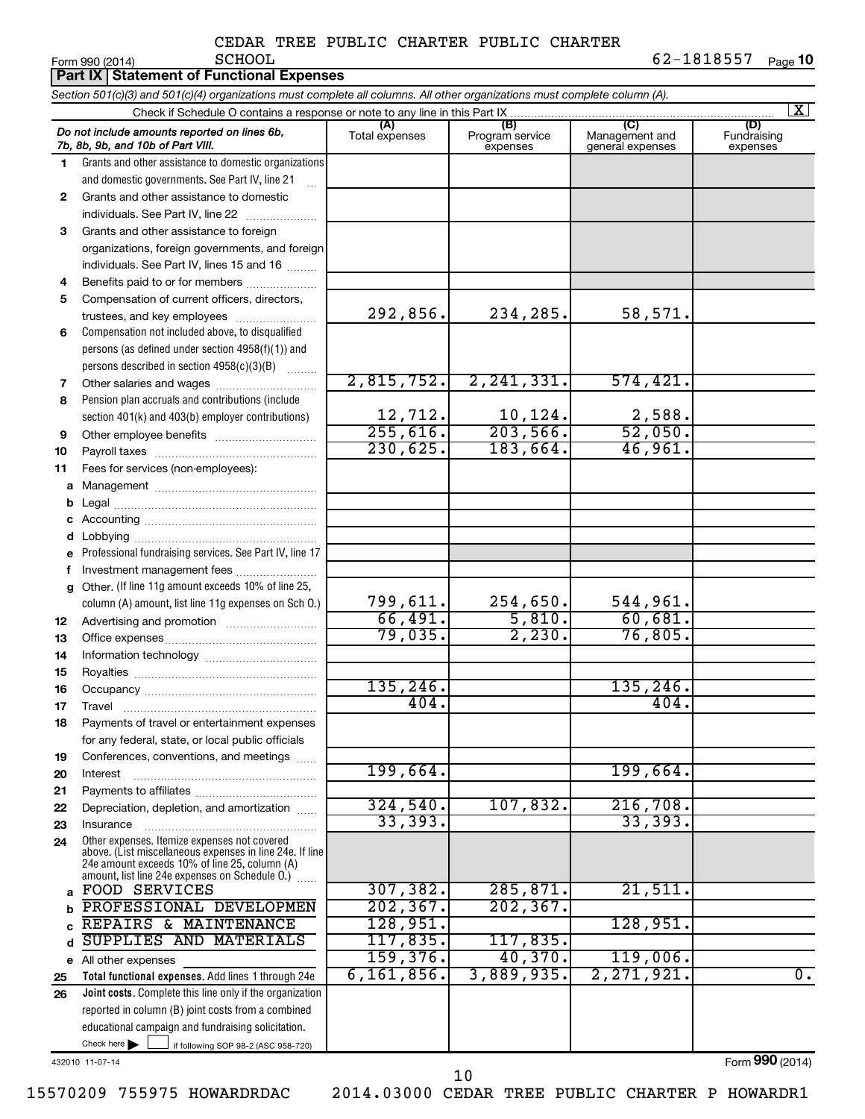|    | Part IX Statement of Functional Expenses                                                                                                                                                                    |                          |                                    |                                           |                                |  |  |  |  |
|----|-------------------------------------------------------------------------------------------------------------------------------------------------------------------------------------------------------------|--------------------------|------------------------------------|-------------------------------------------|--------------------------------|--|--|--|--|
|    | Section 501(c)(3) and 501(c)(4) organizations must complete all columns. All other organizations must complete column (A).                                                                                  |                          |                                    |                                           |                                |  |  |  |  |
|    | Check if Schedule O contains a response or note to any line in this Part IX                                                                                                                                 |                          |                                    |                                           | $\mathbf{X}$                   |  |  |  |  |
|    | Do not include amounts reported on lines 6b,<br>7b, 8b, 9b, and 10b of Part VIII.                                                                                                                           | (A)<br>Total expenses    | (B)<br>Program service<br>expenses | (C)<br>Management and<br>general expenses | (D)<br>Fundraising<br>expenses |  |  |  |  |
| 1. | Grants and other assistance to domestic organizations                                                                                                                                                       |                          |                                    |                                           |                                |  |  |  |  |
|    | and domestic governments. See Part IV, line 21                                                                                                                                                              |                          |                                    |                                           |                                |  |  |  |  |
| 2  | Grants and other assistance to domestic                                                                                                                                                                     |                          |                                    |                                           |                                |  |  |  |  |
|    | individuals. See Part IV, line 22                                                                                                                                                                           |                          |                                    |                                           |                                |  |  |  |  |
| 3  | Grants and other assistance to foreign                                                                                                                                                                      |                          |                                    |                                           |                                |  |  |  |  |
|    | organizations, foreign governments, and foreign                                                                                                                                                             |                          |                                    |                                           |                                |  |  |  |  |
|    | individuals. See Part IV, lines 15 and 16                                                                                                                                                                   |                          |                                    |                                           |                                |  |  |  |  |
| 4  | Benefits paid to or for members                                                                                                                                                                             |                          |                                    |                                           |                                |  |  |  |  |
| 5  | Compensation of current officers, directors,                                                                                                                                                                | 292,856.                 | 234,285.                           | 58,571.                                   |                                |  |  |  |  |
|    | trustees, and key employees                                                                                                                                                                                 |                          |                                    |                                           |                                |  |  |  |  |
| 6  | Compensation not included above, to disqualified                                                                                                                                                            |                          |                                    |                                           |                                |  |  |  |  |
|    | persons (as defined under section 4958(f)(1)) and<br>persons described in section 4958(c)(3)(B)                                                                                                             |                          |                                    |                                           |                                |  |  |  |  |
| 7  | Other salaries and wages                                                                                                                                                                                    | 2,815,752.               | 2, 241, 331.                       | 574, 421.                                 |                                |  |  |  |  |
| 8  | Pension plan accruals and contributions (include                                                                                                                                                            |                          |                                    |                                           |                                |  |  |  |  |
|    | section 401(k) and 403(b) employer contributions)                                                                                                                                                           |                          |                                    |                                           |                                |  |  |  |  |
| 9  | Other employee benefits                                                                                                                                                                                     | $\frac{12,712}{255,616}$ | $\frac{10,124}{203,566}$           | $\frac{2,588}{52,050}$                    |                                |  |  |  |  |
| 10 |                                                                                                                                                                                                             | 230,625.                 | 183,664.                           | 46,961.                                   |                                |  |  |  |  |
| 11 | Fees for services (non-employees):                                                                                                                                                                          |                          |                                    |                                           |                                |  |  |  |  |
| a  |                                                                                                                                                                                                             |                          |                                    |                                           |                                |  |  |  |  |
| b  |                                                                                                                                                                                                             |                          |                                    |                                           |                                |  |  |  |  |
| с  |                                                                                                                                                                                                             |                          |                                    |                                           |                                |  |  |  |  |
| d  |                                                                                                                                                                                                             |                          |                                    |                                           |                                |  |  |  |  |
| е  | Professional fundraising services. See Part IV, line 17                                                                                                                                                     |                          |                                    |                                           |                                |  |  |  |  |
| f  | Investment management fees                                                                                                                                                                                  |                          |                                    |                                           |                                |  |  |  |  |
| g  | Other. (If line 11g amount exceeds 10% of line 25,                                                                                                                                                          |                          |                                    |                                           |                                |  |  |  |  |
|    | column (A) amount, list line 11g expenses on Sch O.)                                                                                                                                                        | 799,611.                 | 254,650.                           | 544,961.                                  |                                |  |  |  |  |
| 12 |                                                                                                                                                                                                             | 66,491.                  | 5,810.                             | 60,681.                                   |                                |  |  |  |  |
| 13 |                                                                                                                                                                                                             | 79,035.                  | 2,230.                             | 76,805.                                   |                                |  |  |  |  |
| 14 |                                                                                                                                                                                                             |                          |                                    |                                           |                                |  |  |  |  |
| 15 |                                                                                                                                                                                                             | 135, 246.                |                                    | 135, 246.                                 |                                |  |  |  |  |
| 16 |                                                                                                                                                                                                             | 404                      |                                    | 404.                                      |                                |  |  |  |  |
| 17 | Travel                                                                                                                                                                                                      |                          |                                    |                                           |                                |  |  |  |  |
| 18 | Payments of travel or entertainment expenses<br>for any federal, state, or local public officials                                                                                                           |                          |                                    |                                           |                                |  |  |  |  |
| 19 | Conferences, conventions, and meetings                                                                                                                                                                      |                          |                                    |                                           |                                |  |  |  |  |
| 20 | Interest                                                                                                                                                                                                    | 199,664.                 |                                    | 199,664.                                  |                                |  |  |  |  |
| 21 |                                                                                                                                                                                                             |                          |                                    |                                           |                                |  |  |  |  |
| 22 | Depreciation, depletion, and amortization                                                                                                                                                                   | 324,540.                 | 107,832.                           | 216,708.                                  |                                |  |  |  |  |
| 23 | Insurance                                                                                                                                                                                                   | 33,393.                  |                                    | 33, 393.                                  |                                |  |  |  |  |
| 24 | Other expenses. Itemize expenses not covered<br>above. (List miscellaneous expenses in line 24e. If line<br>24e amount exceeds 10% of line 25, column (A)<br>amount, list line 24e expenses on Schedule O.) |                          |                                    |                                           |                                |  |  |  |  |
| a  | <b>FOOD SERVICES</b>                                                                                                                                                                                        | 307, 382.                | 285, 871.                          | 21,511.                                   |                                |  |  |  |  |
| b  | PROFESSIONAL DEVELOPMEN                                                                                                                                                                                     | 202, 367.                | 202, 367.                          |                                           |                                |  |  |  |  |
| C  | REPAIRS & MAINTENANCE                                                                                                                                                                                       | 128,951.                 |                                    | 128,951.                                  |                                |  |  |  |  |
| d  | SUPPLIES AND MATERIALS                                                                                                                                                                                      | 117,835.                 | 117,835.                           |                                           |                                |  |  |  |  |
|    | e All other expenses                                                                                                                                                                                        | 159,376.                 | 40,370.                            | 119,006.                                  |                                |  |  |  |  |
| 25 | Total functional expenses. Add lines 1 through 24e                                                                                                                                                          | 6, 161, 856.             | 3,889,935.                         | 2, 271, 921.                              | $\overline{0}$ .               |  |  |  |  |
| 26 | Joint costs. Complete this line only if the organization                                                                                                                                                    |                          |                                    |                                           |                                |  |  |  |  |
|    | reported in column (B) joint costs from a combined                                                                                                                                                          |                          |                                    |                                           |                                |  |  |  |  |
|    | educational campaign and fundraising solicitation.<br>Check here $\blacktriangleright$<br>if following SOP 98-2 (ASC 958-720)                                                                               |                          |                                    |                                           |                                |  |  |  |  |
|    |                                                                                                                                                                                                             |                          |                                    |                                           |                                |  |  |  |  |

432010 11-07-14

Form (2014) **990**

15570209 755975 HOWARDRDAC 2014.03000 CEDAR TREE PUBLIC CHARTER P HOWARDR1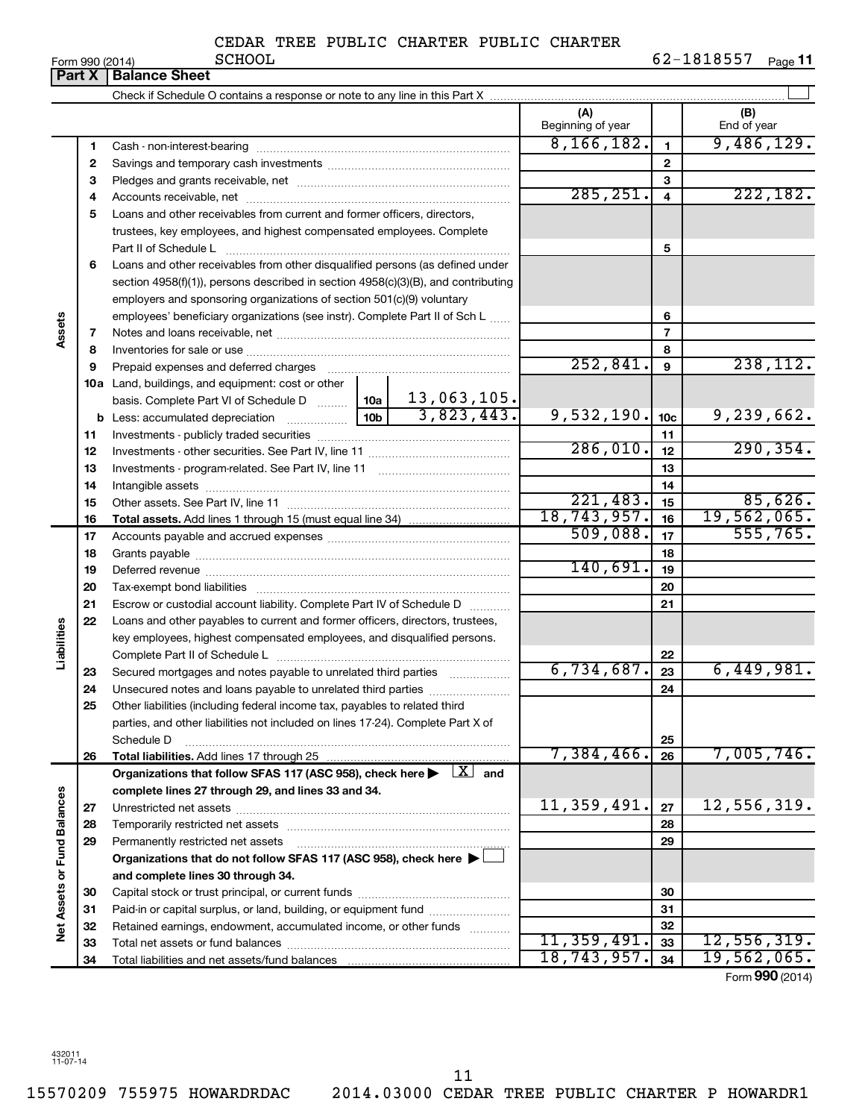| Form 990 (2014) |  |  |
|-----------------|--|--|

|                      | <b>Part X</b> | Form 990 (2014)<br>ocuon<br><b>Balance Sheet</b>                                                                                                                   |             |                          |                 | 02-1010777<br>Page II |
|----------------------|---------------|--------------------------------------------------------------------------------------------------------------------------------------------------------------------|-------------|--------------------------|-----------------|-----------------------|
|                      |               |                                                                                                                                                                    |             |                          |                 |                       |
|                      |               |                                                                                                                                                                    |             | (A)<br>Beginning of year |                 | (B)<br>End of year    |
|                      | 1             |                                                                                                                                                                    |             | 8, 166, 182.             | $\mathbf{1}$    | 9,486,129.            |
|                      | $\mathbf{2}$  |                                                                                                                                                                    |             |                          | $\mathbf{2}$    |                       |
|                      | 3             |                                                                                                                                                                    |             | 3                        |                 |                       |
|                      | 4             |                                                                                                                                                                    | 285, 251.   | $\overline{4}$           | 222,182.        |                       |
|                      | 5             | Loans and other receivables from current and former officers, directors,                                                                                           |             |                          |                 |                       |
|                      |               | trustees, key employees, and highest compensated employees. Complete                                                                                               |             |                          |                 |                       |
|                      |               | Part II of Schedule L                                                                                                                                              |             |                          | 5               |                       |
|                      | 6             | Loans and other receivables from other disqualified persons (as defined under<br>section 4958(f)(1)), persons described in section 4958(c)(3)(B), and contributing |             |                          |                 |                       |
|                      |               | employers and sponsoring organizations of section 501(c)(9) voluntary                                                                                              |             |                          |                 |                       |
|                      |               | employees' beneficiary organizations (see instr). Complete Part II of Sch L                                                                                        |             |                          | 6               |                       |
| Assets               | 7             |                                                                                                                                                                    |             | 7                        |                 |                       |
|                      | 8             |                                                                                                                                                                    |             |                          | 8               |                       |
|                      | 9             | Prepaid expenses and deferred charges                                                                                                                              |             | 252,841.                 | 9               | 238, 112.             |
|                      |               | 10a Land, buildings, and equipment: cost or other                                                                                                                  |             |                          |                 |                       |
|                      |               | basis. Complete Part VI of Schedule D  10a                                                                                                                         | 13,063,105. |                          |                 |                       |
|                      |               |                                                                                                                                                                    | 3,823,443.  | 9,532,190.               | 10 <sub>c</sub> | 9,239,662.            |
|                      | 11            |                                                                                                                                                                    |             | 11                       |                 |                       |
|                      | 12            |                                                                                                                                                                    | 286,010.    | 12                       | 290, 354.       |                       |
|                      | 13            |                                                                                                                                                                    |             |                          | 13              |                       |
|                      | 14            |                                                                                                                                                                    |             |                          | 14              |                       |
|                      | 15            |                                                                                                                                                                    | 221,483.    | 15                       | 85,626.         |                       |
|                      | 16            |                                                                                                                                                                    |             | 18,743,957.              | 16              | 19,562,065.           |
|                      | 17            |                                                                                                                                                                    |             | 509,088.                 | 17              | 555, 765.             |
|                      | 18            |                                                                                                                                                                    |             |                          | 18              |                       |
|                      | 19            |                                                                                                                                                                    |             | 140,691.                 | 19              |                       |
|                      | 20            |                                                                                                                                                                    |             |                          | 20              |                       |
|                      | 21            | Escrow or custodial account liability. Complete Part IV of Schedule D                                                                                              |             |                          | 21              |                       |
|                      | 22            | Loans and other payables to current and former officers, directors, trustees,                                                                                      |             |                          |                 |                       |
| Liabilities          |               | key employees, highest compensated employees, and disqualified persons.                                                                                            |             |                          |                 |                       |
|                      |               |                                                                                                                                                                    |             |                          | 22              |                       |
|                      | 23            | Secured mortgages and notes payable to unrelated third parties                                                                                                     |             | 6,734,687.               | 23              | 6,449,981.            |
|                      | 24            | Unsecured notes and loans payable to unrelated third parties                                                                                                       |             |                          | 24              |                       |
|                      | 25            | Other liabilities (including federal income tax, payables to related third                                                                                         |             |                          |                 |                       |
|                      |               | parties, and other liabilities not included on lines 17-24). Complete Part X of                                                                                    |             |                          |                 |                       |
|                      |               | Schedule D                                                                                                                                                         |             |                          | 25              |                       |
|                      | 26            | Total liabilities. Add lines 17 through 25                                                                                                                         |             | 7,384,466.               | 26              | 7,005,746.            |
|                      |               | Organizations that follow SFAS 117 (ASC 958), check here $\blacktriangleright \begin{array}{c} \boxed{X} \\ \end{array}$ and                                       |             |                          |                 |                       |
|                      |               | complete lines 27 through 29, and lines 33 and 34.                                                                                                                 |             |                          |                 |                       |
|                      | 27            |                                                                                                                                                                    |             | 11,359,491.              | 27              | 12,556,319.           |
| <b>Fund Balances</b> | 28            |                                                                                                                                                                    |             |                          | 28              |                       |
|                      | 29            | Permanently restricted net assets                                                                                                                                  |             |                          | 29              |                       |
|                      |               | Organizations that do not follow SFAS 117 (ASC 958), check here ▶                                                                                                  |             |                          |                 |                       |
| Net Assets or        |               | and complete lines 30 through 34.                                                                                                                                  |             |                          |                 |                       |
|                      | 30            |                                                                                                                                                                    |             |                          | 30              |                       |
|                      | 31            | Paid-in or capital surplus, or land, building, or equipment fund                                                                                                   |             |                          | 31              |                       |
|                      | 32            | Retained earnings, endowment, accumulated income, or other funds                                                                                                   |             | 11,359,491.              | 32              | 12,556,319.           |
|                      | 33            |                                                                                                                                                                    |             | 18,743,957.              | 33<br>34        | 19,562,065.           |
|                      | 34            |                                                                                                                                                                    |             |                          |                 |                       |

Form (2014) **990**

432011 11-07-14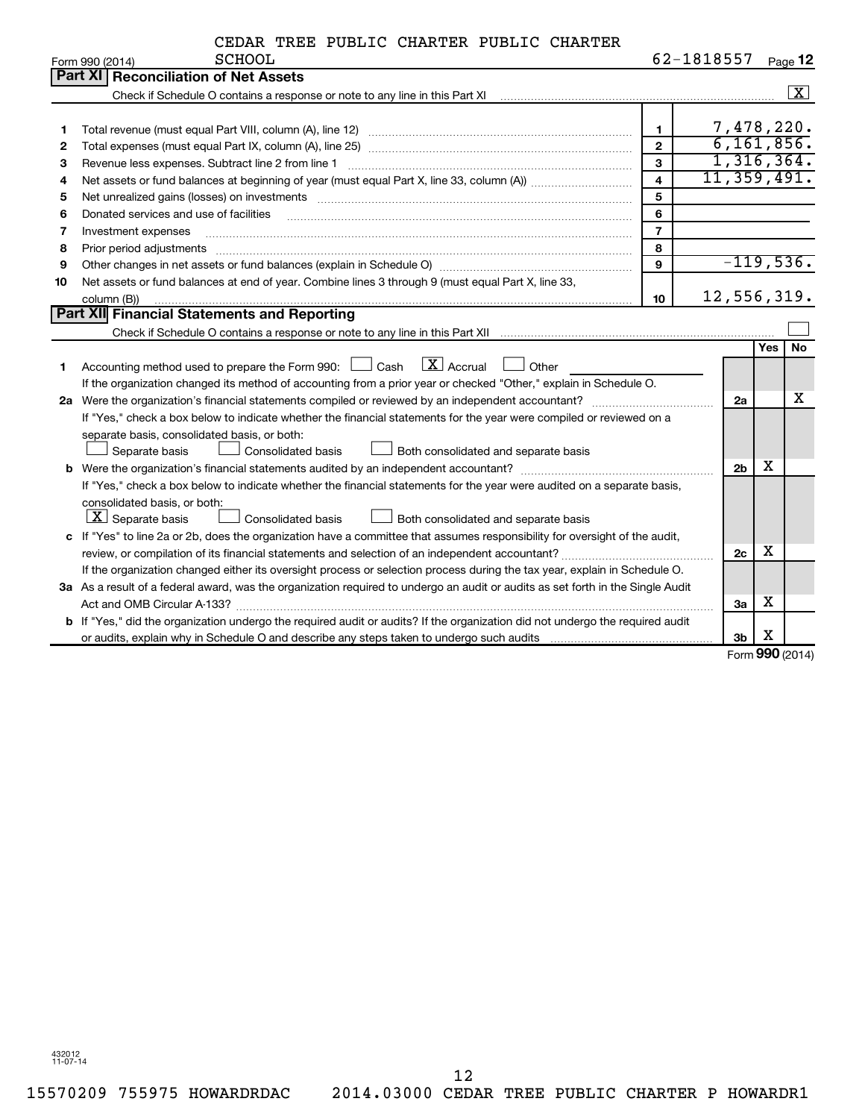|    | <b>SCHOOL</b><br>Form 990 (2014)                                                                                                                                                                                               |                         | 62-1818557 |                |     | Page 12                 |
|----|--------------------------------------------------------------------------------------------------------------------------------------------------------------------------------------------------------------------------------|-------------------------|------------|----------------|-----|-------------------------|
|    | Part XI Reconciliation of Net Assets                                                                                                                                                                                           |                         |            |                |     |                         |
|    | Check if Schedule O contains a response or note to any line in this Part XI [11] Check if Schedule O contains a response or note to any line in this Part XI                                                                   |                         |            |                |     | $\overline{\mathbf{x}}$ |
|    |                                                                                                                                                                                                                                |                         |            |                |     |                         |
| 1  |                                                                                                                                                                                                                                | $\mathbf{1}$            |            | 7,478,220.     |     |                         |
| 2  |                                                                                                                                                                                                                                | $\overline{2}$          |            | 6,161,856.     |     |                         |
| З  | Revenue less expenses. Subtract line 2 from line 1                                                                                                                                                                             | 3                       |            | 1,316,364.     |     |                         |
| 4  |                                                                                                                                                                                                                                | $\overline{\mathbf{4}}$ |            | 11,359,491.    |     |                         |
| 5  | Net unrealized gains (losses) on investments [11] matter than the control of the control of the control of the control of the control of the control of the control of the control of the control of the control of the contro | 5                       |            |                |     |                         |
| 6  | Donated services and use of facilities                                                                                                                                                                                         | 6                       |            |                |     |                         |
| 7  | Investment expenses                                                                                                                                                                                                            | $\overline{7}$          |            |                |     |                         |
| 8  | Prior period adjustments www.communication.communication.com/news/communication.com/news/communication.com/new                                                                                                                 | 8                       |            |                |     |                         |
| 9  |                                                                                                                                                                                                                                | 9                       |            | $-119,536.$    |     |                         |
| 10 | Net assets or fund balances at end of year. Combine lines 3 through 9 (must equal Part X, line 33,                                                                                                                             |                         |            |                |     |                         |
|    | column (B))                                                                                                                                                                                                                    | 10                      |            | 12,556,319.    |     |                         |
|    | <b>Part XII</b> Financial Statements and Reporting                                                                                                                                                                             |                         |            |                |     |                         |
|    |                                                                                                                                                                                                                                |                         |            |                |     |                         |
|    |                                                                                                                                                                                                                                |                         |            |                | Yes | <b>No</b>               |
| 1  | $\mathbf{X}$ Accrual<br>Accounting method used to prepare the Form 990: $\Box$ Cash<br>Other                                                                                                                                   |                         |            |                |     |                         |
|    | If the organization changed its method of accounting from a prior year or checked "Other," explain in Schedule O.                                                                                                              |                         |            |                |     |                         |
|    | 2a Were the organization's financial statements compiled or reviewed by an independent accountant?                                                                                                                             |                         |            | 2a             |     | x                       |
|    | If "Yes," check a box below to indicate whether the financial statements for the year were compiled or reviewed on a                                                                                                           |                         |            |                |     |                         |
|    | separate basis, consolidated basis, or both:                                                                                                                                                                                   |                         |            |                |     |                         |
|    | Separate basis<br>Consolidated basis<br>Both consolidated and separate basis                                                                                                                                                   |                         |            |                |     |                         |
|    |                                                                                                                                                                                                                                |                         |            | 2 <sub>b</sub> | х   |                         |
|    | If "Yes," check a box below to indicate whether the financial statements for the year were audited on a separate basis,                                                                                                        |                         |            |                |     |                         |
|    | consolidated basis, or both:                                                                                                                                                                                                   |                         |            |                |     |                         |
|    | $ \mathbf{X} $ Separate basis<br>Consolidated basis<br>Both consolidated and separate basis                                                                                                                                    |                         |            |                |     |                         |
|    | c If "Yes" to line 2a or 2b, does the organization have a committee that assumes responsibility for oversight of the audit,                                                                                                    |                         |            |                |     |                         |
|    |                                                                                                                                                                                                                                |                         |            | 2c             | х   |                         |
|    | If the organization changed either its oversight process or selection process during the tax year, explain in Schedule O.                                                                                                      |                         |            |                |     |                         |
|    | 3a As a result of a federal award, was the organization required to undergo an audit or audits as set forth in the Single Audit                                                                                                |                         |            |                |     |                         |
|    |                                                                                                                                                                                                                                |                         |            | За             | х   |                         |
|    | b If "Yes," did the organization undergo the required audit or audits? If the organization did not undergo the required audit                                                                                                  |                         |            |                |     |                         |
|    |                                                                                                                                                                                                                                |                         |            | 3 <sub>b</sub> | X   |                         |

Form (2014) **990**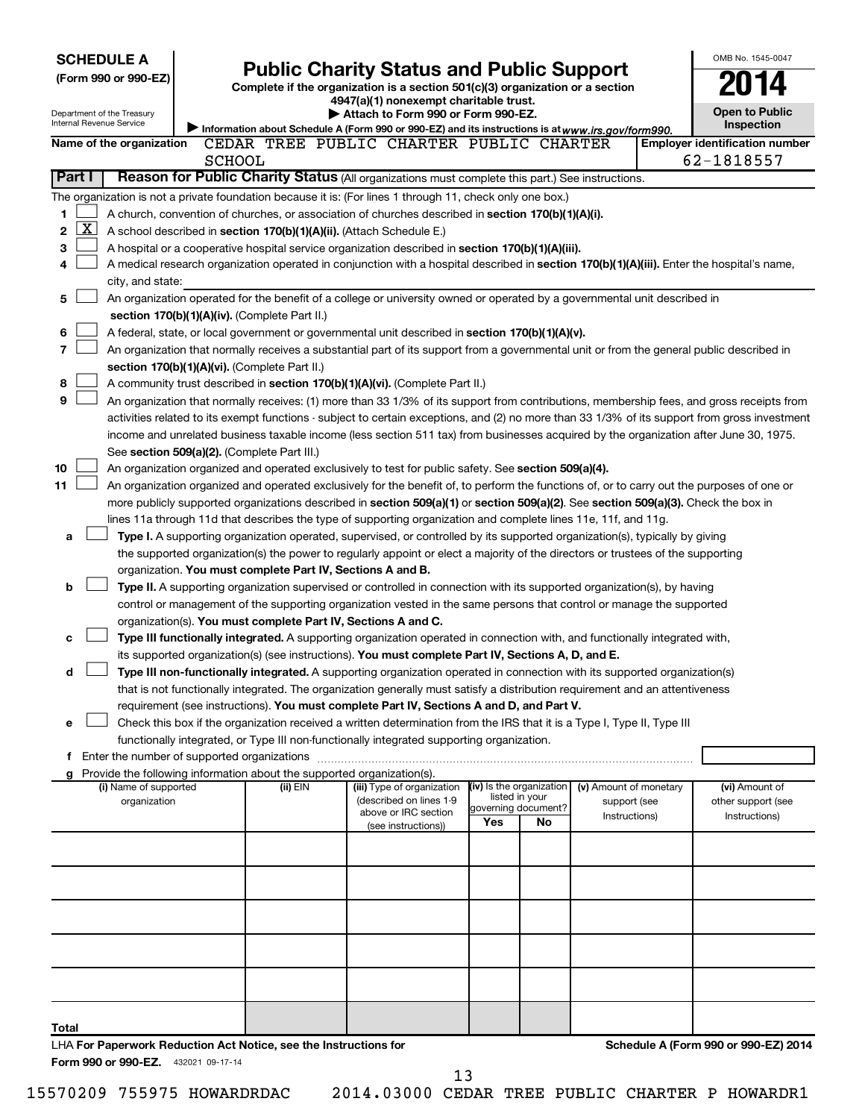| <b>SCHEDULE A</b><br>(Form 990 or 990-EZ)     |                                                                                                                                                                                                                                  | <b>Public Charity Status and Public Support</b>                               |                                            |    |                                        | OMB No. 1545-0047                                   |
|-----------------------------------------------|----------------------------------------------------------------------------------------------------------------------------------------------------------------------------------------------------------------------------------|-------------------------------------------------------------------------------|--------------------------------------------|----|----------------------------------------|-----------------------------------------------------|
|                                               |                                                                                                                                                                                                                                  | Complete if the organization is a section 501(c)(3) organization or a section |                                            |    |                                        |                                                     |
| Department of the Treasury                    |                                                                                                                                                                                                                                  | 4947(a)(1) nonexempt charitable trust.<br>Attach to Form 990 or Form 990-EZ.  |                                            |    |                                        | <b>Open to Public</b>                               |
| Internal Revenue Service                      | Information about Schedule A (Form 990 or 990-EZ) and its instructions is at www.irs.gov/form990.                                                                                                                                |                                                                               |                                            |    |                                        | <b>Inspection</b>                                   |
| Name of the organization                      | CEDAR TREE PUBLIC CHARTER PUBLIC CHARTER<br><b>SCHOOL</b>                                                                                                                                                                        |                                                                               |                                            |    |                                        | <b>Employer identification number</b><br>62-1818557 |
| Part I                                        | Reason for Public Charity Status (All organizations must complete this part.) See instructions.                                                                                                                                  |                                                                               |                                            |    |                                        |                                                     |
|                                               | The organization is not a private foundation because it is: (For lines 1 through 11, check only one box.)                                                                                                                        |                                                                               |                                            |    |                                        |                                                     |
| 1                                             | A church, convention of churches, or association of churches described in section 170(b)(1)(A)(i).                                                                                                                               |                                                                               |                                            |    |                                        |                                                     |
| <u>X  </u><br>2                               | A school described in section 170(b)(1)(A)(ii). (Attach Schedule E.)                                                                                                                                                             |                                                                               |                                            |    |                                        |                                                     |
| 3                                             | A hospital or a cooperative hospital service organization described in section 170(b)(1)(A)(iii).                                                                                                                                |                                                                               |                                            |    |                                        |                                                     |
| 4                                             | A medical research organization operated in conjunction with a hospital described in section 170(b)(1)(A)(iii). Enter the hospital's name,                                                                                       |                                                                               |                                            |    |                                        |                                                     |
| city, and state:                              |                                                                                                                                                                                                                                  |                                                                               |                                            |    |                                        |                                                     |
| 5                                             | An organization operated for the benefit of a college or university owned or operated by a governmental unit described in                                                                                                        |                                                                               |                                            |    |                                        |                                                     |
|                                               | section 170(b)(1)(A)(iv). (Complete Part II.)                                                                                                                                                                                    |                                                                               |                                            |    |                                        |                                                     |
| 6                                             | A federal, state, or local government or governmental unit described in section 170(b)(1)(A)(v).                                                                                                                                 |                                                                               |                                            |    |                                        |                                                     |
| 7                                             | An organization that normally receives a substantial part of its support from a governmental unit or from the general public described in                                                                                        |                                                                               |                                            |    |                                        |                                                     |
|                                               | section 170(b)(1)(A)(vi). (Complete Part II.)                                                                                                                                                                                    |                                                                               |                                            |    |                                        |                                                     |
| 8                                             | A community trust described in section 170(b)(1)(A)(vi). (Complete Part II.)                                                                                                                                                     |                                                                               |                                            |    |                                        |                                                     |
| 9                                             | An organization that normally receives: (1) more than 33 1/3% of its support from contributions, membership fees, and gross receipts from                                                                                        |                                                                               |                                            |    |                                        |                                                     |
|                                               | activities related to its exempt functions - subject to certain exceptions, and (2) no more than 33 1/3% of its support from gross investment                                                                                    |                                                                               |                                            |    |                                        |                                                     |
|                                               | income and unrelated business taxable income (less section 511 tax) from businesses acquired by the organization after June 30, 1975.<br>See section 509(a)(2). (Complete Part III.)                                             |                                                                               |                                            |    |                                        |                                                     |
| 10                                            | An organization organized and operated exclusively to test for public safety. See section 509(a)(4).                                                                                                                             |                                                                               |                                            |    |                                        |                                                     |
| 11                                            | An organization organized and operated exclusively for the benefit of, to perform the functions of, or to carry out the purposes of one or                                                                                       |                                                                               |                                            |    |                                        |                                                     |
|                                               | more publicly supported organizations described in section 509(a)(1) or section 509(a)(2). See section 509(a)(3). Check the box in                                                                                               |                                                                               |                                            |    |                                        |                                                     |
|                                               | lines 11a through 11d that describes the type of supporting organization and complete lines 11e, 11f, and 11g.                                                                                                                   |                                                                               |                                            |    |                                        |                                                     |
| a                                             | Type I. A supporting organization operated, supervised, or controlled by its supported organization(s), typically by giving                                                                                                      |                                                                               |                                            |    |                                        |                                                     |
|                                               | the supported organization(s) the power to regularly appoint or elect a majority of the directors or trustees of the supporting                                                                                                  |                                                                               |                                            |    |                                        |                                                     |
|                                               | organization. You must complete Part IV, Sections A and B.                                                                                                                                                                       |                                                                               |                                            |    |                                        |                                                     |
| b                                             | Type II. A supporting organization supervised or controlled in connection with its supported organization(s), by having                                                                                                          |                                                                               |                                            |    |                                        |                                                     |
|                                               | control or management of the supporting organization vested in the same persons that control or manage the supported                                                                                                             |                                                                               |                                            |    |                                        |                                                     |
|                                               | organization(s). You must complete Part IV, Sections A and C.                                                                                                                                                                    |                                                                               |                                            |    |                                        |                                                     |
| c                                             | Type III functionally integrated. A supporting organization operated in connection with, and functionally integrated with,<br>its supported organization(s) (see instructions). You must complete Part IV, Sections A, D, and E. |                                                                               |                                            |    |                                        |                                                     |
| d                                             | Type III non-functionally integrated. A supporting organization operated in connection with its supported organization(s)                                                                                                        |                                                                               |                                            |    |                                        |                                                     |
|                                               | that is not functionally integrated. The organization generally must satisfy a distribution requirement and an attentiveness                                                                                                     |                                                                               |                                            |    |                                        |                                                     |
|                                               | requirement (see instructions). You must complete Part IV, Sections A and D, and Part V.                                                                                                                                         |                                                                               |                                            |    |                                        |                                                     |
| е                                             | Check this box if the organization received a written determination from the IRS that it is a Type I, Type II, Type III                                                                                                          |                                                                               |                                            |    |                                        |                                                     |
|                                               | functionally integrated, or Type III non-functionally integrated supporting organization.                                                                                                                                        |                                                                               |                                            |    |                                        |                                                     |
| f Enter the number of supported organizations |                                                                                                                                                                                                                                  |                                                                               |                                            |    |                                        |                                                     |
|                                               | Provide the following information about the supported organization(s).                                                                                                                                                           |                                                                               |                                            |    |                                        |                                                     |
| (i) Name of supported<br>organization         | (ii) EIN                                                                                                                                                                                                                         | (iii) Type of organization<br>(described on lines 1-9                         | (iv) Is the organization<br>listed in your |    | (v) Amount of monetary<br>support (see | (vi) Amount of<br>other support (see                |
|                                               |                                                                                                                                                                                                                                  | above or IRC section                                                          | governing document?                        |    | Instructions)                          | Instructions)                                       |
|                                               |                                                                                                                                                                                                                                  | (see instructions))                                                           | Yes                                        | No |                                        |                                                     |
|                                               |                                                                                                                                                                                                                                  |                                                                               |                                            |    |                                        |                                                     |
|                                               |                                                                                                                                                                                                                                  |                                                                               |                                            |    |                                        |                                                     |
|                                               |                                                                                                                                                                                                                                  |                                                                               |                                            |    |                                        |                                                     |
|                                               |                                                                                                                                                                                                                                  |                                                                               |                                            |    |                                        |                                                     |
|                                               |                                                                                                                                                                                                                                  |                                                                               |                                            |    |                                        |                                                     |
|                                               |                                                                                                                                                                                                                                  |                                                                               |                                            |    |                                        |                                                     |
|                                               |                                                                                                                                                                                                                                  |                                                                               |                                            |    |                                        |                                                     |
|                                               |                                                                                                                                                                                                                                  |                                                                               |                                            |    |                                        |                                                     |
|                                               |                                                                                                                                                                                                                                  |                                                                               |                                            |    |                                        |                                                     |
| Total                                         |                                                                                                                                                                                                                                  |                                                                               |                                            |    |                                        |                                                     |
|                                               | LHA For Paperwork Reduction Act Notice, see the Instructions for                                                                                                                                                                 |                                                                               |                                            |    |                                        | Schedule A (Form 990 or 990-EZ) 2014                |
| Form 990 or 990-EZ. 432021 09-17-14           |                                                                                                                                                                                                                                  |                                                                               |                                            |    |                                        |                                                     |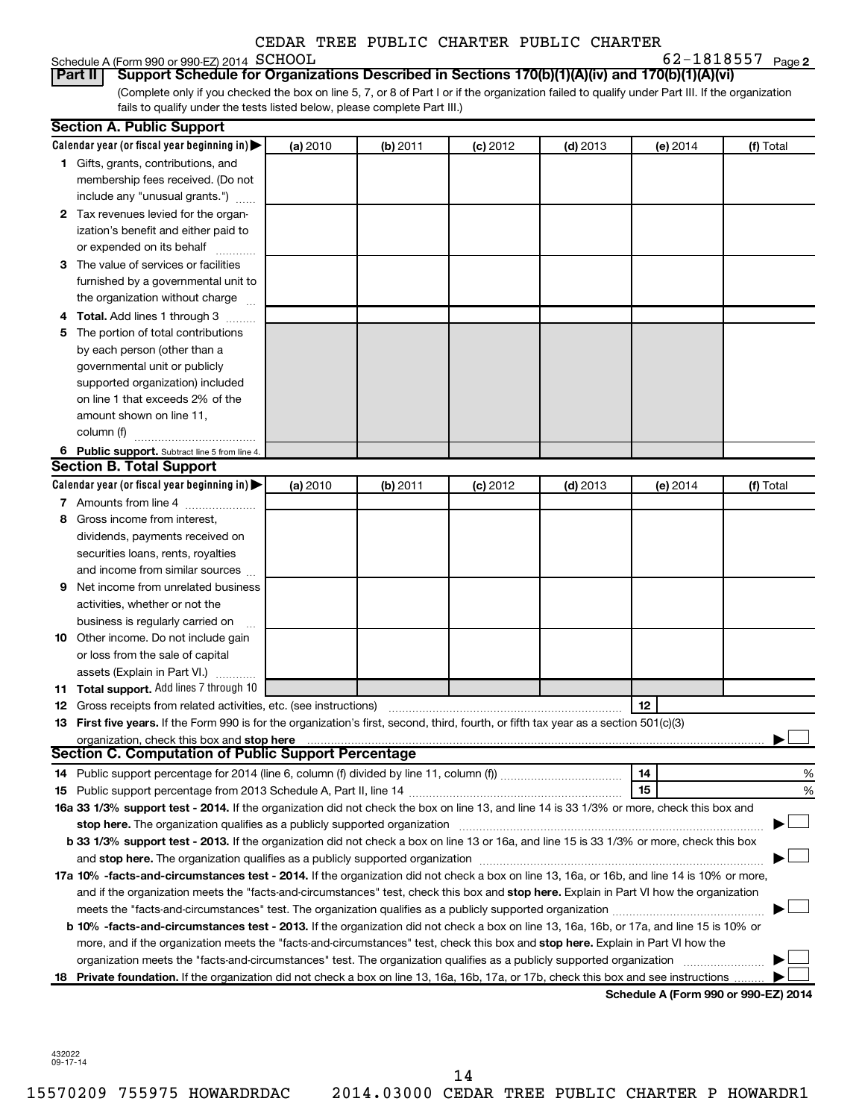# Schedule A (Form 990 or 990-EZ) 2014 SCHOOL<br>**Part II** Support Schedule for Organiz

**2** SCHOOL 62-1818557

(Complete only if you checked the box on line 5, 7, or 8 of Part I or if the organization failed to qualify under Part III. If the organization fails to qualify under the tests listed below, please complete Part III.) **Part II Support Schedule for Organizations Described in Sections 170(b)(1)(A)(iv) and 170(b)(1)(A)(vi)**

|    | <b>Section A. Public Support</b>                                                                                                           |          |          |            |            |          |                                      |
|----|--------------------------------------------------------------------------------------------------------------------------------------------|----------|----------|------------|------------|----------|--------------------------------------|
|    | Calendar year (or fiscal year beginning in)                                                                                                | (a) 2010 | (b) 2011 | $(c)$ 2012 | $(d)$ 2013 | (e) 2014 | (f) Total                            |
|    | 1 Gifts, grants, contributions, and                                                                                                        |          |          |            |            |          |                                      |
|    | membership fees received. (Do not                                                                                                          |          |          |            |            |          |                                      |
|    | include any "unusual grants.")                                                                                                             |          |          |            |            |          |                                      |
|    | 2 Tax revenues levied for the organ-                                                                                                       |          |          |            |            |          |                                      |
|    | ization's benefit and either paid to                                                                                                       |          |          |            |            |          |                                      |
|    | or expended on its behalf                                                                                                                  |          |          |            |            |          |                                      |
|    | 3 The value of services or facilities                                                                                                      |          |          |            |            |          |                                      |
|    | furnished by a governmental unit to                                                                                                        |          |          |            |            |          |                                      |
|    | the organization without charge                                                                                                            |          |          |            |            |          |                                      |
|    | 4 Total. Add lines 1 through 3                                                                                                             |          |          |            |            |          |                                      |
| 5. | The portion of total contributions                                                                                                         |          |          |            |            |          |                                      |
|    | by each person (other than a                                                                                                               |          |          |            |            |          |                                      |
|    | governmental unit or publicly                                                                                                              |          |          |            |            |          |                                      |
|    | supported organization) included                                                                                                           |          |          |            |            |          |                                      |
|    | on line 1 that exceeds 2% of the                                                                                                           |          |          |            |            |          |                                      |
|    | amount shown on line 11,                                                                                                                   |          |          |            |            |          |                                      |
|    | column (f)                                                                                                                                 |          |          |            |            |          |                                      |
|    | 6 Public support. Subtract line 5 from line 4.                                                                                             |          |          |            |            |          |                                      |
|    | <b>Section B. Total Support</b>                                                                                                            |          |          |            |            |          |                                      |
|    | Calendar year (or fiscal year beginning in)                                                                                                | (a) 2010 | (b) 2011 | $(c)$ 2012 | $(d)$ 2013 | (e) 2014 | (f) Total                            |
|    | 7 Amounts from line 4                                                                                                                      |          |          |            |            |          |                                      |
| 8  | Gross income from interest,                                                                                                                |          |          |            |            |          |                                      |
|    | dividends, payments received on                                                                                                            |          |          |            |            |          |                                      |
|    | securities loans, rents, royalties                                                                                                         |          |          |            |            |          |                                      |
|    | and income from similar sources                                                                                                            |          |          |            |            |          |                                      |
| 9. | Net income from unrelated business                                                                                                         |          |          |            |            |          |                                      |
|    | activities, whether or not the                                                                                                             |          |          |            |            |          |                                      |
|    | business is regularly carried on                                                                                                           |          |          |            |            |          |                                      |
|    | 10 Other income. Do not include gain                                                                                                       |          |          |            |            |          |                                      |
|    | or loss from the sale of capital                                                                                                           |          |          |            |            |          |                                      |
|    | assets (Explain in Part VI.)                                                                                                               |          |          |            |            |          |                                      |
|    | 11 Total support. Add lines 7 through 10                                                                                                   |          |          |            |            |          |                                      |
|    | <b>12</b> Gross receipts from related activities, etc. (see instructions)                                                                  |          |          |            |            | 12       |                                      |
|    | 13 First five years. If the Form 990 is for the organization's first, second, third, fourth, or fifth tax year as a section 501(c)(3)      |          |          |            |            |          |                                      |
|    | organization, check this box and stop here<br><b>Section C. Computation of Public Support Percentage</b>                                   |          |          |            |            |          |                                      |
|    |                                                                                                                                            |          |          |            |            | 14       | %                                    |
|    |                                                                                                                                            |          |          |            |            | 15       | %                                    |
|    | 16a 33 1/3% support test - 2014. If the organization did not check the box on line 13, and line 14 is 33 1/3% or more, check this box and  |          |          |            |            |          |                                      |
|    | stop here. The organization qualifies as a publicly supported organization manufaction manufacture content and                             |          |          |            |            |          |                                      |
|    | b 33 1/3% support test - 2013. If the organization did not check a box on line 13 or 16a, and line 15 is 33 1/3% or more, check this box   |          |          |            |            |          |                                      |
|    |                                                                                                                                            |          |          |            |            |          |                                      |
|    | 17a 10% -facts-and-circumstances test - 2014. If the organization did not check a box on line 13, 16a, or 16b, and line 14 is 10% or more, |          |          |            |            |          |                                      |
|    | and if the organization meets the "facts-and-circumstances" test, check this box and stop here. Explain in Part VI how the organization    |          |          |            |            |          |                                      |
|    |                                                                                                                                            |          |          |            |            |          |                                      |
|    | b 10% -facts-and-circumstances test - 2013. If the organization did not check a box on line 13, 16a, 16b, or 17a, and line 15 is 10% or    |          |          |            |            |          |                                      |
|    | more, and if the organization meets the "facts-and-circumstances" test, check this box and stop here. Explain in Part VI how the           |          |          |            |            |          |                                      |
|    | organization meets the "facts-and-circumstances" test. The organization qualifies as a publicly supported organization                     |          |          |            |            |          |                                      |
|    | 18 Private foundation. If the organization did not check a box on line 13, 16a, 16b, 17a, or 17b, check this box and see instructions      |          |          |            |            |          |                                      |
|    |                                                                                                                                            |          |          |            |            |          | Schedule A (Form 990 or 990-EZ) 2014 |

432022 09-17-14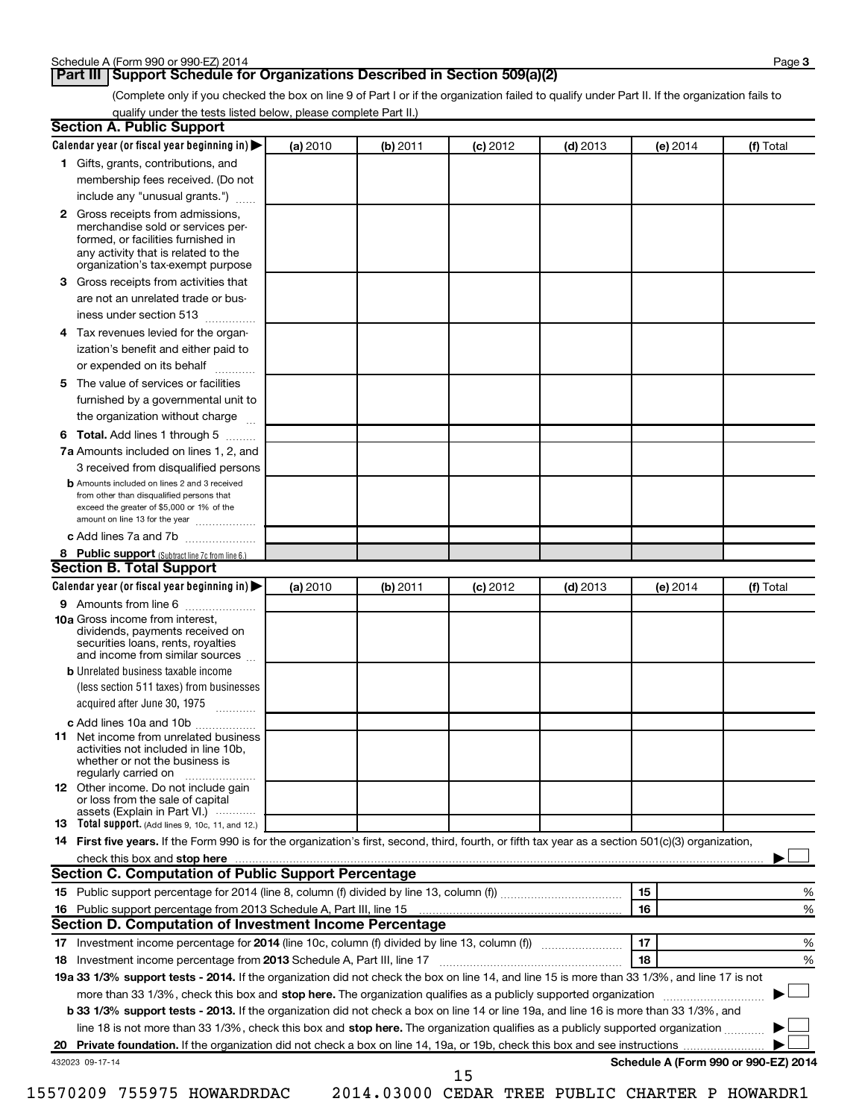#### **Part III Support Schedule for Organizations Described in Section 509(a)(2)**

(Complete only if you checked the box on line 9 of Part I or if the organization failed to qualify under Part II. If the organization fails to qualify under the tests listed below, please complete Part II.)

| <b>Section A. Public Support</b>                                                                                                                                                         |          |          |            |            |                                      |           |
|------------------------------------------------------------------------------------------------------------------------------------------------------------------------------------------|----------|----------|------------|------------|--------------------------------------|-----------|
| Calendar year (or fiscal year beginning in)                                                                                                                                              | (a) 2010 | (b) 2011 | $(c)$ 2012 | $(d)$ 2013 | (e) 2014                             | (f) Total |
| 1 Gifts, grants, contributions, and                                                                                                                                                      |          |          |            |            |                                      |           |
| membership fees received. (Do not                                                                                                                                                        |          |          |            |            |                                      |           |
| include any "unusual grants.")                                                                                                                                                           |          |          |            |            |                                      |           |
| 2 Gross receipts from admissions,<br>merchandise sold or services per-<br>formed, or facilities furnished in<br>any activity that is related to the<br>organization's tax-exempt purpose |          |          |            |            |                                      |           |
| 3 Gross receipts from activities that                                                                                                                                                    |          |          |            |            |                                      |           |
| are not an unrelated trade or bus-                                                                                                                                                       |          |          |            |            |                                      |           |
| iness under section 513                                                                                                                                                                  |          |          |            |            |                                      |           |
| 4 Tax revenues levied for the organ-                                                                                                                                                     |          |          |            |            |                                      |           |
| ization's benefit and either paid to                                                                                                                                                     |          |          |            |            |                                      |           |
| or expended on its behalf<br>.                                                                                                                                                           |          |          |            |            |                                      |           |
| 5 The value of services or facilities                                                                                                                                                    |          |          |            |            |                                      |           |
| furnished by a governmental unit to                                                                                                                                                      |          |          |            |            |                                      |           |
| the organization without charge                                                                                                                                                          |          |          |            |            |                                      |           |
| 6 Total. Add lines 1 through 5                                                                                                                                                           |          |          |            |            |                                      |           |
| 7a Amounts included on lines 1, 2, and                                                                                                                                                   |          |          |            |            |                                      |           |
| 3 received from disqualified persons                                                                                                                                                     |          |          |            |            |                                      |           |
| <b>b</b> Amounts included on lines 2 and 3 received<br>from other than disqualified persons that<br>exceed the greater of \$5,000 or 1% of the<br>amount on line 13 for the year         |          |          |            |            |                                      |           |
| c Add lines 7a and 7b                                                                                                                                                                    |          |          |            |            |                                      |           |
| 8 Public support (Subtract line 7c from line 6.)<br><b>Section B. Total Support</b>                                                                                                      |          |          |            |            |                                      |           |
| Calendar year (or fiscal year beginning in)                                                                                                                                              | (a) 2010 | (b) 2011 | $(c)$ 2012 | $(d)$ 2013 | (e) 2014                             | (f) Total |
| 9 Amounts from line 6                                                                                                                                                                    |          |          |            |            |                                      |           |
| <b>10a</b> Gross income from interest,<br>dividends, payments received on<br>securities loans, rents, royalties<br>and income from similar sources                                       |          |          |            |            |                                      |           |
| <b>b</b> Unrelated business taxable income                                                                                                                                               |          |          |            |            |                                      |           |
| (less section 511 taxes) from businesses                                                                                                                                                 |          |          |            |            |                                      |           |
| acquired after June 30, 1975<br>$\overline{\phantom{a}}$                                                                                                                                 |          |          |            |            |                                      |           |
| c Add lines 10a and 10b                                                                                                                                                                  |          |          |            |            |                                      |           |
| <b>11</b> Net income from unrelated business<br>activities not included in line 10b.<br>whether or not the business is<br>regularly carried on                                           |          |          |            |            |                                      |           |
| 12 Other income. Do not include gain<br>or loss from the sale of capital<br>assets (Explain in Part VI.)                                                                                 |          |          |            |            |                                      |           |
| <b>13</b> Total support. (Add lines 9, 10c, 11, and 12.)                                                                                                                                 |          |          |            |            |                                      |           |
| 14 First five years. If the Form 990 is for the organization's first, second, third, fourth, or fifth tax year as a section 501(c)(3) organization,                                      |          |          |            |            |                                      |           |
| check this box and stop here                                                                                                                                                             |          |          |            |            |                                      |           |
| <b>Section C. Computation of Public Support Percentage</b>                                                                                                                               |          |          |            |            |                                      |           |
|                                                                                                                                                                                          |          |          |            |            | 15                                   | %         |
|                                                                                                                                                                                          |          |          |            |            | 16                                   | %         |
| Section D. Computation of Investment Income Percentage                                                                                                                                   |          |          |            |            |                                      |           |
|                                                                                                                                                                                          |          |          |            |            | 17                                   | %         |
| 18 Investment income percentage from 2013 Schedule A, Part III, line 17                                                                                                                  |          |          |            |            | 18                                   | %         |
| 19a 33 1/3% support tests - 2014. If the organization did not check the box on line 14, and line 15 is more than 33 1/3%, and line 17 is not                                             |          |          |            |            |                                      |           |
| more than 33 1/3%, check this box and stop here. The organization qualifies as a publicly supported organization                                                                         |          |          |            |            |                                      |           |
| b 33 1/3% support tests - 2013. If the organization did not check a box on line 14 or line 19a, and line 16 is more than 33 1/3%, and                                                    |          |          |            |            |                                      |           |
| line 18 is not more than 33 1/3%, check this box and stop here. The organization qualifies as a publicly supported organization <i></i>                                                  |          |          |            |            |                                      |           |
|                                                                                                                                                                                          |          |          |            |            |                                      |           |
| 432023 09-17-14                                                                                                                                                                          |          |          | 15         |            | Schedule A (Form 990 or 990-EZ) 2014 |           |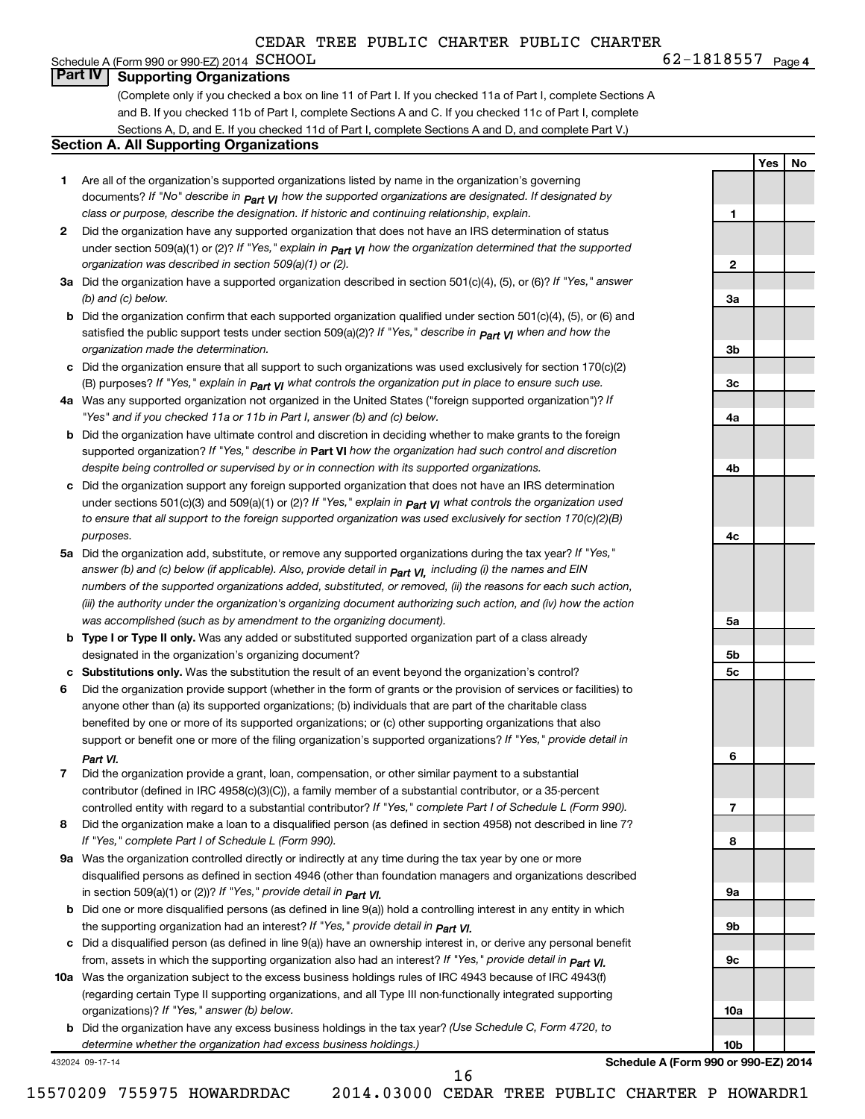#### **4**  $\text{G2}-1818557$   $\text{Page 4}$ Schedule A (Form 990 or 990-EZ) 2014 SCHOOL **Part IV Supporting Organizations**

(Complete only if you checked a box on line 11 of Part I. If you checked 11a of Part I, complete Sections A and B. If you checked 11b of Part I, complete Sections A and C. If you checked 11c of Part I, complete Sections A, D, and E. If you checked 11d of Part I, complete Sections A and D, and complete Part V.)

#### **Section A. All Supporting Organizations**

- **1** Are all of the organization's supported organizations listed by name in the organization's governing documents? If "No" describe in  $_{\mathsf{Part}}$   $_{\mathsf{V}}$  how the supported organizations are designated. If designated by *class or purpose, describe the designation. If historic and continuing relationship, explain.*
- **2** Did the organization have any supported organization that does not have an IRS determination of status under section 509(a)(1) or (2)? If "Yes," explain in  $_{\sf Part}$   $_{\sf VI}$  how the organization determined that the supported *organization was described in section 509(a)(1) or (2).*
- **3a** Did the organization have a supported organization described in section 501(c)(4), (5), or (6)? If "Yes," answer *(b) and (c) below.*
- **b** Did the organization confirm that each supported organization qualified under section 501(c)(4), (5), or (6) and satisfied the public support tests under section 509(a)(2)? If "Yes," describe in  $_{\rm Part}$   $_{\rm VI}$  when and how the *organization made the determination.*
- **c** Did the organization ensure that all support to such organizations was used exclusively for section 170(c)(2) (B) purposes? If "Yes," explain in  $_{\mathsf{Part}}$   $_{\mathsf{V}}$  what controls the organization put in place to ensure such use.
- **4 a** *If* Was any supported organization not organized in the United States ("foreign supported organization")? *"Yes" and if you checked 11a or 11b in Part I, answer (b) and (c) below.*
- **b** Did the organization have ultimate control and discretion in deciding whether to make grants to the foreign supported organization? If "Yes," describe in Part VI how the organization had such control and discretion *despite being controlled or supervised by or in connection with its supported organizations.*
- **c** Did the organization support any foreign supported organization that does not have an IRS determination under sections 501(c)(3) and 509(a)(1) or (2)? If "Yes," ex*plain in*  $_{\sf Part}$  *v*J what controls the organization used *to ensure that all support to the foreign supported organization was used exclusively for section 170(c)(2)(B) purposes.*
- **5a** Did the organization add, substitute, or remove any supported organizations during the tax year? If "Yes," answer (b) and (c) below (if applicable). Also, provide detail in  $_{\mathsf{Part}}$   $_{\mathsf{V{\mathsf{I}}}}$ , including (i) the names and EIN *numbers of the supported organizations added, substituted, or removed, (ii) the reasons for each such action, (iii) the authority under the organization's organizing document authorizing such action, and (iv) how the action was accomplished (such as by amendment to the organizing document).*
- **b** Type I or Type II only. Was any added or substituted supported organization part of a class already designated in the organization's organizing document?
- **c Substitutions only.**  Was the substitution the result of an event beyond the organization's control?
- **6** Did the organization provide support (whether in the form of grants or the provision of services or facilities) to support or benefit one or more of the filing organization's supported organizations? If "Yes," provide detail in anyone other than (a) its supported organizations; (b) individuals that are part of the charitable class benefited by one or more of its supported organizations; or (c) other supporting organizations that also *Part VI.*
- **7** Did the organization provide a grant, loan, compensation, or other similar payment to a substantial controlled entity with regard to a substantial contributor? If "Yes," complete Part I of Schedule L (Form 990). contributor (defined in IRC 4958(c)(3)(C)), a family member of a substantial contributor, or a 35-percent
- **8** Did the organization make a loan to a disqualified person (as defined in section 4958) not described in line 7? *If "Yes," complete Part I of Schedule L (Form 990).*
- **9 a** Was the organization controlled directly or indirectly at any time during the tax year by one or more *If "Yes," provide detail in*  in section 509(a)(1) or (2))? *Part VI.* disqualified persons as defined in section 4946 (other than foundation managers and organizations described
- **b** Did one or more disqualified persons (as defined in line 9(a)) hold a controlling interest in any entity in which  *If "Yes," provide detail in*  the supporting organization had an interest? *Part VI.*
- **c** Did a disqualified person (as defined in line 9(a)) have an ownership interest in, or derive any personal benefit from, assets in which the supporting organization also had an interest? If "Yes," *provide detail in Part VI.*
- **10 a** Was the organization subject to the excess business holdings rules of IRC 4943 because of IRC 4943(f)  *If "Yes," answer (b) below.* organizations)? (regarding certain Type II supporting organizations, and all Type III non-functionally integrated supporting
	- **b** Did the organization have any excess business holdings in the tax year? (Use Schedule C, Form 4720, to *determine whether the organization had excess business holdings.)*

432024 09-17-14

**Schedule A (Form 990 or 990-EZ) 2014**

15570209 755975 HOWARDRDAC 2014.03000 CEDAR TREE PUBLIC CHARTER P HOWARDR1

16

**Yes No**

**1**

**2**

**3a**

**3b**

**3c**

**4a**

**4b**

**4c**

**5a**

**5b 5c**

**6**

**7**

**8**

**9a**

**9b**

**9c**

**10a**

**10b**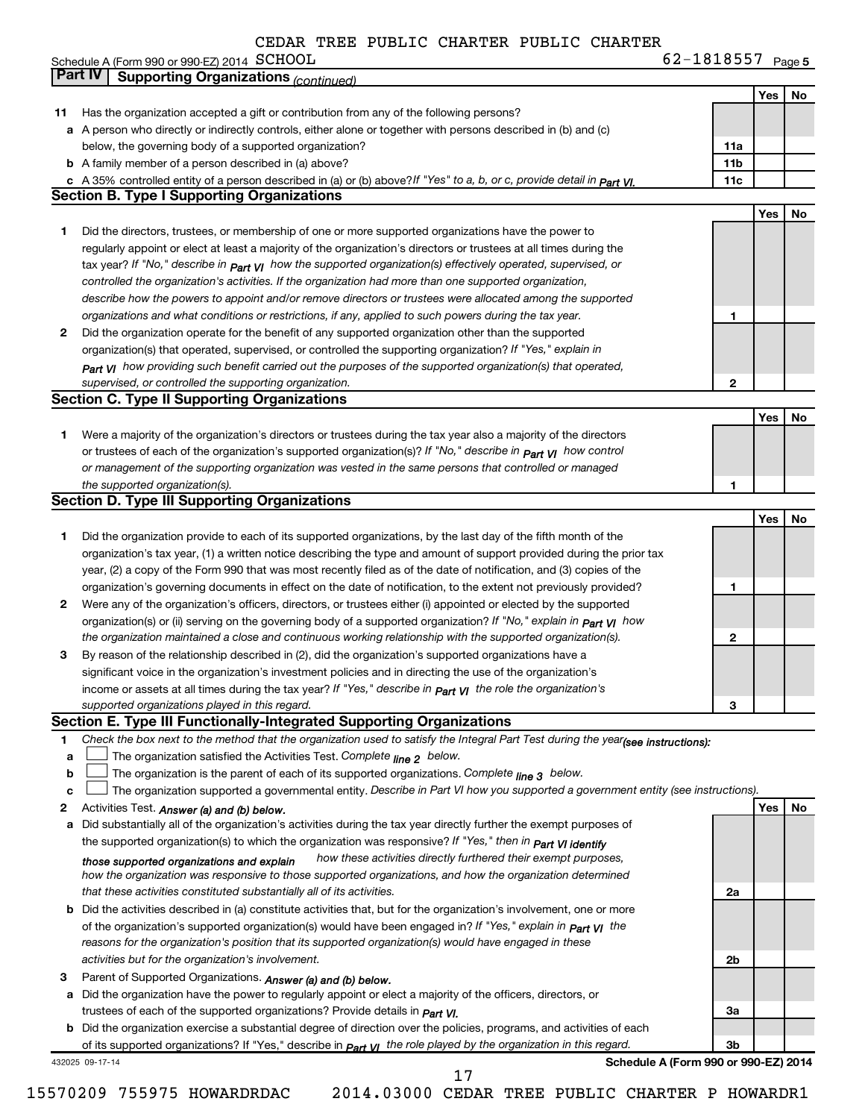|    | Schedule A (Form 990 or 990-EZ) 2014 SCHOOL                                                                                                                                                                                   | 62-1818557 Page 5 |     |    |
|----|-------------------------------------------------------------------------------------------------------------------------------------------------------------------------------------------------------------------------------|-------------------|-----|----|
|    | <b>Part IV</b><br><b>Supporting Organizations (continued)</b>                                                                                                                                                                 |                   |     |    |
|    |                                                                                                                                                                                                                               |                   | Yes | No |
| 11 | Has the organization accepted a gift or contribution from any of the following persons?                                                                                                                                       |                   |     |    |
|    | a A person who directly or indirectly controls, either alone or together with persons described in (b) and (c)                                                                                                                |                   |     |    |
|    | below, the governing body of a supported organization?                                                                                                                                                                        | 11a               |     |    |
|    | <b>b</b> A family member of a person described in (a) above?                                                                                                                                                                  | 11 <sub>b</sub>   |     |    |
|    | c A 35% controlled entity of a person described in (a) or (b) above? If "Yes" to a, b, or c, provide detail in $Part$ VI.                                                                                                     | 11c               |     |    |
|    | <b>Section B. Type I Supporting Organizations</b>                                                                                                                                                                             |                   |     |    |
|    |                                                                                                                                                                                                                               |                   | Yes | No |
| 1. | Did the directors, trustees, or membership of one or more supported organizations have the power to                                                                                                                           |                   |     |    |
|    | regularly appoint or elect at least a majority of the organization's directors or trustees at all times during the                                                                                                            |                   |     |    |
|    | tax year? If "No," describe in $p_{art}$ VI how the supported organization(s) effectively operated, supervised, or<br>controlled the organization's activities. If the organization had more than one supported organization, |                   |     |    |
|    | describe how the powers to appoint and/or remove directors or trustees were allocated among the supported                                                                                                                     |                   |     |    |
|    | organizations and what conditions or restrictions, if any, applied to such powers during the tax year.                                                                                                                        | 1                 |     |    |
| 2  | Did the organization operate for the benefit of any supported organization other than the supported                                                                                                                           |                   |     |    |
|    | organization(s) that operated, supervised, or controlled the supporting organization? If "Yes," explain in                                                                                                                    |                   |     |    |
|    | Part VI how providing such benefit carried out the purposes of the supported organization(s) that operated,                                                                                                                   |                   |     |    |
|    | supervised, or controlled the supporting organization.                                                                                                                                                                        | 2                 |     |    |
|    | <b>Section C. Type II Supporting Organizations</b>                                                                                                                                                                            |                   |     |    |
|    |                                                                                                                                                                                                                               |                   | Yes | No |
| 1  | Were a majority of the organization's directors or trustees during the tax year also a majority of the directors                                                                                                              |                   |     |    |
|    | or trustees of each of the organization's supported organization(s)? If "No," describe in part VI how control                                                                                                                 |                   |     |    |
|    | or management of the supporting organization was vested in the same persons that controlled or managed                                                                                                                        |                   |     |    |
|    | the supported organization(s).                                                                                                                                                                                                | 1                 |     |    |
|    | <b>Section D. Type III Supporting Organizations</b>                                                                                                                                                                           |                   |     |    |
|    |                                                                                                                                                                                                                               |                   | Yes | No |
| 1  | Did the organization provide to each of its supported organizations, by the last day of the fifth month of the                                                                                                                |                   |     |    |
|    | organization's tax year, (1) a written notice describing the type and amount of support provided during the prior tax                                                                                                         |                   |     |    |
|    | year, (2) a copy of the Form 990 that was most recently filed as of the date of notification, and (3) copies of the                                                                                                           |                   |     |    |
|    | organization's governing documents in effect on the date of notification, to the extent not previously provided?                                                                                                              | 1                 |     |    |
| 2  | Were any of the organization's officers, directors, or trustees either (i) appointed or elected by the supported                                                                                                              |                   |     |    |
|    | organization(s) or (ii) serving on the governing body of a supported organization? If "No," explain in <b>Part VI</b> how                                                                                                     |                   |     |    |
|    | the organization maintained a close and continuous working relationship with the supported organization(s).                                                                                                                   | 2                 |     |    |
| 3  | By reason of the relationship described in (2), did the organization's supported organizations have a                                                                                                                         |                   |     |    |
|    | significant voice in the organization's investment policies and in directing the use of the organization's                                                                                                                    |                   |     |    |
|    | income or assets at all times during the tax year? If "Yes," describe in $P_{\text{art}}$ y the role the organization's<br>supported organizations played in this regard.                                                     | 3                 |     |    |
|    | Section E. Type III Functionally-Integrated Supporting Organizations                                                                                                                                                          |                   |     |    |
| 1  | Check the box next to the method that the organization used to satisfy the Integral Part Test during the year(see instructions):                                                                                              |                   |     |    |
| a  | The organization satisfied the Activities Test. Complete line 2 below.                                                                                                                                                        |                   |     |    |
| b  | The organization is the parent of each of its supported organizations. Complete $_{\text{line 3}}$ below.                                                                                                                     |                   |     |    |
| c  | The organization supported a governmental entity. Describe in Part VI how you supported a government entity (see instructions).                                                                                               |                   |     |    |
| 2  | Activities Test. Answer (a) and (b) below.                                                                                                                                                                                    |                   | Yes | No |
| а  | Did substantially all of the organization's activities during the tax year directly further the exempt purposes of                                                                                                            |                   |     |    |
|    | the supported organization(s) to which the organization was responsive? If "Yes," then in Part VI identify                                                                                                                    |                   |     |    |
|    | how these activities directly furthered their exempt purposes,<br>those supported organizations and explain                                                                                                                   |                   |     |    |
|    | how the organization was responsive to those supported organizations, and how the organization determined                                                                                                                     |                   |     |    |
|    | that these activities constituted substantially all of its activities.                                                                                                                                                        | 2a                |     |    |
|    | <b>b</b> Did the activities described in (a) constitute activities that, but for the organization's involvement, one or more                                                                                                  |                   |     |    |
|    | of the organization's supported organization(s) would have been engaged in? If "Yes," explain in part VI the                                                                                                                  |                   |     |    |
|    | reasons for the organization's position that its supported organization(s) would have engaged in these                                                                                                                        |                   |     |    |
|    | activities but for the organization's involvement.                                                                                                                                                                            | 2b                |     |    |
| з  | Parent of Supported Organizations. Answer (a) and (b) below.                                                                                                                                                                  |                   |     |    |
|    | a Did the organization have the power to regularly appoint or elect a majority of the officers, directors, or                                                                                                                 |                   |     |    |
|    | trustees of each of the supported organizations? Provide details in Part VI.                                                                                                                                                  | За                |     |    |
|    | <b>b</b> Did the organization exercise a substantial degree of direction over the policies, programs, and activities of each                                                                                                  |                   |     |    |
|    | of its supported organizations? If "Yes," describe in $Part$ $V1$ the role played by the organization in this regard.<br>Schedule A (Form 990 or 990-EZ) 2014                                                                 | 3b                |     |    |
|    | 432025 09-17-14                                                                                                                                                                                                               |                   |     |    |

17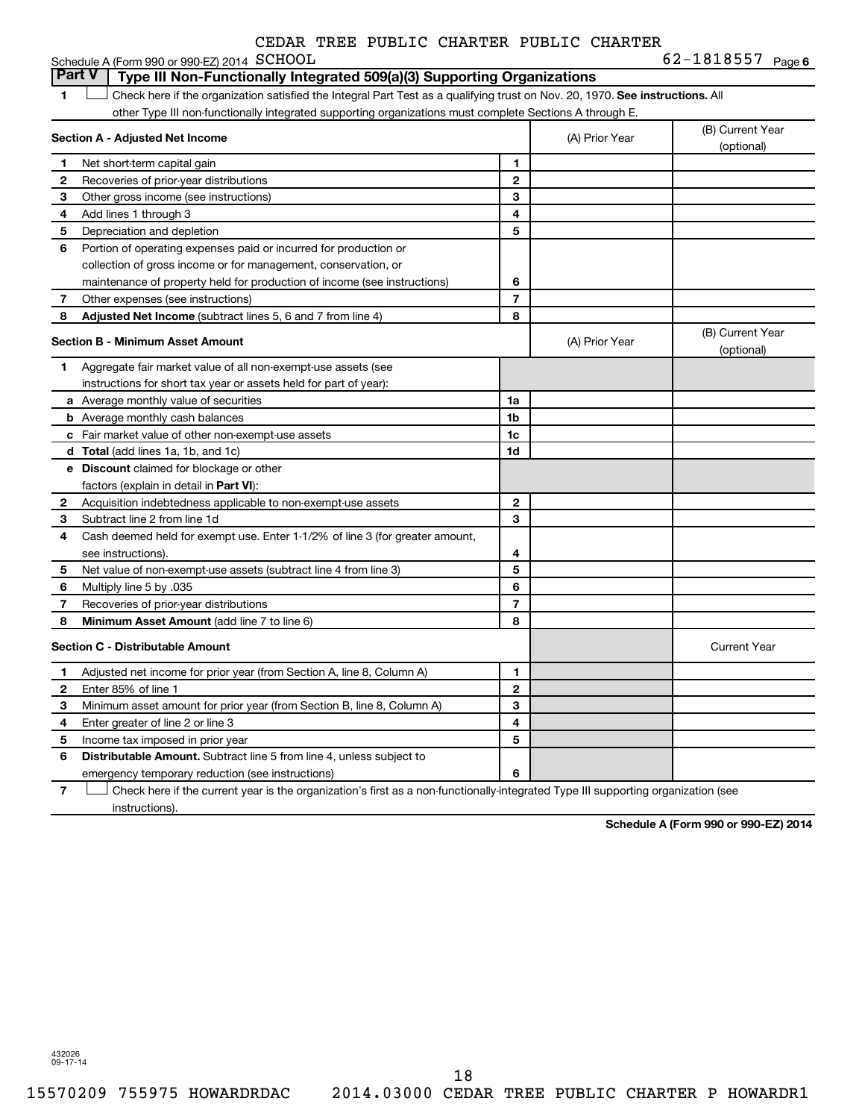| CEDAR TREE PUBLIC CHARTER PUBLIC CHARTER |  |  |  |  |  |
|------------------------------------------|--|--|--|--|--|
|------------------------------------------|--|--|--|--|--|

|               | Schedule A (Form 990 or 990-EZ) 2014 SCHOOL                                                                                   |                |                | 62-1818557 Page 6              |
|---------------|-------------------------------------------------------------------------------------------------------------------------------|----------------|----------------|--------------------------------|
| <b>Part V</b> | Type III Non-Functionally Integrated 509(a)(3) Supporting Organizations                                                       |                |                |                                |
| 1             | Check here if the organization satisfied the Integral Part Test as a qualifying trust on Nov. 20, 1970. See instructions. All |                |                |                                |
|               | other Type III non-functionally integrated supporting organizations must complete Sections A through E.                       |                |                |                                |
|               | Section A - Adjusted Net Income                                                                                               |                | (A) Prior Year | (B) Current Year<br>(optional) |
| 1.            | Net short-term capital gain                                                                                                   | 1              |                |                                |
| 2             | Recoveries of prior-year distributions                                                                                        | $\mathbf{2}$   |                |                                |
| 3             | Other gross income (see instructions)                                                                                         | 3              |                |                                |
| 4             | Add lines 1 through 3                                                                                                         | 4              |                |                                |
| 5             | Depreciation and depletion                                                                                                    | 5              |                |                                |
| 6             | Portion of operating expenses paid or incurred for production or                                                              |                |                |                                |
|               | collection of gross income or for management, conservation, or                                                                |                |                |                                |
|               | maintenance of property held for production of income (see instructions)                                                      | 6              |                |                                |
| 7             | Other expenses (see instructions)                                                                                             | 7              |                |                                |
| 8             | Adjusted Net Income (subtract lines 5, 6 and 7 from line 4)                                                                   | 8              |                |                                |
|               | <b>Section B - Minimum Asset Amount</b>                                                                                       |                | (A) Prior Year | (B) Current Year<br>(optional) |
| 1.            | Aggregate fair market value of all non-exempt-use assets (see                                                                 |                |                |                                |
|               | instructions for short tax year or assets held for part of year):                                                             |                |                |                                |
|               | <b>a</b> Average monthly value of securities                                                                                  | 1a             |                |                                |
|               | <b>b</b> Average monthly cash balances                                                                                        | 1b             |                |                                |
|               | c Fair market value of other non-exempt-use assets                                                                            | 1c             |                |                                |
|               | d Total (add lines 1a, 1b, and 1c)                                                                                            | 1d             |                |                                |
|               | <b>e</b> Discount claimed for blockage or other                                                                               |                |                |                                |
|               | factors (explain in detail in Part VI):                                                                                       |                |                |                                |
| 2             | Acquisition indebtedness applicable to non-exempt-use assets                                                                  | $\mathbf{2}$   |                |                                |
| з             | Subtract line 2 from line 1d                                                                                                  | 3              |                |                                |
| 4             | Cash deemed held for exempt use. Enter 1-1/2% of line 3 (for greater amount,                                                  |                |                |                                |
|               | see instructions).                                                                                                            | 4              |                |                                |
| 5             | Net value of non-exempt-use assets (subtract line 4 from line 3)                                                              | 5              |                |                                |
| 6             | Multiply line 5 by .035                                                                                                       | 6              |                |                                |
| 7             | Recoveries of prior-year distributions                                                                                        | $\overline{7}$ |                |                                |
| 8             | Minimum Asset Amount (add line 7 to line 6)                                                                                   | 8              |                |                                |
|               | <b>Section C - Distributable Amount</b>                                                                                       |                |                | <b>Current Year</b>            |
| 1             | Adjusted net income for prior year (from Section A, line 8, Column A)                                                         | 1              |                |                                |
| 2             | Enter 85% of line 1                                                                                                           | $\mathbf{2}$   |                |                                |
| 3             | Minimum asset amount for prior year (from Section B, line 8, Column A)                                                        | 3              |                |                                |
| 4             | Enter greater of line 2 or line 3                                                                                             | 4              |                |                                |
| 5             | Income tax imposed in prior year                                                                                              | 5              |                |                                |
| 6             | <b>Distributable Amount.</b> Subtract line 5 from line 4, unless subject to                                                   |                |                |                                |
|               | emergency temporary reduction (see instructions)                                                                              | 6              |                |                                |

**7** Let Check here if the current year is the organization's first as a non-functionally-integrated Type III supporting organization (see instructions).

**Schedule A (Form 990 or 990-EZ) 2014**

432026 09-17-14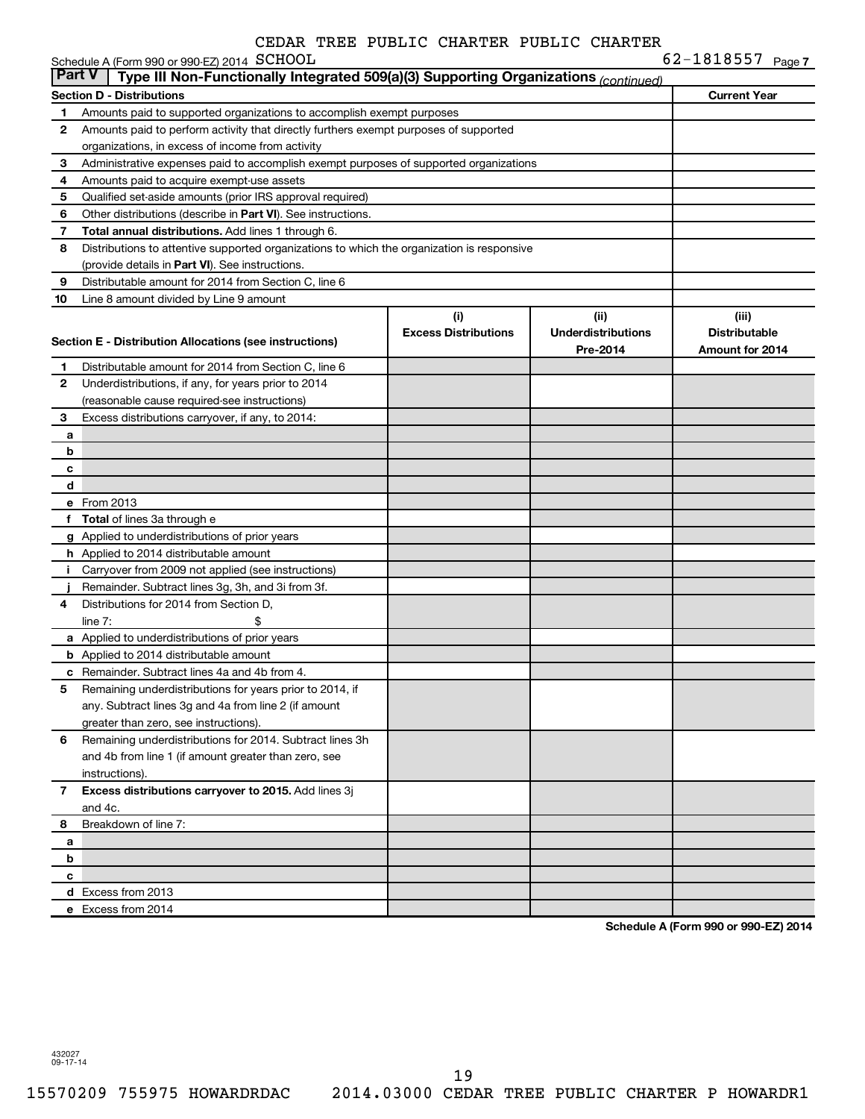|                | Schedule A (Form 990 or 990-EZ) 2014 SCHOOL                                                |                             |                           | 62-1818557 Page 7      |  |
|----------------|--------------------------------------------------------------------------------------------|-----------------------------|---------------------------|------------------------|--|
| <b>Part V</b>  | Type III Non-Functionally Integrated 509(a)(3) Supporting Organizations (continued)        |                             |                           |                        |  |
|                | <b>Section D - Distributions</b>                                                           |                             |                           | <b>Current Year</b>    |  |
| 1              | Amounts paid to supported organizations to accomplish exempt purposes                      |                             |                           |                        |  |
| 2              | Amounts paid to perform activity that directly furthers exempt purposes of supported       |                             |                           |                        |  |
|                | organizations, in excess of income from activity                                           |                             |                           |                        |  |
| 3              | Administrative expenses paid to accomplish exempt purposes of supported organizations      |                             |                           |                        |  |
| 4              | Amounts paid to acquire exempt-use assets                                                  |                             |                           |                        |  |
| 5              | Qualified set-aside amounts (prior IRS approval required)                                  |                             |                           |                        |  |
| 6              | Other distributions (describe in <b>Part VI</b> ). See instructions.                       |                             |                           |                        |  |
| 7              | Total annual distributions. Add lines 1 through 6.                                         |                             |                           |                        |  |
| 8              | Distributions to attentive supported organizations to which the organization is responsive |                             |                           |                        |  |
|                | (provide details in Part VI). See instructions.                                            |                             |                           |                        |  |
| 9              | Distributable amount for 2014 from Section C, line 6                                       |                             |                           |                        |  |
| 10             | Line 8 amount divided by Line 9 amount                                                     |                             |                           |                        |  |
|                |                                                                                            | (i)                         | (ii)                      | (iii)                  |  |
|                | Section E - Distribution Allocations (see instructions)                                    | <b>Excess Distributions</b> | <b>Underdistributions</b> | <b>Distributable</b>   |  |
|                |                                                                                            |                             | Pre-2014                  | <b>Amount for 2014</b> |  |
| 1              | Distributable amount for 2014 from Section C, line 6                                       |                             |                           |                        |  |
| 2              | Underdistributions, if any, for years prior to 2014                                        |                             |                           |                        |  |
|                | (reasonable cause required-see instructions)                                               |                             |                           |                        |  |
| 3              | Excess distributions carryover, if any, to 2014:                                           |                             |                           |                        |  |
| a              |                                                                                            |                             |                           |                        |  |
| b              |                                                                                            |                             |                           |                        |  |
| c              |                                                                                            |                             |                           |                        |  |
| d              |                                                                                            |                             |                           |                        |  |
|                | e From 2013                                                                                |                             |                           |                        |  |
|                | f Total of lines 3a through e                                                              |                             |                           |                        |  |
|                | g Applied to underdistributions of prior years                                             |                             |                           |                        |  |
|                | <b>h</b> Applied to 2014 distributable amount                                              |                             |                           |                        |  |
| j.             | Carryover from 2009 not applied (see instructions)                                         |                             |                           |                        |  |
|                | Remainder. Subtract lines 3g, 3h, and 3i from 3f.                                          |                             |                           |                        |  |
| 4              | Distributions for 2014 from Section D,                                                     |                             |                           |                        |  |
|                | line $7:$<br>\$                                                                            |                             |                           |                        |  |
|                | a Applied to underdistributions of prior years                                             |                             |                           |                        |  |
|                | <b>b</b> Applied to 2014 distributable amount                                              |                             |                           |                        |  |
|                | <b>c</b> Remainder. Subtract lines 4a and 4b from 4.                                       |                             |                           |                        |  |
| 5              | Remaining underdistributions for years prior to 2014, if                                   |                             |                           |                        |  |
|                | any. Subtract lines 3g and 4a from line 2 (if amount                                       |                             |                           |                        |  |
|                | greater than zero, see instructions).                                                      |                             |                           |                        |  |
| 6              | Remaining underdistributions for 2014. Subtract lines 3h                                   |                             |                           |                        |  |
|                | and 4b from line 1 (if amount greater than zero, see                                       |                             |                           |                        |  |
|                | instructions).                                                                             |                             |                           |                        |  |
| $\overline{7}$ | Excess distributions carryover to 2015. Add lines 3j                                       |                             |                           |                        |  |
|                | and 4c.                                                                                    |                             |                           |                        |  |
| 8              | Breakdown of line 7:                                                                       |                             |                           |                        |  |
| а              |                                                                                            |                             |                           |                        |  |
| b              |                                                                                            |                             |                           |                        |  |
| с              |                                                                                            |                             |                           |                        |  |
|                | d Excess from 2013                                                                         |                             |                           |                        |  |
|                | e Excess from 2014                                                                         |                             |                           |                        |  |

**Schedule A (Form 990 or 990-EZ) 2014**

432027 09-17-14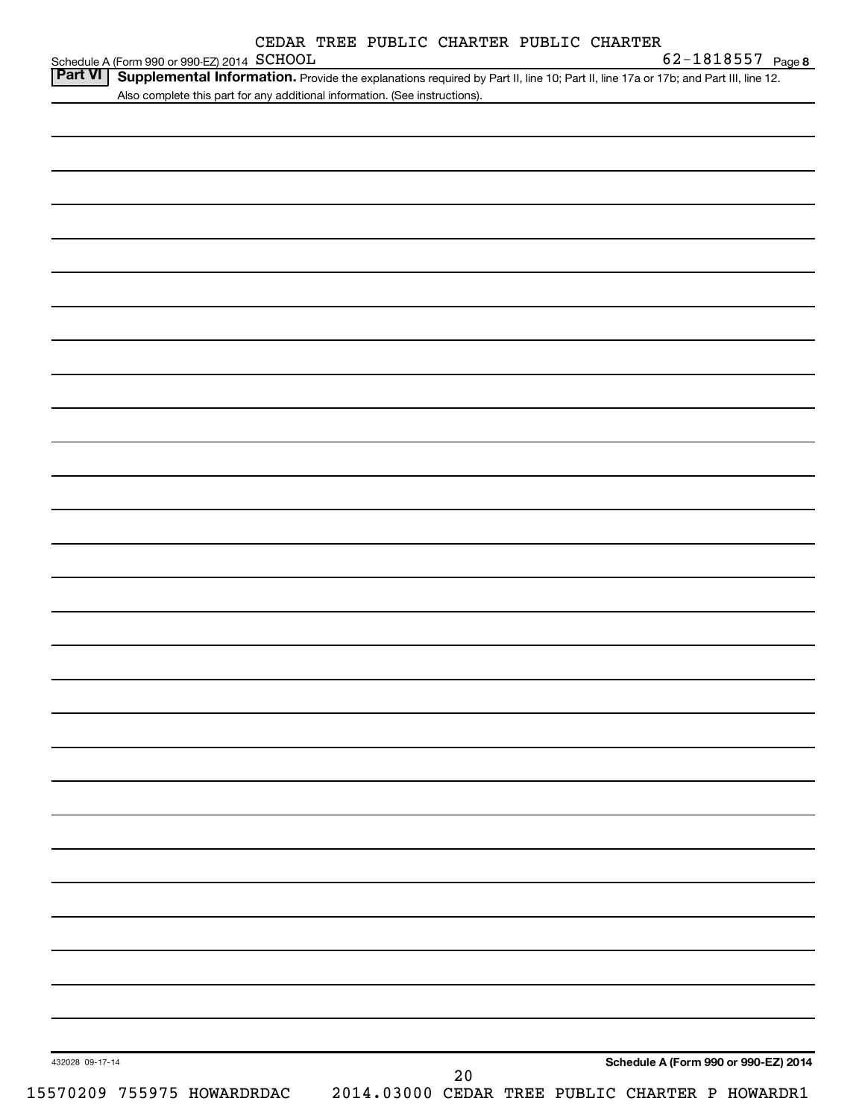|  |  |  | CEDAR TREE PUBLIC CHARTER PUBLIC CHARTER |  |  |
|--|--|--|------------------------------------------|--|--|
|--|--|--|------------------------------------------|--|--|

|                 | Schedule A (Form 990 or 990-EZ) 2014 SCHOOL |                                                                             |    |  | 62-1818557 Page 8                                                                                                                 |
|-----------------|---------------------------------------------|-----------------------------------------------------------------------------|----|--|-----------------------------------------------------------------------------------------------------------------------------------|
| Part VI         |                                             |                                                                             |    |  | Supplemental Information. Provide the explanations required by Part II, line 10; Part II, line 17a or 17b; and Part III, line 12. |
|                 |                                             | Also complete this part for any additional information. (See instructions). |    |  |                                                                                                                                   |
|                 |                                             |                                                                             |    |  |                                                                                                                                   |
|                 |                                             |                                                                             |    |  |                                                                                                                                   |
|                 |                                             |                                                                             |    |  |                                                                                                                                   |
|                 |                                             |                                                                             |    |  |                                                                                                                                   |
|                 |                                             |                                                                             |    |  |                                                                                                                                   |
|                 |                                             |                                                                             |    |  |                                                                                                                                   |
|                 |                                             |                                                                             |    |  |                                                                                                                                   |
|                 |                                             |                                                                             |    |  |                                                                                                                                   |
|                 |                                             |                                                                             |    |  |                                                                                                                                   |
|                 |                                             |                                                                             |    |  |                                                                                                                                   |
|                 |                                             |                                                                             |    |  |                                                                                                                                   |
|                 |                                             |                                                                             |    |  |                                                                                                                                   |
|                 |                                             |                                                                             |    |  |                                                                                                                                   |
|                 |                                             |                                                                             |    |  |                                                                                                                                   |
|                 |                                             |                                                                             |    |  |                                                                                                                                   |
|                 |                                             |                                                                             |    |  |                                                                                                                                   |
|                 |                                             |                                                                             |    |  |                                                                                                                                   |
|                 |                                             |                                                                             |    |  |                                                                                                                                   |
|                 |                                             |                                                                             |    |  |                                                                                                                                   |
|                 |                                             |                                                                             |    |  |                                                                                                                                   |
|                 |                                             |                                                                             |    |  |                                                                                                                                   |
|                 |                                             |                                                                             |    |  |                                                                                                                                   |
|                 |                                             |                                                                             |    |  |                                                                                                                                   |
|                 |                                             |                                                                             |    |  |                                                                                                                                   |
|                 |                                             |                                                                             |    |  |                                                                                                                                   |
|                 |                                             |                                                                             |    |  |                                                                                                                                   |
|                 |                                             |                                                                             |    |  |                                                                                                                                   |
|                 |                                             |                                                                             |    |  |                                                                                                                                   |
|                 |                                             |                                                                             |    |  |                                                                                                                                   |
|                 |                                             |                                                                             |    |  |                                                                                                                                   |
|                 |                                             |                                                                             |    |  |                                                                                                                                   |
|                 |                                             |                                                                             |    |  |                                                                                                                                   |
|                 |                                             |                                                                             |    |  |                                                                                                                                   |
|                 |                                             |                                                                             |    |  |                                                                                                                                   |
|                 |                                             |                                                                             |    |  |                                                                                                                                   |
|                 |                                             |                                                                             |    |  |                                                                                                                                   |
|                 |                                             |                                                                             |    |  |                                                                                                                                   |
|                 |                                             |                                                                             |    |  |                                                                                                                                   |
|                 |                                             |                                                                             |    |  |                                                                                                                                   |
|                 |                                             |                                                                             |    |  |                                                                                                                                   |
|                 |                                             |                                                                             |    |  |                                                                                                                                   |
|                 |                                             |                                                                             |    |  |                                                                                                                                   |
|                 |                                             |                                                                             |    |  |                                                                                                                                   |
|                 |                                             |                                                                             |    |  |                                                                                                                                   |
|                 |                                             |                                                                             |    |  |                                                                                                                                   |
|                 |                                             |                                                                             |    |  |                                                                                                                                   |
|                 |                                             |                                                                             |    |  |                                                                                                                                   |
|                 |                                             |                                                                             |    |  |                                                                                                                                   |
| 432028 09-17-14 |                                             |                                                                             |    |  | Schedule A (Form 990 or 990-EZ) 2014                                                                                              |
|                 |                                             |                                                                             | 20 |  |                                                                                                                                   |
|                 | 15570209 755975 HOWARDRDAC                  |                                                                             |    |  | 2014.03000 CEDAR TREE PUBLIC CHARTER P HOWARDR1                                                                                   |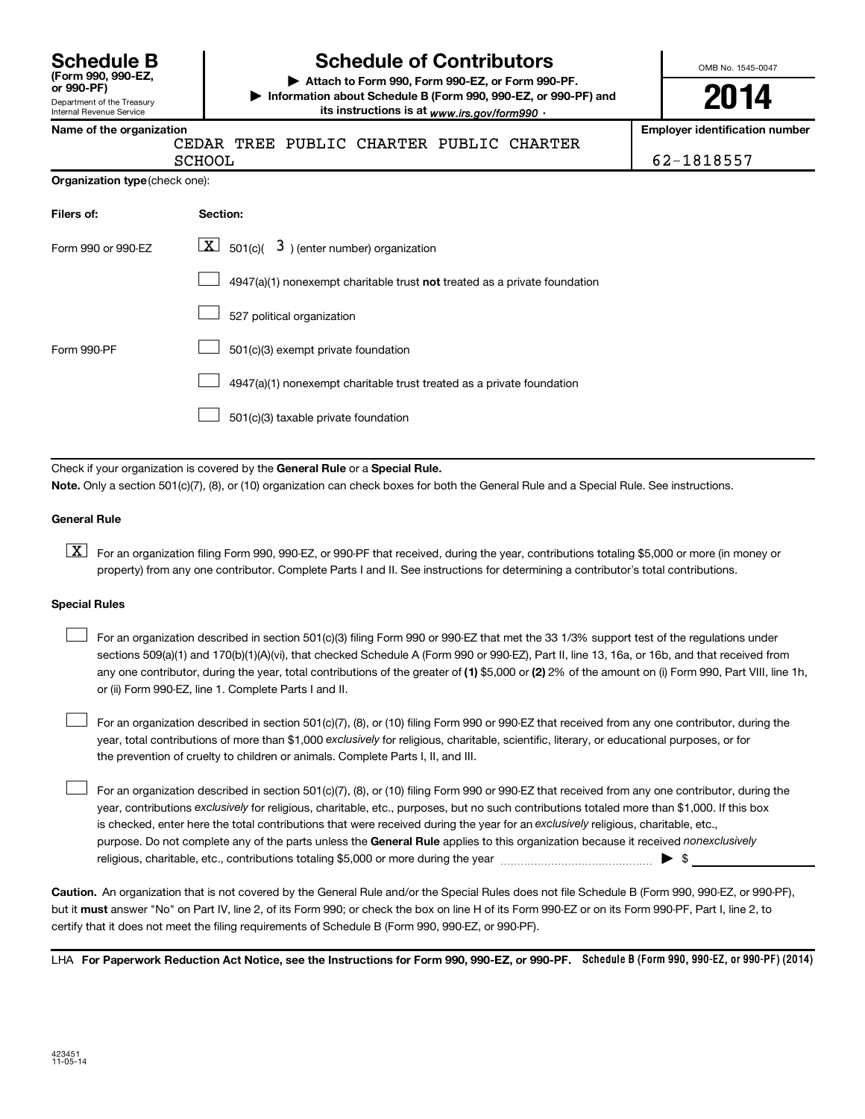| <b>Schedule B</b>  |  |
|--------------------|--|
| (Form 990, 990-EZ, |  |
| or 990-PF)         |  |

#### Department of the Treasury Internal Revenue Service

## **Schedule of Contributors**

**or 990-PF) | Attach to Form 990, Form 990-EZ, or Form 990-PF. | Information about Schedule B (Form 990, 990-EZ, or 990-PF) and** its instructions is at <sub>www.irs.gov/form990  $\cdot$ </sub>

OMB No. 1545-0047

# **2014**

**Name of the organization Employer identification number**

AR TREE PUBLIC CHARTER PUBLIC CHARTER

SCHOOL 62-1818557

| <b>Organization type</b> (check one): |  |
|---------------------------------------|--|
|---------------------------------------|--|

| Filers of:         | Section:                                                                           |
|--------------------|------------------------------------------------------------------------------------|
| Form 990 or 990-EZ | $\lfloor x \rfloor$ 501(c)( 3) (enter number) organization                         |
|                    | $4947(a)(1)$ nonexempt charitable trust <b>not</b> treated as a private foundation |
|                    | 527 political organization                                                         |
| Form 990-PF        | 501(c)(3) exempt private foundation                                                |
|                    | 4947(a)(1) nonexempt charitable trust treated as a private foundation              |
|                    | 501(c)(3) taxable private foundation                                               |

Check if your organization is covered by the General Rule or a Special Rule.

**Note.**  Only a section 501(c)(7), (8), or (10) organization can check boxes for both the General Rule and a Special Rule. See instructions.

#### **General Rule**

**K** For an organization filing Form 990, 990-EZ, or 990-PF that received, during the year, contributions totaling \$5,000 or more (in money or property) from any one contributor. Complete Parts I and II. See instructions for determining a contributor's total contributions.

#### **Special Rules**

 $\Box$ 

any one contributor, during the year, total contributions of the greater of **(1)** \$5,000 or **(2)** 2% of the amount on (i) Form 990, Part VIII, line 1h, For an organization described in section 501(c)(3) filing Form 990 or 990-EZ that met the 33 1/3% support test of the regulations under sections 509(a)(1) and 170(b)(1)(A)(vi), that checked Schedule A (Form 990 or 990-EZ), Part II, line 13, 16a, or 16b, and that received from or (ii) Form 990-EZ, line 1. Complete Parts I and II.  $\Box$ 

year, total contributions of more than \$1,000 *exclusively* for religious, charitable, scientific, literary, or educational purposes, or for For an organization described in section 501(c)(7), (8), or (10) filing Form 990 or 990-EZ that received from any one contributor, during the the prevention of cruelty to children or animals. Complete Parts I, II, and III.  $\Box$ 

purpose. Do not complete any of the parts unless the General Rule applies to this organization because it received nonexclusively year, contributions exclusively for religious, charitable, etc., purposes, but no such contributions totaled more than \$1,000. If this box is checked, enter here the total contributions that were received during the year for an exclusively religious, charitable, etc., For an organization described in section 501(c)(7), (8), or (10) filing Form 990 or 990-EZ that received from any one contributor, during the religious, charitable, etc., contributions totaling \$5,000 or more during the year  $\ldots$  $\ldots$  $\ldots$  $\ldots$  $\ldots$  $\ldots$ 

**Caution.** An organization that is not covered by the General Rule and/or the Special Rules does not file Schedule B (Form 990, 990-EZ, or 990-PF),  **must** but it answer "No" on Part IV, line 2, of its Form 990; or check the box on line H of its Form 990-EZ or on its Form 990-PF, Part I, line 2, to certify that it does not meet the filing requirements of Schedule B (Form 990, 990-EZ, or 990-PF).

LHA For Paperwork Reduction Act Notice, see the Instructions for Form 990, 990-EZ, or 990-PF. Schedule B (Form 990, 990-EZ, or 990-PF) (2014)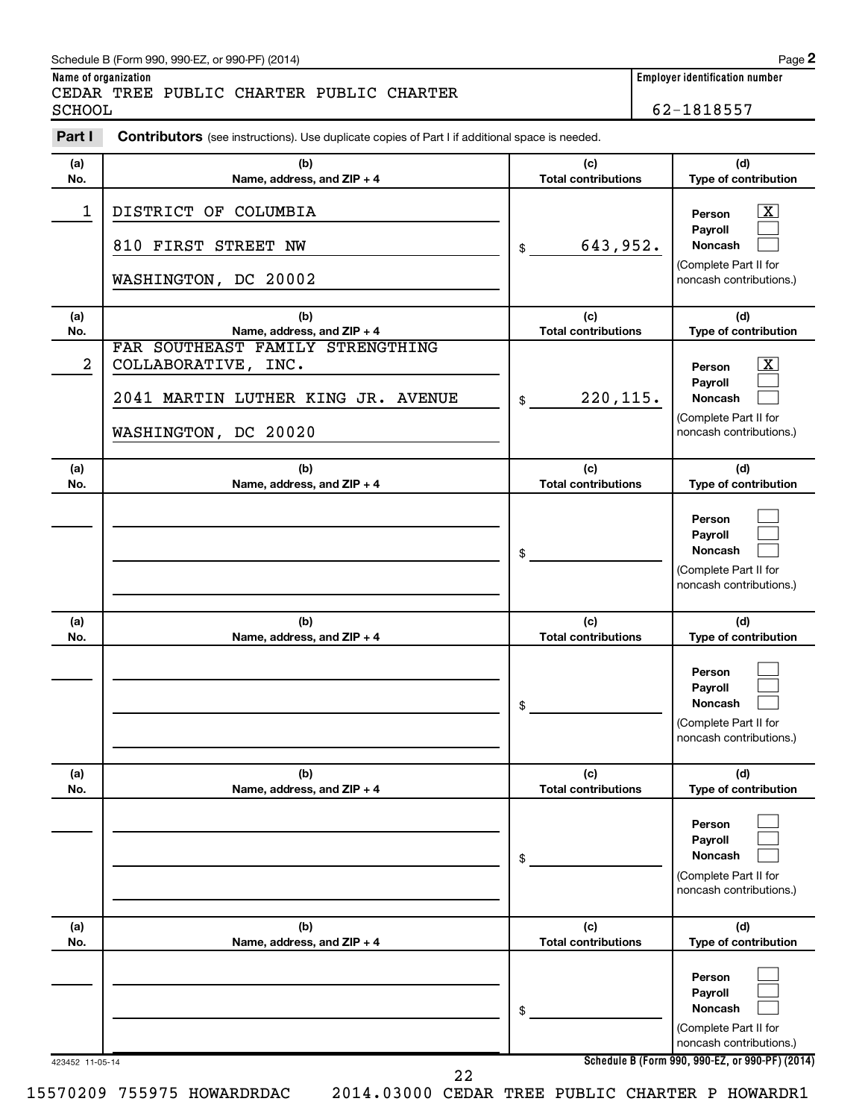| Schedule B (Form 990, 990-EZ, or 990-PF) (2014) | Page |
|-------------------------------------------------|------|
|-------------------------------------------------|------|

**Name of organization Employer identification number**

62-1818557

| Part I           | <b>Contributors</b> (see instructions). Use duplicate copies of Part I if additional space is needed.                 |                                   |                                                                                                             |
|------------------|-----------------------------------------------------------------------------------------------------------------------|-----------------------------------|-------------------------------------------------------------------------------------------------------------|
| (a)<br>No.       | (b)<br>Name, address, and ZIP + 4                                                                                     | (c)<br><b>Total contributions</b> | (d)<br>Type of contribution                                                                                 |
| 1                | DISTRICT OF COLUMBIA<br>810 FIRST STREET NW<br>WASHINGTON, DC 20002                                                   | 643,952.<br>\$                    | $\overline{\mathbf{X}}$<br>Person<br>Payroll<br>Noncash<br>(Complete Part II for<br>noncash contributions.) |
| (a)<br>No.       | (b)<br>Name, address, and ZIP + 4                                                                                     | (c)<br><b>Total contributions</b> | (d)<br>Type of contribution                                                                                 |
| $\boldsymbol{2}$ | FAR SOUTHEAST FAMILY STRENGTHING<br>COLLABORATIVE, INC.<br>2041 MARTIN LUTHER KING JR. AVENUE<br>WASHINGTON, DC 20020 | 220, 115.<br>\$                   | $\mathbf{X}$<br>Person<br>Payroll<br>Noncash<br>(Complete Part II for<br>noncash contributions.)            |
| (a)<br>No.       | (b)<br>Name, address, and ZIP + 4                                                                                     | (c)<br><b>Total contributions</b> | (d)<br>Type of contribution                                                                                 |
|                  |                                                                                                                       | \$                                | Person<br>Payroll<br><b>Noncash</b><br>(Complete Part II for<br>noncash contributions.)                     |
| (a)<br>No.       | (b)<br>Name, address, and ZIP + 4                                                                                     | (c)<br><b>Total contributions</b> | (d)<br>Type of contribution                                                                                 |
|                  |                                                                                                                       | \$                                | Person<br>Payroll<br><b>Noncash</b><br>(Complete Part II for<br>noncash contributions.)                     |
| (a)<br>No.       | (b)<br>Name, address, and ZIP + 4                                                                                     | (c)<br><b>Total contributions</b> | (d)<br>Type of contribution                                                                                 |
|                  |                                                                                                                       | \$                                | Person<br>Payroll<br><b>Noncash</b><br>(Complete Part II for<br>noncash contributions.)                     |
| (a)<br>No.       | (b)<br>Name, address, and ZIP + 4                                                                                     | (c)<br><b>Total contributions</b> | (d)<br>Type of contribution                                                                                 |
|                  |                                                                                                                       | \$                                | Person<br>Payroll<br><b>Noncash</b><br>(Complete Part II for<br>noncash contributions.)                     |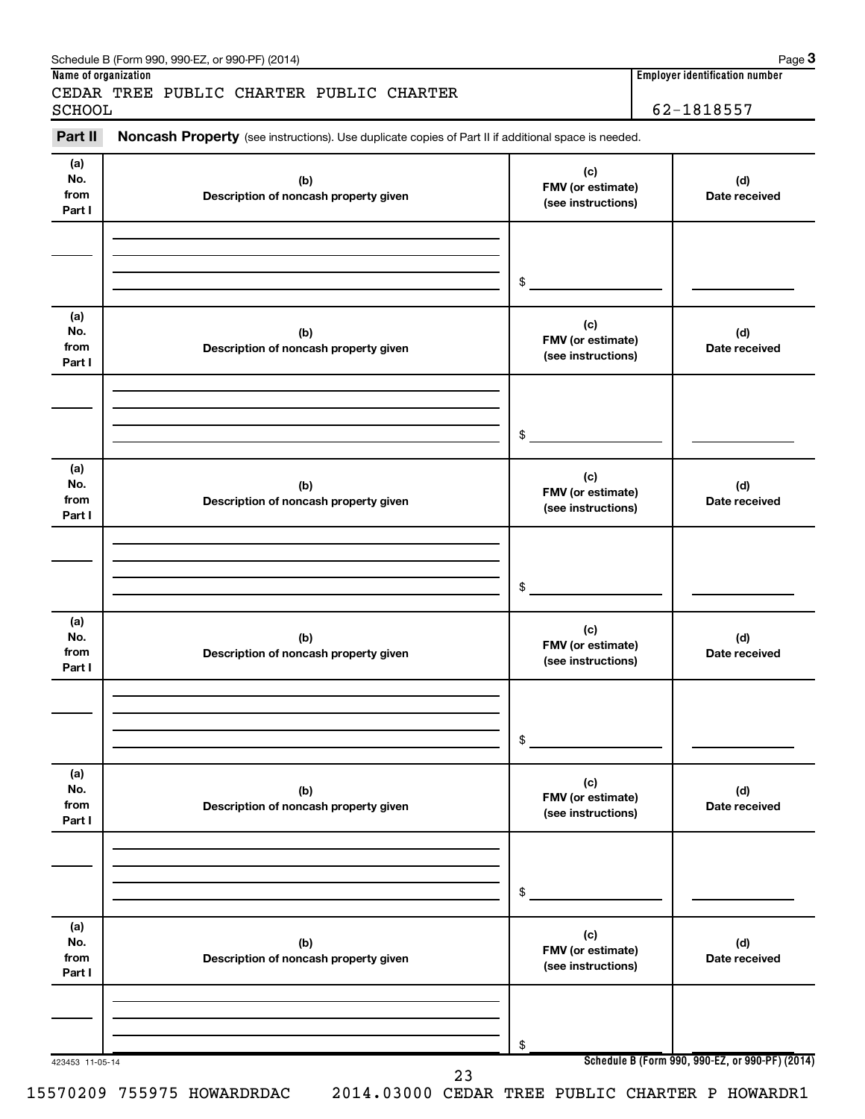| Part II                      | Noncash Property (see instructions). Use duplicate copies of Part II if additional space is needed. |                                                |                      |
|------------------------------|-----------------------------------------------------------------------------------------------------|------------------------------------------------|----------------------|
| (a)<br>No.<br>from<br>Part I | (b)<br>Description of noncash property given                                                        | (c)<br>FMV (or estimate)<br>(see instructions) | (d)<br>Date received |
|                              |                                                                                                     | $\mathsf{s}$                                   |                      |
| (a)<br>No.<br>from<br>Part I | (b)<br>Description of noncash property given                                                        | (c)<br>FMV (or estimate)<br>(see instructions) | (d)<br>Date received |
|                              |                                                                                                     | $$^{\circ}$                                    |                      |
| (a)<br>No.<br>from<br>Part I | (b)<br>Description of noncash property given                                                        | (c)<br>FMV (or estimate)<br>(see instructions) | (d)<br>Date received |
|                              |                                                                                                     | \$                                             |                      |
| (a)<br>No.<br>from<br>Part I | (b)<br>Description of noncash property given                                                        | (c)<br>FMV (or estimate)<br>(see instructions) | (d)<br>Date received |
|                              |                                                                                                     | \$                                             |                      |
| (a)<br>No.<br>from<br>Part I | (b)<br>Description of noncash property given                                                        | (c)<br>FMV (or estimate)<br>(see instructions) | (d)<br>Date received |
|                              |                                                                                                     | \$                                             |                      |
| (a)<br>No.<br>from<br>Part I | (b)<br>Description of noncash property given                                                        | (c)<br>FMV (or estimate)<br>(see instructions) | (d)<br>Date received |
|                              |                                                                                                     | \$                                             |                      |

Schedule B (Form 990, 990-EZ, or 990-PF) (2014)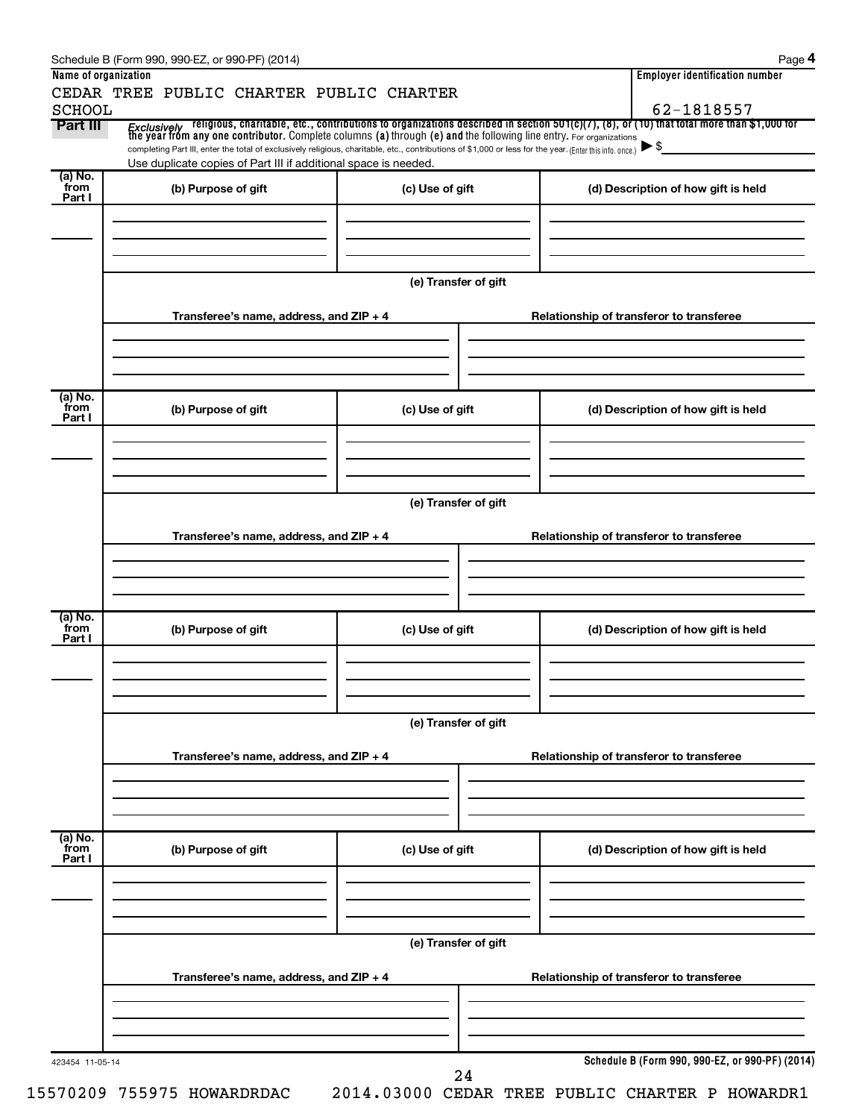|                  | CEDAR TREE PUBLIC CHARTER PUBLIC CHARTER                                                                                                                                                                                    |                                          |                                                                                                                                                                                                                                                                     |  |  |  |  |
|------------------|-----------------------------------------------------------------------------------------------------------------------------------------------------------------------------------------------------------------------------|------------------------------------------|---------------------------------------------------------------------------------------------------------------------------------------------------------------------------------------------------------------------------------------------------------------------|--|--|--|--|
| <b>SCHOOL</b>    |                                                                                                                                                                                                                             |                                          | 62-1818557                                                                                                                                                                                                                                                          |  |  |  |  |
| Part III         |                                                                                                                                                                                                                             |                                          | <i>Exclusively</i> religious, charitable, etc., contributions to organizations described in section 501(c)(7), (8), or (10) that total more than \$1,000 for<br>the year from any one contributor. Complete columns (a) through (e) and<br>$\blacktriangleright$ \$ |  |  |  |  |
|                  | completing Part III, enter the total of exclusively religious, charitable, etc., contributions of \$1,000 or less for the year. (Enter this info. once.)<br>Use duplicate copies of Part III if additional space is needed. |                                          |                                                                                                                                                                                                                                                                     |  |  |  |  |
| (a) No.<br>from  | (b) Purpose of gift                                                                                                                                                                                                         | (c) Use of gift                          | (d) Description of how gift is held                                                                                                                                                                                                                                 |  |  |  |  |
| Part I           |                                                                                                                                                                                                                             |                                          |                                                                                                                                                                                                                                                                     |  |  |  |  |
|                  |                                                                                                                                                                                                                             |                                          |                                                                                                                                                                                                                                                                     |  |  |  |  |
|                  |                                                                                                                                                                                                                             |                                          |                                                                                                                                                                                                                                                                     |  |  |  |  |
|                  |                                                                                                                                                                                                                             | (e) Transfer of gift                     |                                                                                                                                                                                                                                                                     |  |  |  |  |
|                  |                                                                                                                                                                                                                             |                                          |                                                                                                                                                                                                                                                                     |  |  |  |  |
|                  | Transferee's name, address, and ZIP + 4                                                                                                                                                                                     |                                          | Relationship of transferor to transferee                                                                                                                                                                                                                            |  |  |  |  |
|                  |                                                                                                                                                                                                                             |                                          |                                                                                                                                                                                                                                                                     |  |  |  |  |
|                  |                                                                                                                                                                                                                             |                                          |                                                                                                                                                                                                                                                                     |  |  |  |  |
| (a) No.          |                                                                                                                                                                                                                             |                                          |                                                                                                                                                                                                                                                                     |  |  |  |  |
| `from<br>Part I  | (b) Purpose of gift                                                                                                                                                                                                         | (c) Use of gift                          | (d) Description of how gift is held                                                                                                                                                                                                                                 |  |  |  |  |
|                  |                                                                                                                                                                                                                             |                                          |                                                                                                                                                                                                                                                                     |  |  |  |  |
|                  |                                                                                                                                                                                                                             |                                          |                                                                                                                                                                                                                                                                     |  |  |  |  |
|                  | (e) Transfer of gift                                                                                                                                                                                                        |                                          |                                                                                                                                                                                                                                                                     |  |  |  |  |
|                  |                                                                                                                                                                                                                             |                                          |                                                                                                                                                                                                                                                                     |  |  |  |  |
|                  | Transferee's name, address, and ZIP + 4                                                                                                                                                                                     | Relationship of transferor to transferee |                                                                                                                                                                                                                                                                     |  |  |  |  |
|                  |                                                                                                                                                                                                                             |                                          |                                                                                                                                                                                                                                                                     |  |  |  |  |
|                  |                                                                                                                                                                                                                             |                                          |                                                                                                                                                                                                                                                                     |  |  |  |  |
| (a) No.<br>`from |                                                                                                                                                                                                                             |                                          |                                                                                                                                                                                                                                                                     |  |  |  |  |
| Part I           | (b) Purpose of gift                                                                                                                                                                                                         | (c) Use of gift                          | (d) Description of how gift is held                                                                                                                                                                                                                                 |  |  |  |  |
|                  |                                                                                                                                                                                                                             |                                          |                                                                                                                                                                                                                                                                     |  |  |  |  |
|                  |                                                                                                                                                                                                                             |                                          |                                                                                                                                                                                                                                                                     |  |  |  |  |
|                  | (e) Transfer of gift                                                                                                                                                                                                        |                                          |                                                                                                                                                                                                                                                                     |  |  |  |  |
|                  |                                                                                                                                                                                                                             |                                          |                                                                                                                                                                                                                                                                     |  |  |  |  |
|                  | Transferee's name, address, and ZIP + 4                                                                                                                                                                                     |                                          | Relationship of transferor to transferee                                                                                                                                                                                                                            |  |  |  |  |
|                  |                                                                                                                                                                                                                             |                                          |                                                                                                                                                                                                                                                                     |  |  |  |  |
|                  |                                                                                                                                                                                                                             |                                          |                                                                                                                                                                                                                                                                     |  |  |  |  |
| (a) No.<br>from  | (b) Purpose of gift                                                                                                                                                                                                         | (c) Use of gift                          | (d) Description of how gift is held                                                                                                                                                                                                                                 |  |  |  |  |
| Part I           |                                                                                                                                                                                                                             |                                          |                                                                                                                                                                                                                                                                     |  |  |  |  |
|                  |                                                                                                                                                                                                                             |                                          |                                                                                                                                                                                                                                                                     |  |  |  |  |
|                  |                                                                                                                                                                                                                             |                                          |                                                                                                                                                                                                                                                                     |  |  |  |  |
|                  |                                                                                                                                                                                                                             |                                          |                                                                                                                                                                                                                                                                     |  |  |  |  |
|                  |                                                                                                                                                                                                                             | (e) Transfer of gift                     |                                                                                                                                                                                                                                                                     |  |  |  |  |
|                  |                                                                                                                                                                                                                             |                                          |                                                                                                                                                                                                                                                                     |  |  |  |  |
|                  | Transferee's name, address, and ZIP + 4                                                                                                                                                                                     |                                          | Relationship of transferor to transferee                                                                                                                                                                                                                            |  |  |  |  |
|                  |                                                                                                                                                                                                                             |                                          |                                                                                                                                                                                                                                                                     |  |  |  |  |
|                  |                                                                                                                                                                                                                             |                                          |                                                                                                                                                                                                                                                                     |  |  |  |  |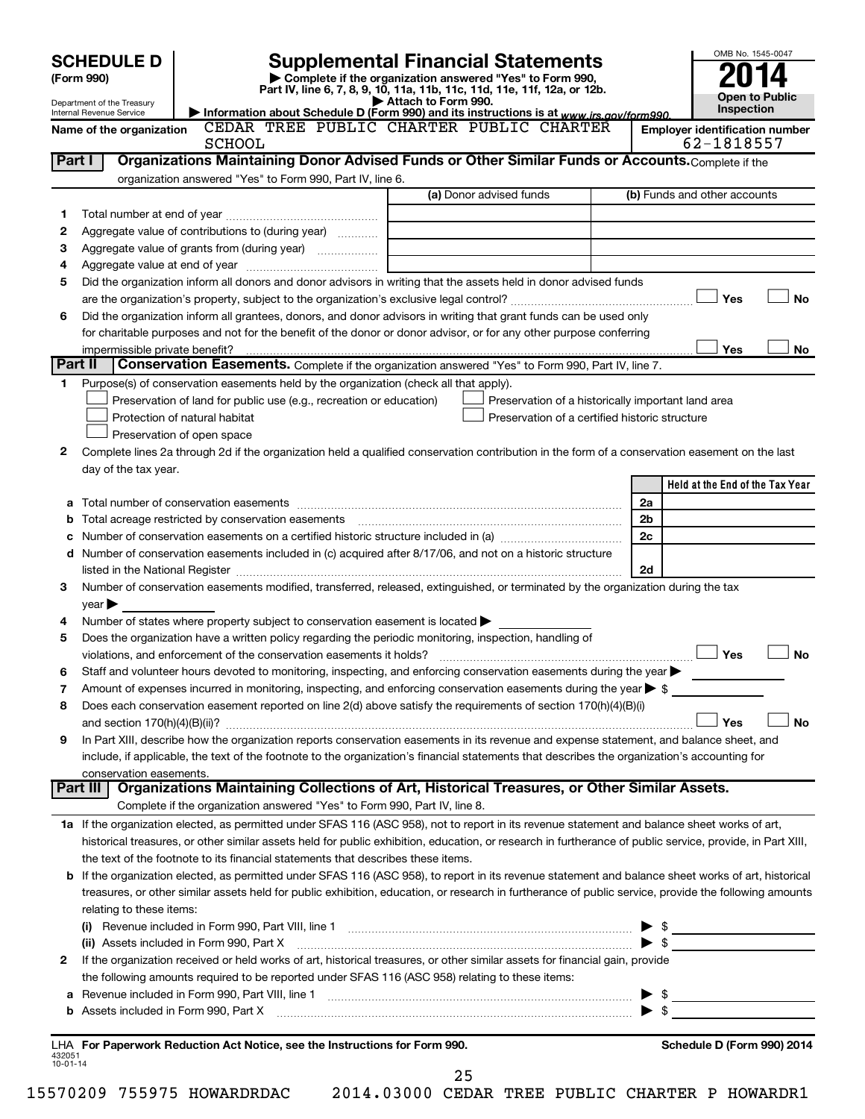| <b>SCHEDULE D</b>                                    |                                                                     | <b>Supplemental Financial Statements</b>                                                                                                                                                                                                                                                |                                                    |                |                                       | OMB No. 1545-0047                   |
|------------------------------------------------------|---------------------------------------------------------------------|-----------------------------------------------------------------------------------------------------------------------------------------------------------------------------------------------------------------------------------------------------------------------------------------|----------------------------------------------------|----------------|---------------------------------------|-------------------------------------|
| (Form 990)                                           |                                                                     | Complete if the organization answered "Yes" to Form 990,<br>Part IV, line 6, 7, 8, 9, 10, 11a, 11b, 11c, 11d, 11e, 11f, 12a, or 12b.                                                                                                                                                    |                                                    |                |                                       |                                     |
| Department of the Treasury                           |                                                                     | Attach to Form 990.                                                                                                                                                                                                                                                                     |                                                    |                |                                       | <b>Open to Public</b><br>Inspection |
| Internal Revenue Service<br>Name of the organization |                                                                     | Information about Schedule D (Form 990) and its instructions is at www.irs.gov/form990.<br>CEDAR TREE PUBLIC CHARTER PUBLIC CHARTER                                                                                                                                                     |                                                    |                | <b>Employer identification number</b> |                                     |
|                                                      | <b>SCHOOL</b>                                                       |                                                                                                                                                                                                                                                                                         |                                                    |                | 62-1818557                            |                                     |
| Part I                                               |                                                                     | Organizations Maintaining Donor Advised Funds or Other Similar Funds or Accounts. Complete if the                                                                                                                                                                                       |                                                    |                |                                       |                                     |
|                                                      | organization answered "Yes" to Form 990, Part IV, line 6.           |                                                                                                                                                                                                                                                                                         |                                                    |                |                                       |                                     |
|                                                      |                                                                     |                                                                                                                                                                                                                                                                                         | (a) Donor advised funds                            |                | (b) Funds and other accounts          |                                     |
| 1                                                    |                                                                     |                                                                                                                                                                                                                                                                                         |                                                    |                |                                       |                                     |
| 2                                                    | Aggregate value of contributions to (during year)                   |                                                                                                                                                                                                                                                                                         |                                                    |                |                                       |                                     |
| з                                                    |                                                                     |                                                                                                                                                                                                                                                                                         |                                                    |                |                                       |                                     |
| 4<br>5                                               |                                                                     | Did the organization inform all donors and donor advisors in writing that the assets held in donor advised funds                                                                                                                                                                        |                                                    |                |                                       |                                     |
|                                                      |                                                                     |                                                                                                                                                                                                                                                                                         |                                                    |                | Yes                                   | <b>No</b>                           |
| 6                                                    |                                                                     | Did the organization inform all grantees, donors, and donor advisors in writing that grant funds can be used only                                                                                                                                                                       |                                                    |                |                                       |                                     |
|                                                      |                                                                     | for charitable purposes and not for the benefit of the donor or donor advisor, or for any other purpose conferring                                                                                                                                                                      |                                                    |                |                                       |                                     |
|                                                      |                                                                     |                                                                                                                                                                                                                                                                                         |                                                    |                | Yes                                   | No                                  |
| Part II                                              |                                                                     | Conservation Easements. Complete if the organization answered "Yes" to Form 990, Part IV, line 7.                                                                                                                                                                                       |                                                    |                |                                       |                                     |
| 1                                                    |                                                                     | Purpose(s) of conservation easements held by the organization (check all that apply).                                                                                                                                                                                                   |                                                    |                |                                       |                                     |
|                                                      | Preservation of land for public use (e.g., recreation or education) |                                                                                                                                                                                                                                                                                         | Preservation of a historically important land area |                |                                       |                                     |
|                                                      | Protection of natural habitat                                       |                                                                                                                                                                                                                                                                                         | Preservation of a certified historic structure     |                |                                       |                                     |
|                                                      | Preservation of open space                                          |                                                                                                                                                                                                                                                                                         |                                                    |                |                                       |                                     |
| 2                                                    |                                                                     | Complete lines 2a through 2d if the organization held a qualified conservation contribution in the form of a conservation easement on the last                                                                                                                                          |                                                    |                |                                       |                                     |
| day of the tax year.                                 |                                                                     |                                                                                                                                                                                                                                                                                         |                                                    |                |                                       |                                     |
|                                                      |                                                                     |                                                                                                                                                                                                                                                                                         |                                                    |                | Held at the End of the Tax Year       |                                     |
|                                                      |                                                                     |                                                                                                                                                                                                                                                                                         |                                                    | 2a             |                                       |                                     |
| b                                                    |                                                                     |                                                                                                                                                                                                                                                                                         |                                                    | 2 <sub>b</sub> |                                       |                                     |
| с                                                    |                                                                     |                                                                                                                                                                                                                                                                                         |                                                    | 2c             |                                       |                                     |
|                                                      |                                                                     | d Number of conservation easements included in (c) acquired after 8/17/06, and not on a historic structure                                                                                                                                                                              |                                                    |                |                                       |                                     |
|                                                      |                                                                     |                                                                                                                                                                                                                                                                                         |                                                    | 2d             |                                       |                                     |
| 3                                                    |                                                                     | Number of conservation easements modified, transferred, released, extinguished, or terminated by the organization during the tax                                                                                                                                                        |                                                    |                |                                       |                                     |
| $\vee$ ear $\blacktriangleright$                     |                                                                     |                                                                                                                                                                                                                                                                                         |                                                    |                |                                       |                                     |
| 4                                                    |                                                                     | Number of states where property subject to conservation easement is located $\blacktriangleright$                                                                                                                                                                                       |                                                    |                |                                       |                                     |
| 5                                                    |                                                                     | Does the organization have a written policy regarding the periodic monitoring, inspection, handling of                                                                                                                                                                                  |                                                    |                |                                       |                                     |
|                                                      |                                                                     |                                                                                                                                                                                                                                                                                         |                                                    |                | Yes                                   | <b>No</b>                           |
| 6                                                    |                                                                     | Staff and volunteer hours devoted to monitoring, inspecting, and enforcing conservation easements during the year                                                                                                                                                                       |                                                    |                |                                       |                                     |
| 7                                                    |                                                                     | Amount of expenses incurred in monitoring, inspecting, and enforcing conservation easements during the year $\triangleright$ \$                                                                                                                                                         |                                                    |                |                                       |                                     |
| 8                                                    |                                                                     | Does each conservation easement reported on line 2(d) above satisfy the requirements of section 170(h)(4)(B)(i)                                                                                                                                                                         |                                                    |                |                                       | No                                  |
|                                                      |                                                                     |                                                                                                                                                                                                                                                                                         |                                                    |                | Yes                                   |                                     |
| 9                                                    |                                                                     | In Part XIII, describe how the organization reports conservation easements in its revenue and expense statement, and balance sheet, and<br>include, if applicable, the text of the footnote to the organization's financial statements that describes the organization's accounting for |                                                    |                |                                       |                                     |
| conservation easements.                              |                                                                     |                                                                                                                                                                                                                                                                                         |                                                    |                |                                       |                                     |
|                                                      |                                                                     | Part III   Organizations Maintaining Collections of Art, Historical Treasures, or Other Similar Assets.                                                                                                                                                                                 |                                                    |                |                                       |                                     |
|                                                      |                                                                     | Complete if the organization answered "Yes" to Form 990, Part IV, line 8.                                                                                                                                                                                                               |                                                    |                |                                       |                                     |
|                                                      |                                                                     | 1a If the organization elected, as permitted under SFAS 116 (ASC 958), not to report in its revenue statement and balance sheet works of art,                                                                                                                                           |                                                    |                |                                       |                                     |
|                                                      |                                                                     | historical treasures, or other similar assets held for public exhibition, education, or research in furtherance of public service, provide, in Part XIII,                                                                                                                               |                                                    |                |                                       |                                     |
|                                                      |                                                                     | the text of the footnote to its financial statements that describes these items.                                                                                                                                                                                                        |                                                    |                |                                       |                                     |
|                                                      |                                                                     | b If the organization elected, as permitted under SFAS 116 (ASC 958), to report in its revenue statement and balance sheet works of art, historical                                                                                                                                     |                                                    |                |                                       |                                     |
|                                                      |                                                                     | treasures, or other similar assets held for public exhibition, education, or research in furtherance of public service, provide the following amounts                                                                                                                                   |                                                    |                |                                       |                                     |
| relating to these items:                             |                                                                     |                                                                                                                                                                                                                                                                                         |                                                    |                |                                       |                                     |
|                                                      |                                                                     | (i) Revenue included in Form 990, Part VIII, line 1 $\ldots$ $\ldots$ $\ldots$ $\ldots$ $\ldots$ $\ldots$ $\ldots$ $\ldots$ $\ldots$ $\ldots$ $\ldots$ $\ldots$ $\ldots$                                                                                                                |                                                    |                |                                       |                                     |
|                                                      |                                                                     | (ii) Assets included in Form 990, Part X [1] [1] [1] [1] [1] [1] [1] Assets included in Form 990, Part X                                                                                                                                                                                |                                                    |                |                                       |                                     |
| 2                                                    |                                                                     | If the organization received or held works of art, historical treasures, or other similar assets for financial gain, provide                                                                                                                                                            |                                                    |                |                                       |                                     |
|                                                      |                                                                     | the following amounts required to be reported under SFAS 116 (ASC 958) relating to these items:                                                                                                                                                                                         |                                                    |                |                                       |                                     |
|                                                      |                                                                     |                                                                                                                                                                                                                                                                                         |                                                    |                |                                       |                                     |
|                                                      |                                                                     |                                                                                                                                                                                                                                                                                         |                                                    |                |                                       |                                     |
|                                                      |                                                                     |                                                                                                                                                                                                                                                                                         |                                                    |                |                                       |                                     |
|                                                      |                                                                     | LHA For Paperwork Reduction Act Notice, see the Instructions for Form 990.                                                                                                                                                                                                              |                                                    |                | Schedule D (Form 990) 2014            |                                     |
| 432051<br>10-01-14                                   |                                                                     |                                                                                                                                                                                                                                                                                         | 25                                                 |                |                                       |                                     |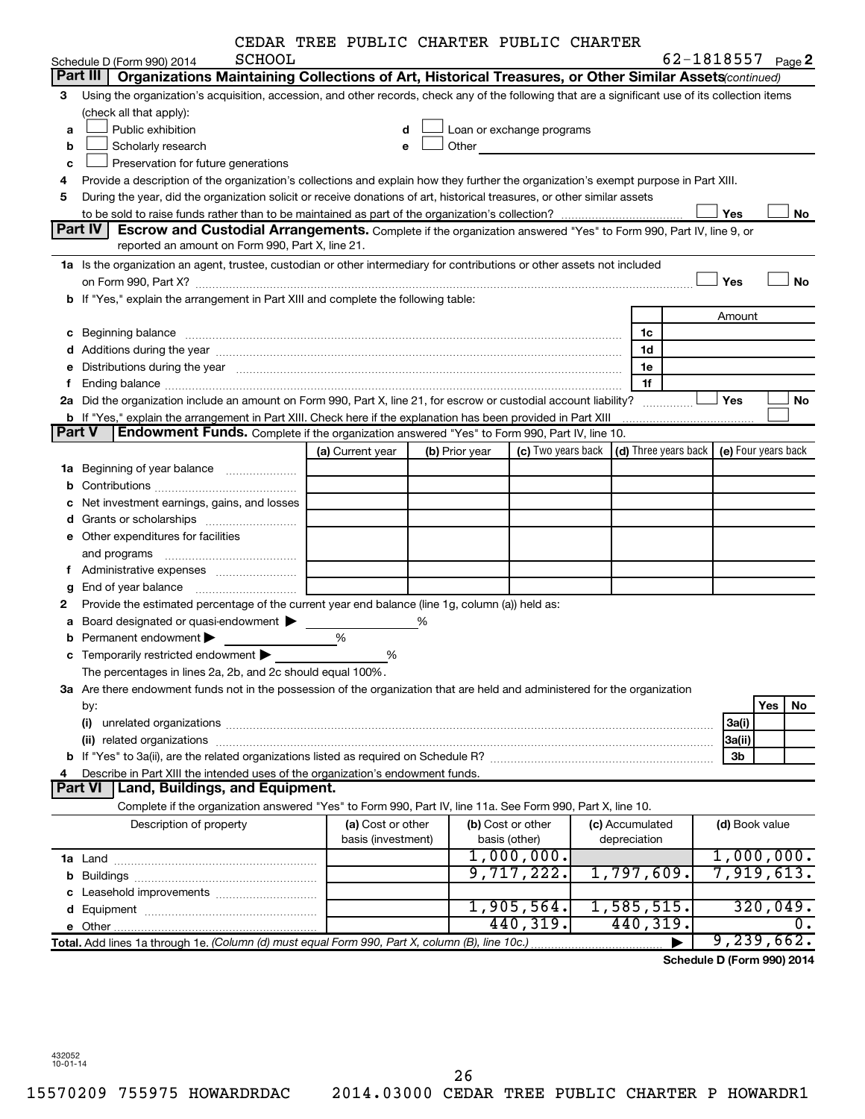|  |  |  | CEDAR TREE PUBLIC CHARTER PUBLIC CHARTER |  |  |
|--|--|--|------------------------------------------|--|--|
|--|--|--|------------------------------------------|--|--|

|                |                                                                                                                                                   | CEDAR TREE PUBLIC CHARTER PUBLIC CHARTER |   |                |                                                                                                                                                                                                                               |                                                 |                              |     |                     |
|----------------|---------------------------------------------------------------------------------------------------------------------------------------------------|------------------------------------------|---|----------------|-------------------------------------------------------------------------------------------------------------------------------------------------------------------------------------------------------------------------------|-------------------------------------------------|------------------------------|-----|---------------------|
|                | <b>SCHOOL</b><br>Schedule D (Form 990) 2014                                                                                                       |                                          |   |                |                                                                                                                                                                                                                               |                                                 | 62-1818557 <sub>Page</sub> 2 |     |                     |
|                | Organizations Maintaining Collections of Art, Historical Treasures, or Other Similar Assets(continued)<br>Part III                                |                                          |   |                |                                                                                                                                                                                                                               |                                                 |                              |     |                     |
| 3              | Using the organization's acquisition, accession, and other records, check any of the following that are a significant use of its collection items |                                          |   |                |                                                                                                                                                                                                                               |                                                 |                              |     |                     |
|                | (check all that apply):                                                                                                                           |                                          |   |                |                                                                                                                                                                                                                               |                                                 |                              |     |                     |
| a              | Public exhibition                                                                                                                                 | d                                        |   |                | Loan or exchange programs                                                                                                                                                                                                     |                                                 |                              |     |                     |
| b              | Scholarly research                                                                                                                                | e                                        |   |                | Other and the contract of the contract of the contract of the contract of the contract of the contract of the contract of the contract of the contract of the contract of the contract of the contract of the contract of the |                                                 |                              |     |                     |
| с              | Preservation for future generations                                                                                                               |                                          |   |                |                                                                                                                                                                                                                               |                                                 |                              |     |                     |
| 4              | Provide a description of the organization's collections and explain how they further the organization's exempt purpose in Part XIII.              |                                          |   |                |                                                                                                                                                                                                                               |                                                 |                              |     |                     |
| 5              | During the year, did the organization solicit or receive donations of art, historical treasures, or other similar assets                          |                                          |   |                |                                                                                                                                                                                                                               |                                                 |                              |     |                     |
|                |                                                                                                                                                   |                                          |   |                |                                                                                                                                                                                                                               |                                                 | Yes                          |     | No                  |
|                | Part IV<br>Escrow and Custodial Arrangements. Complete if the organization answered "Yes" to Form 990, Part IV, line 9, or                        |                                          |   |                |                                                                                                                                                                                                                               |                                                 |                              |     |                     |
|                | reported an amount on Form 990, Part X, line 21.                                                                                                  |                                          |   |                |                                                                                                                                                                                                                               |                                                 |                              |     |                     |
|                | 1a Is the organization an agent, trustee, custodian or other intermediary for contributions or other assets not included                          |                                          |   |                |                                                                                                                                                                                                                               |                                                 |                              |     |                     |
|                |                                                                                                                                                   |                                          |   |                |                                                                                                                                                                                                                               |                                                 | Yes                          |     | <b>No</b>           |
|                | b If "Yes," explain the arrangement in Part XIII and complete the following table:                                                                |                                          |   |                |                                                                                                                                                                                                                               |                                                 |                              |     |                     |
|                |                                                                                                                                                   |                                          |   |                |                                                                                                                                                                                                                               |                                                 | Amount                       |     |                     |
|                | c Beginning balance                                                                                                                               |                                          |   |                |                                                                                                                                                                                                                               | 1c                                              |                              |     |                     |
|                |                                                                                                                                                   |                                          |   |                |                                                                                                                                                                                                                               | 1d                                              |                              |     |                     |
| е              | Distributions during the year manufactured and continuum and contact the state of the control of the state of                                     |                                          |   |                |                                                                                                                                                                                                                               | 1e                                              |                              |     |                     |
| f              |                                                                                                                                                   |                                          |   |                |                                                                                                                                                                                                                               | 1f                                              |                              |     |                     |
| 2a             | Did the organization include an amount on Form 990, Part X, line 21, for escrow or custodial account liability?                                   |                                          |   |                |                                                                                                                                                                                                                               |                                                 | Yes                          |     | No                  |
|                | b If "Yes," explain the arrangement in Part XIII. Check here if the explanation has been provided in Part XIII                                    |                                          |   |                |                                                                                                                                                                                                                               |                                                 |                              |     |                     |
| Part V         | <b>Endowment Funds.</b> Complete if the organization answered "Yes" to Form 990, Part IV, line 10.                                                |                                          |   |                |                                                                                                                                                                                                                               |                                                 |                              |     |                     |
|                |                                                                                                                                                   | (a) Current year                         |   | (b) Prior year |                                                                                                                                                                                                                               | (c) Two years back $ $ (d) Three years back $ $ |                              |     | (e) Four years back |
|                |                                                                                                                                                   |                                          |   |                |                                                                                                                                                                                                                               |                                                 |                              |     |                     |
|                | 1a Beginning of year balance                                                                                                                      |                                          |   |                |                                                                                                                                                                                                                               |                                                 |                              |     |                     |
|                |                                                                                                                                                   |                                          |   |                |                                                                                                                                                                                                                               |                                                 |                              |     |                     |
| с              | Net investment earnings, gains, and losses                                                                                                        |                                          |   |                |                                                                                                                                                                                                                               |                                                 |                              |     |                     |
|                |                                                                                                                                                   |                                          |   |                |                                                                                                                                                                                                                               |                                                 |                              |     |                     |
|                | e Other expenditures for facilities                                                                                                               |                                          |   |                |                                                                                                                                                                                                                               |                                                 |                              |     |                     |
|                | and programs                                                                                                                                      |                                          |   |                |                                                                                                                                                                                                                               |                                                 |                              |     |                     |
| f.             | Administrative expenses                                                                                                                           |                                          |   |                |                                                                                                                                                                                                                               |                                                 |                              |     |                     |
| g              |                                                                                                                                                   |                                          |   |                |                                                                                                                                                                                                                               |                                                 |                              |     |                     |
| 2              | Provide the estimated percentage of the current year end balance (line 1g, column (a)) held as:                                                   |                                          |   |                |                                                                                                                                                                                                                               |                                                 |                              |     |                     |
|                | a Board designated or quasi-endowment >                                                                                                           |                                          | ℅ |                |                                                                                                                                                                                                                               |                                                 |                              |     |                     |
|                | <b>b</b> Permanent endowment $\blacktriangleright$                                                                                                | %                                        |   |                |                                                                                                                                                                                                                               |                                                 |                              |     |                     |
|                | <b>c</b> Temporarily restricted endowment $\blacktriangleright$                                                                                   | %                                        |   |                |                                                                                                                                                                                                                               |                                                 |                              |     |                     |
|                | The percentages in lines 2a, 2b, and 2c should equal 100%                                                                                         |                                          |   |                |                                                                                                                                                                                                                               |                                                 |                              |     |                     |
|                | 3a Are there endowment funds not in the possession of the organization that are held and administered for the organization                        |                                          |   |                |                                                                                                                                                                                                                               |                                                 |                              |     |                     |
|                | by:                                                                                                                                               |                                          |   |                |                                                                                                                                                                                                                               |                                                 |                              | Yes | No                  |
|                | (i)                                                                                                                                               |                                          |   |                |                                                                                                                                                                                                                               |                                                 | 3a(i)                        |     |                     |
|                |                                                                                                                                                   |                                          |   |                |                                                                                                                                                                                                                               |                                                 | 3a(ii)                       |     |                     |
|                |                                                                                                                                                   |                                          |   |                |                                                                                                                                                                                                                               |                                                 | 3b                           |     |                     |
| 4              | Describe in Part XIII the intended uses of the organization's endowment funds.                                                                    |                                          |   |                |                                                                                                                                                                                                                               |                                                 |                              |     |                     |
| <b>Part VI</b> | Land, Buildings, and Equipment.                                                                                                                   |                                          |   |                |                                                                                                                                                                                                                               |                                                 |                              |     |                     |
|                | Complete if the organization answered "Yes" to Form 990, Part IV, line 11a. See Form 990, Part X, line 10.                                        |                                          |   |                |                                                                                                                                                                                                                               |                                                 |                              |     |                     |
|                |                                                                                                                                                   |                                          |   |                |                                                                                                                                                                                                                               |                                                 |                              |     |                     |
|                | Description of property                                                                                                                           | (a) Cost or other                        |   |                | (b) Cost or other                                                                                                                                                                                                             | (c) Accumulated                                 | (d) Book value               |     |                     |
|                |                                                                                                                                                   | basis (investment)                       |   |                | basis (other)                                                                                                                                                                                                                 | depreciation                                    |                              |     | 1,000,000.          |
|                |                                                                                                                                                   |                                          |   |                | 1,000,000.                                                                                                                                                                                                                    |                                                 |                              |     |                     |
|                |                                                                                                                                                   |                                          |   |                | 9,717,222.                                                                                                                                                                                                                    | 1,797,609.                                      |                              |     | 7,919,613.          |
|                |                                                                                                                                                   |                                          |   |                |                                                                                                                                                                                                                               |                                                 |                              |     |                     |
|                |                                                                                                                                                   |                                          |   |                | 1,905,564.                                                                                                                                                                                                                    | 1,585,515.                                      |                              |     | 320,049.            |
|                |                                                                                                                                                   |                                          |   |                | 440,319.                                                                                                                                                                                                                      | 440,319.                                        |                              |     | 0.                  |
|                | Total. Add lines 1a through 1e. (Column (d) must equal Form 990, Part X, column (B), line 10c.)                                                   |                                          |   |                |                                                                                                                                                                                                                               |                                                 |                              |     | 9,239,662.          |

**Schedule D (Form 990) 2014**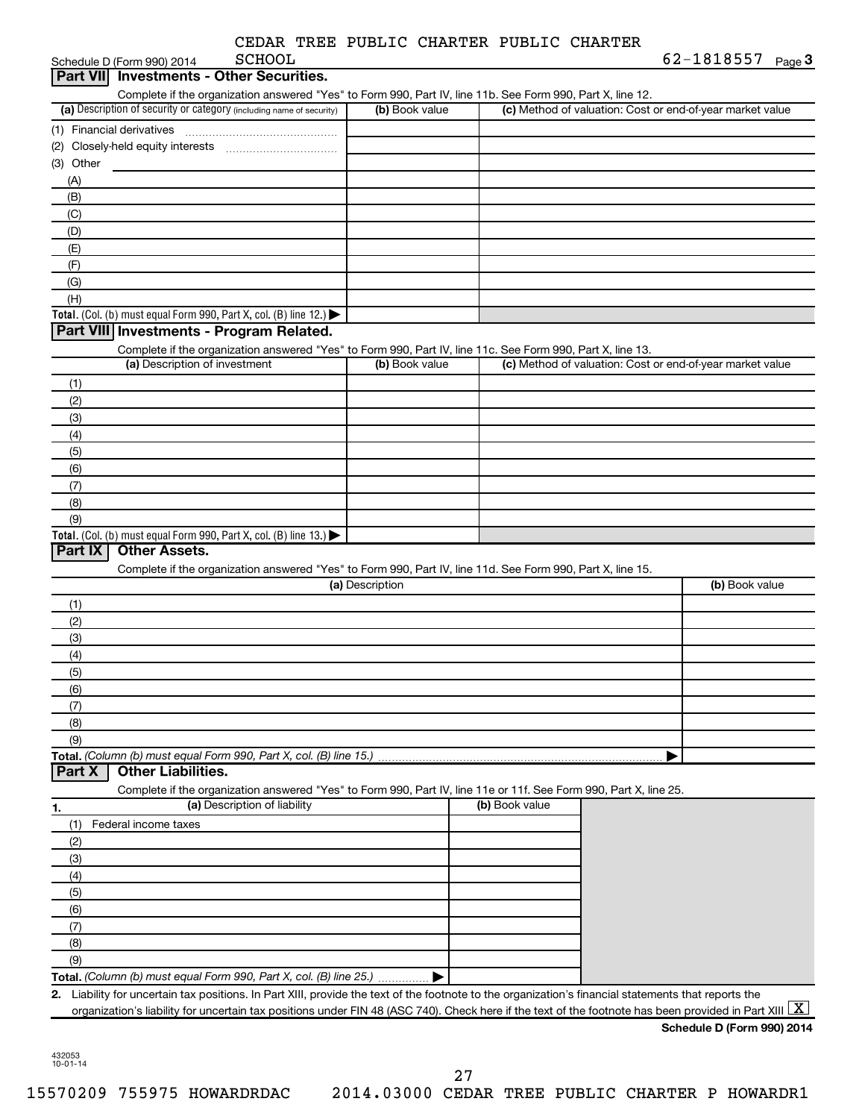|  | CEDAR TREE PUBLIC CHARTER PUBLIC CHARTER |  |
|--|------------------------------------------|--|
|  |                                          |  |

| <b>Part VIII</b>          | <b>SCHOOL</b><br>Schedule D (Form 990) 2014                                                                                                                                                                                                                                                                                                          |                 |                | 62-1818557 Page 3                                         |
|---------------------------|------------------------------------------------------------------------------------------------------------------------------------------------------------------------------------------------------------------------------------------------------------------------------------------------------------------------------------------------------|-----------------|----------------|-----------------------------------------------------------|
|                           | <b>Investments - Other Securities.</b>                                                                                                                                                                                                                                                                                                               |                 |                |                                                           |
|                           | Complete if the organization answered "Yes" to Form 990, Part IV, line 11b. See Form 990, Part X, line 12.                                                                                                                                                                                                                                           |                 |                |                                                           |
|                           | (a) Description of security or category (including name of security)                                                                                                                                                                                                                                                                                 | (b) Book value  |                | (c) Method of valuation: Cost or end-of-year market value |
| (1) Financial derivatives |                                                                                                                                                                                                                                                                                                                                                      |                 |                |                                                           |
|                           |                                                                                                                                                                                                                                                                                                                                                      |                 |                |                                                           |
| (3) Other                 |                                                                                                                                                                                                                                                                                                                                                      |                 |                |                                                           |
| (A)                       |                                                                                                                                                                                                                                                                                                                                                      |                 |                |                                                           |
| (B)                       |                                                                                                                                                                                                                                                                                                                                                      |                 |                |                                                           |
| (C)                       |                                                                                                                                                                                                                                                                                                                                                      |                 |                |                                                           |
| (D)                       |                                                                                                                                                                                                                                                                                                                                                      |                 |                |                                                           |
| (E)                       |                                                                                                                                                                                                                                                                                                                                                      |                 |                |                                                           |
| (F)                       |                                                                                                                                                                                                                                                                                                                                                      |                 |                |                                                           |
| (G)                       |                                                                                                                                                                                                                                                                                                                                                      |                 |                |                                                           |
| (H)                       |                                                                                                                                                                                                                                                                                                                                                      |                 |                |                                                           |
|                           | Total. (Col. (b) must equal Form 990, Part X, col. (B) line 12.) $\blacktriangleright$                                                                                                                                                                                                                                                               |                 |                |                                                           |
|                           | Part VIII Investments - Program Related.                                                                                                                                                                                                                                                                                                             |                 |                |                                                           |
|                           | Complete if the organization answered "Yes" to Form 990, Part IV, line 11c. See Form 990, Part X, line 13.                                                                                                                                                                                                                                           |                 |                |                                                           |
|                           | (a) Description of investment                                                                                                                                                                                                                                                                                                                        | (b) Book value  |                | (c) Method of valuation: Cost or end-of-year market value |
| (1)                       |                                                                                                                                                                                                                                                                                                                                                      |                 |                |                                                           |
| (2)                       |                                                                                                                                                                                                                                                                                                                                                      |                 |                |                                                           |
| (3)                       |                                                                                                                                                                                                                                                                                                                                                      |                 |                |                                                           |
| (4)                       |                                                                                                                                                                                                                                                                                                                                                      |                 |                |                                                           |
| (5)                       |                                                                                                                                                                                                                                                                                                                                                      |                 |                |                                                           |
| (6)                       |                                                                                                                                                                                                                                                                                                                                                      |                 |                |                                                           |
| (7)                       |                                                                                                                                                                                                                                                                                                                                                      |                 |                |                                                           |
| (8)                       |                                                                                                                                                                                                                                                                                                                                                      |                 |                |                                                           |
| (9)                       |                                                                                                                                                                                                                                                                                                                                                      |                 |                |                                                           |
|                           | Total. (Col. (b) must equal Form 990, Part X, col. (B) line 13.)                                                                                                                                                                                                                                                                                     |                 |                |                                                           |
| Part IX                   | <b>Other Assets.</b>                                                                                                                                                                                                                                                                                                                                 |                 |                |                                                           |
|                           |                                                                                                                                                                                                                                                                                                                                                      |                 |                |                                                           |
|                           | Complete if the organization answered "Yes" to Form 990, Part IV, line 11d. See Form 990, Part X, line 15.                                                                                                                                                                                                                                           |                 |                |                                                           |
|                           |                                                                                                                                                                                                                                                                                                                                                      | (a) Description |                | (b) Book value                                            |
| (1)                       |                                                                                                                                                                                                                                                                                                                                                      |                 |                |                                                           |
| (2)                       |                                                                                                                                                                                                                                                                                                                                                      |                 |                |                                                           |
| (3)                       |                                                                                                                                                                                                                                                                                                                                                      |                 |                |                                                           |
| (4)                       |                                                                                                                                                                                                                                                                                                                                                      |                 |                |                                                           |
| (5)                       |                                                                                                                                                                                                                                                                                                                                                      |                 |                |                                                           |
| (6)                       |                                                                                                                                                                                                                                                                                                                                                      |                 |                |                                                           |
| (7)                       |                                                                                                                                                                                                                                                                                                                                                      |                 |                |                                                           |
| (8)                       |                                                                                                                                                                                                                                                                                                                                                      |                 |                |                                                           |
| (9)                       |                                                                                                                                                                                                                                                                                                                                                      |                 |                |                                                           |
|                           | Total. (Column (b) must equal Form 990, Part X, col. (B) line 15.)                                                                                                                                                                                                                                                                                   |                 |                |                                                           |
|                           | <b>Other Liabilities.</b>                                                                                                                                                                                                                                                                                                                            |                 |                |                                                           |
|                           | Complete if the organization answered "Yes" to Form 990, Part IV, line 11e or 11f. See Form 990, Part X, line 25.                                                                                                                                                                                                                                    |                 |                |                                                           |
|                           | (a) Description of liability                                                                                                                                                                                                                                                                                                                         |                 | (b) Book value |                                                           |
| (1)                       | Federal income taxes                                                                                                                                                                                                                                                                                                                                 |                 |                |                                                           |
| (2)                       |                                                                                                                                                                                                                                                                                                                                                      |                 |                |                                                           |
| (3)                       |                                                                                                                                                                                                                                                                                                                                                      |                 |                |                                                           |
| (4)                       |                                                                                                                                                                                                                                                                                                                                                      |                 |                |                                                           |
| (5)                       |                                                                                                                                                                                                                                                                                                                                                      |                 |                |                                                           |
| Part X<br>1.<br>(6)       |                                                                                                                                                                                                                                                                                                                                                      |                 |                |                                                           |
| (7)                       |                                                                                                                                                                                                                                                                                                                                                      |                 |                |                                                           |
| (8)                       |                                                                                                                                                                                                                                                                                                                                                      |                 |                |                                                           |
| (9)                       |                                                                                                                                                                                                                                                                                                                                                      |                 |                |                                                           |
|                           | Total. (Column (b) must equal Form 990, Part X, col. (B) line 25.)                                                                                                                                                                                                                                                                                   |                 |                |                                                           |
|                           | 2. Liability for uncertain tax positions. In Part XIII, provide the text of the footnote to the organization's financial statements that reports the<br>organization's liability for uncertain tax positions under FIN 48 (ASC 740). Check here if the text of the footnote has been provided in Part XIII $\lfloor \textnormal{\textbf{X}} \rfloor$ |                 |                |                                                           |

432053 10-01-14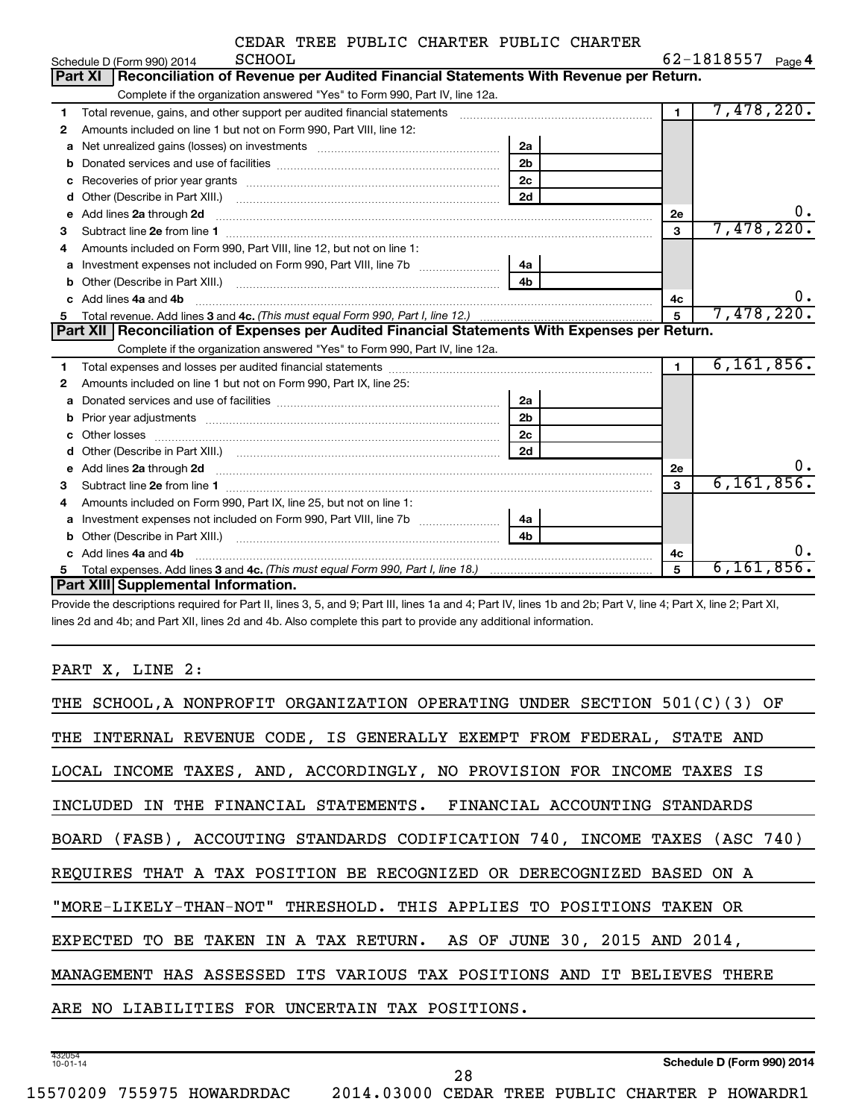|    | <b>SCHOOL</b><br>Schedule D (Form 990) 2014                                                                                                                                                                                         |                |                | $62 - 1818557$ Page 4 |
|----|-------------------------------------------------------------------------------------------------------------------------------------------------------------------------------------------------------------------------------------|----------------|----------------|-----------------------|
|    | Reconciliation of Revenue per Audited Financial Statements With Revenue per Return.<br><b>Part XI</b>                                                                                                                               |                |                |                       |
|    | Complete if the organization answered "Yes" to Form 990, Part IV, line 12a.                                                                                                                                                         |                |                |                       |
| 1  | Total revenue, gains, and other support per audited financial statements                                                                                                                                                            |                | $\overline{1}$ | 7,478,220.            |
| 2  | Amounts included on line 1 but not on Form 990, Part VIII, line 12:                                                                                                                                                                 |                |                |                       |
| a  |                                                                                                                                                                                                                                     | 2a             |                |                       |
| b  |                                                                                                                                                                                                                                     | 2 <sub>b</sub> |                |                       |
| с  | Recoveries of prior year grants [11] matter contracts and prior year grants and prior year grants and prior year grants and prior year of the state of the state of the state of the state of the state of the state of the st      | 2 <sub>c</sub> |                |                       |
| d  |                                                                                                                                                                                                                                     | 2d             |                |                       |
| e  | Add lines 2a through 2d                                                                                                                                                                                                             |                | 2e             | 0.                    |
| З  |                                                                                                                                                                                                                                     |                | 3              | 7,478,220.            |
| 4  | Amounts included on Form 990, Part VIII, line 12, but not on line 1:                                                                                                                                                                |                |                |                       |
|    |                                                                                                                                                                                                                                     | 4a             |                |                       |
| b  |                                                                                                                                                                                                                                     | 4 <sub>b</sub> |                |                       |
| c. | Add lines 4a and 4b                                                                                                                                                                                                                 |                | 4c             | ο.                    |
| 5  |                                                                                                                                                                                                                                     |                | 5              | 7,478,220.            |
|    | Part XII   Reconciliation of Expenses per Audited Financial Statements With Expenses per Return.                                                                                                                                    |                |                |                       |
|    | Complete if the organization answered "Yes" to Form 990, Part IV, line 12a.                                                                                                                                                         |                |                |                       |
| 1  |                                                                                                                                                                                                                                     |                | $\mathbf{1}$   | 6, 161, 856.          |
| 2  | Amounts included on line 1 but not on Form 990, Part IX, line 25:                                                                                                                                                                   |                |                |                       |
| a  |                                                                                                                                                                                                                                     | 2a             |                |                       |
| b  |                                                                                                                                                                                                                                     | 2 <sub>b</sub> |                |                       |
| c  |                                                                                                                                                                                                                                     | 2 <sub>c</sub> |                |                       |
| d  |                                                                                                                                                                                                                                     | 2d             |                |                       |
| e  | Add lines 2a through 2d <b>must be a constructed as the constant of the S2a</b> through 2d mess 2a through 2d must be a series and the series of the series of the series of the series of the series of the series of the series o |                | 2e             | 0.                    |
| З  |                                                                                                                                                                                                                                     |                | 3              | 6, 161, 856.          |
| 4  | Amounts included on Form 990, Part IX, line 25, but not on line 1:                                                                                                                                                                  |                |                |                       |
| a  |                                                                                                                                                                                                                                     | 4a             |                |                       |
|    |                                                                                                                                                                                                                                     |                |                |                       |
| b  |                                                                                                                                                                                                                                     | 4 <sub>b</sub> |                |                       |
|    | Add lines 4a and 4b                                                                                                                                                                                                                 |                | 4с             | о.                    |
|    | <b>Part XIII Supplemental Information.</b>                                                                                                                                                                                          |                | 5              | 6,161,856.            |

Provide the descriptions required for Part II, lines 3, 5, and 9; Part III, lines 1a and 4; Part IV, lines 1b and 2b; Part V, line 4; Part X, line 2; Part XI, lines 2d and 4b; and Part XII, lines 2d and 4b. Also complete this part to provide any additional information.

PART X, LINE 2:

| THE SCHOOL, A NONPROFIT ORGANIZATION OPERATING UNDER SECTION 501(C)(3) OF  |
|----------------------------------------------------------------------------|
| THE INTERNAL REVENUE CODE, IS GENERALLY EXEMPT FROM FEDERAL, STATE AND     |
| LOCAL INCOME TAXES, AND, ACCORDINGLY, NO PROVISION FOR INCOME TAXES IS     |
| INCLUDED IN THE FINANCIAL STATEMENTS. FINANCIAL ACCOUNTING STANDARDS       |
| BOARD (FASB), ACCOUTING STANDARDS CODIFICATION 740, INCOME TAXES (ASC 740) |
| REQUIRES THAT A TAX POSITION BE RECOGNIZED OR DERECOGNIZED BASED ON A      |
| "MORE-LIKELY-THAN-NOT" THRESHOLD. THIS APPLIES TO POSITIONS TAKEN OR       |
| EXPECTED TO BE TAKEN IN A TAX RETURN. AS OF JUNE 30, 2015 AND 2014,        |
| MANAGEMENT HAS ASSESSED ITS VARIOUS TAX POSITIONS AND IT BELIEVES THERE    |
| ARE NO LIABILITIES FOR UNCERTAIN TAX POSITIONS.                            |
|                                                                            |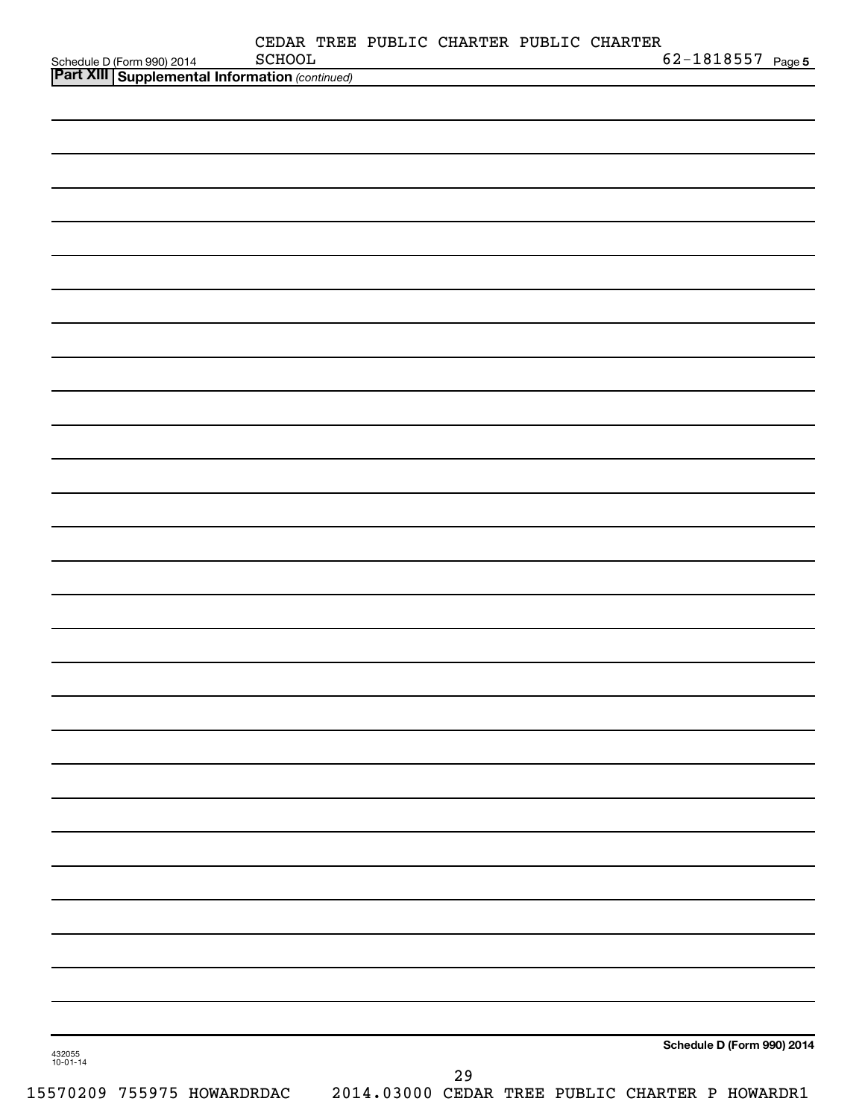| Schedule D (Form 990) 2014 SCHOOL<br><b>Part XIII   Supplemental Information</b> (continued) | CEDAR TREE PUBLIC CHARTER PUBLIC CHARTER<br>SCHOOL |    |  | $62 - 1818557$ Page 5      |
|----------------------------------------------------------------------------------------------|----------------------------------------------------|----|--|----------------------------|
|                                                                                              |                                                    |    |  |                            |
|                                                                                              |                                                    |    |  |                            |
|                                                                                              |                                                    |    |  |                            |
|                                                                                              |                                                    |    |  |                            |
|                                                                                              |                                                    |    |  |                            |
|                                                                                              |                                                    |    |  |                            |
|                                                                                              |                                                    |    |  |                            |
|                                                                                              |                                                    |    |  |                            |
|                                                                                              |                                                    |    |  |                            |
|                                                                                              |                                                    |    |  |                            |
|                                                                                              |                                                    |    |  |                            |
|                                                                                              |                                                    |    |  |                            |
|                                                                                              |                                                    |    |  |                            |
|                                                                                              |                                                    |    |  |                            |
|                                                                                              |                                                    |    |  |                            |
|                                                                                              |                                                    |    |  |                            |
|                                                                                              |                                                    |    |  |                            |
|                                                                                              |                                                    |    |  |                            |
|                                                                                              |                                                    |    |  |                            |
|                                                                                              |                                                    |    |  |                            |
|                                                                                              |                                                    |    |  |                            |
|                                                                                              |                                                    |    |  |                            |
|                                                                                              |                                                    |    |  |                            |
|                                                                                              |                                                    |    |  |                            |
|                                                                                              |                                                    |    |  |                            |
|                                                                                              |                                                    |    |  |                            |
|                                                                                              |                                                    |    |  |                            |
|                                                                                              |                                                    |    |  |                            |
|                                                                                              |                                                    |    |  |                            |
|                                                                                              |                                                    |    |  |                            |
|                                                                                              |                                                    |    |  |                            |
|                                                                                              |                                                    |    |  |                            |
|                                                                                              |                                                    |    |  |                            |
|                                                                                              |                                                    |    |  |                            |
| 432055<br>10-01-14                                                                           |                                                    |    |  | Schedule D (Form 990) 2014 |
|                                                                                              |                                                    | 29 |  |                            |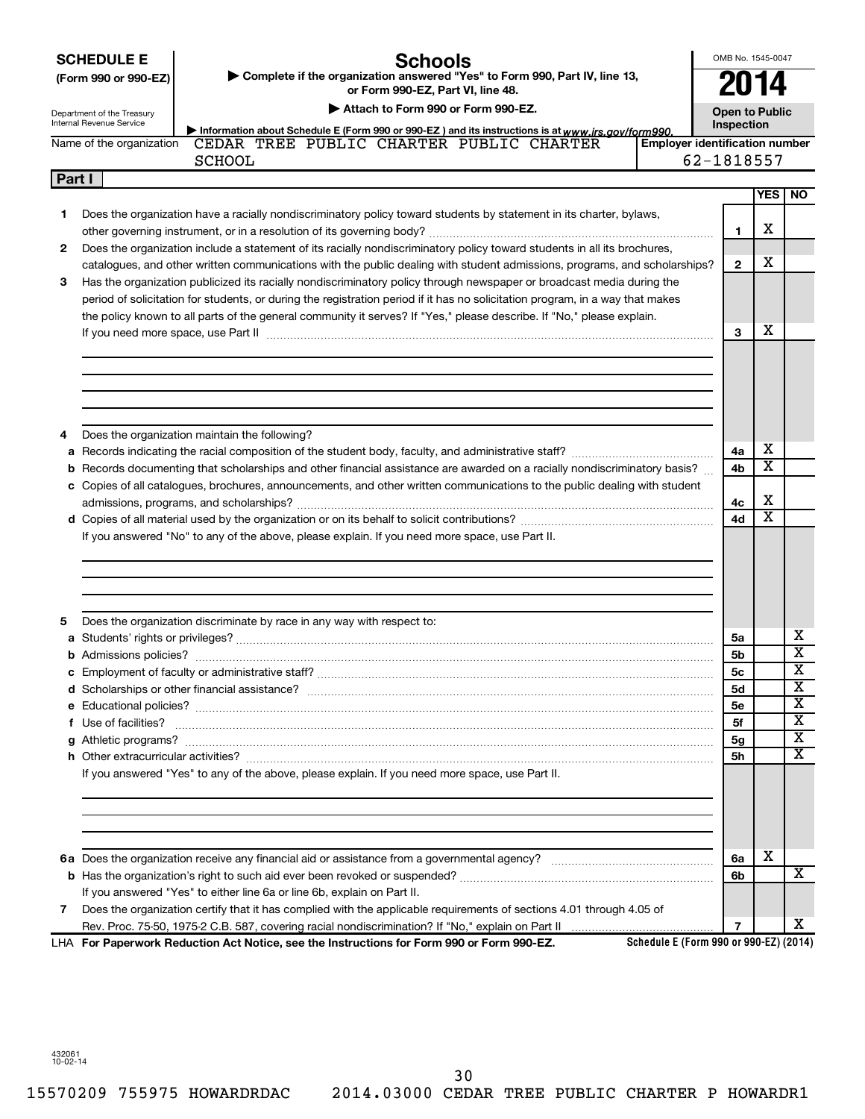| <b>SCHEDULE E</b> |  |
|-------------------|--|
|                   |  |

Department of the Treasury

#### **Schools**

OMB No. 1545-0047 **2014**

| (Form 990 or 990-EZ) | ► Complete if the organization answered "Yes" to Form 990, Part IV, line 13, |
|----------------------|------------------------------------------------------------------------------|
|                      | or Form 990-EZ. Part VI. line 48.                                            |

**| Attach to Form 990 or Form 990-EZ.**

**Open to Public**

|   | Internal Revenue Service<br>Information about Schedule E (Form 990 or 990-EZ) and its instructions is at www.irs.gov/form990.                                                                                                  | Inspection   |                         |                                                         |
|---|--------------------------------------------------------------------------------------------------------------------------------------------------------------------------------------------------------------------------------|--------------|-------------------------|---------------------------------------------------------|
|   | CEDAR TREE PUBLIC CHARTER PUBLIC CHARTER<br>Name of the organization<br><b>Employer identification number</b><br><b>SCHOOL</b>                                                                                                 | 62-1818557   |                         |                                                         |
|   | Part I                                                                                                                                                                                                                         |              |                         |                                                         |
|   |                                                                                                                                                                                                                                |              | <b>YES</b>              | NO.                                                     |
| 1 | Does the organization have a racially nondiscriminatory policy toward students by statement in its charter, bylaws,                                                                                                            |              |                         |                                                         |
|   |                                                                                                                                                                                                                                | 1            | х                       |                                                         |
| 2 | Does the organization include a statement of its racially nondiscriminatory policy toward students in all its brochures,                                                                                                       |              |                         |                                                         |
|   | catalogues, and other written communications with the public dealing with student admissions, programs, and scholarships?                                                                                                      | $\mathbf{2}$ | х                       |                                                         |
| З | Has the organization publicized its racially nondiscriminatory policy through newspaper or broadcast media during the                                                                                                          |              |                         |                                                         |
|   | period of solicitation for students, or during the registration period if it has no solicitation program, in a way that makes                                                                                                  |              |                         |                                                         |
|   | the policy known to all parts of the general community it serves? If "Yes," please describe. If "No," please explain.                                                                                                          |              |                         |                                                         |
|   | If you need more space, use Part II manufactured and continuum contract to the Part II manufactured and the contract of the contract of the contract of the contract of the contract of the contract of the contract of the co | 3            | x                       |                                                         |
|   |                                                                                                                                                                                                                                |              |                         |                                                         |
|   |                                                                                                                                                                                                                                |              |                         |                                                         |
|   |                                                                                                                                                                                                                                |              |                         |                                                         |
|   |                                                                                                                                                                                                                                |              |                         |                                                         |
|   | Does the organization maintain the following?                                                                                                                                                                                  |              |                         |                                                         |
| 4 |                                                                                                                                                                                                                                | 4a           | х                       |                                                         |
|   | <b>b</b> Records documenting that scholarships and other financial assistance are awarded on a racially nondiscriminatory basis?                                                                                               | 4b           | $\overline{\textbf{x}}$ |                                                         |
|   | c Copies of all catalogues, brochures, announcements, and other written communications to the public dealing with student                                                                                                      |              |                         |                                                         |
|   |                                                                                                                                                                                                                                | 4с           | х                       |                                                         |
|   |                                                                                                                                                                                                                                |              |                         |                                                         |
|   | If you answered "No" to any of the above, please explain. If you need more space, use Part II.                                                                                                                                 | 4d           | $\overline{\textbf{x}}$ |                                                         |
|   |                                                                                                                                                                                                                                |              |                         |                                                         |
|   | Does the organization discriminate by race in any way with respect to:                                                                                                                                                         |              |                         |                                                         |
|   |                                                                                                                                                                                                                                | 5a           |                         |                                                         |
|   |                                                                                                                                                                                                                                | 5b           |                         |                                                         |
|   |                                                                                                                                                                                                                                | 5с           |                         |                                                         |
|   |                                                                                                                                                                                                                                | <b>5d</b>    |                         |                                                         |
|   |                                                                                                                                                                                                                                | <b>5e</b>    |                         | х<br>$\overline{\mathbf{X}}$<br>х<br>X<br>X             |
|   | f Use of facilities?                                                                                                                                                                                                           | 5f           |                         | $\overline{\textbf{x}}$                                 |
|   |                                                                                                                                                                                                                                | 5g           |                         |                                                         |
|   |                                                                                                                                                                                                                                | 5h           |                         |                                                         |
| 5 | If you answered "Yes" to any of the above, please explain. If you need more space, use Part II.                                                                                                                                |              |                         |                                                         |
|   |                                                                                                                                                                                                                                |              |                         |                                                         |
|   |                                                                                                                                                                                                                                | 6a           | х                       |                                                         |
|   |                                                                                                                                                                                                                                | 6b           |                         |                                                         |
| 7 | If you answered "Yes" to either line 6a or line 6b, explain on Part II.<br>Does the organization certify that it has complied with the applicable requirements of sections 4.01 through 4.05 of                                |              |                         | $\overline{\mathbf{X}}$<br>$\overline{\texttt{x}}$<br>х |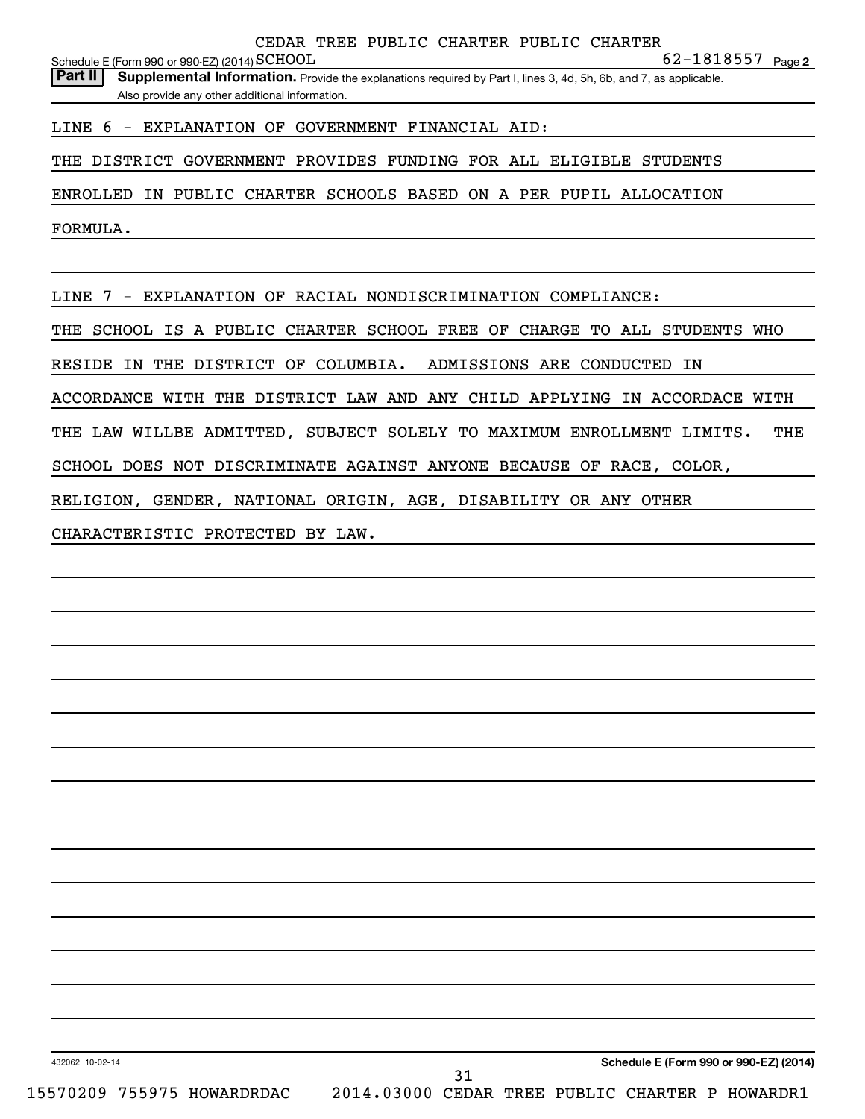**2** SCHOOL 62-1818557 Schedule E (Form 990 or 990-EZ) (2014)  $\operatorname{SCHOOL}$ 

LINE 6 - EXPLANATION OF GOVERNMENT FINANCIAL AID:

THE DISTRICT GOVERNMENT PROVIDES FUNDING FOR ALL ELIGIBLE STUDENTS

ENROLLED IN PUBLIC CHARTER SCHOOLS BASED ON A PER PUPIL ALLOCATION

FORMULA.

LINE 7 - EXPLANATION OF RACIAL NONDISCRIMINATION COMPLIANCE:

THE SCHOOL IS A PUBLIC CHARTER SCHOOL FREE OF CHARGE TO ALL STUDENTS WHO

RESIDE IN THE DISTRICT OF COLUMBIA. ADMISSIONS ARE CONDUCTED IN

ACCORDANCE WITH THE DISTRICT LAW AND ANY CHILD APPLYING IN ACCORDACE WITH

THE LAW WILLBE ADMITTED, SUBJECT SOLELY TO MAXIMUM ENROLLMENT LIMITS. THE

SCHOOL DOES NOT DISCRIMINATE AGAINST ANYONE BECAUSE OF RACE, COLOR,

RELIGION, GENDER, NATIONAL ORIGIN, AGE, DISABILITY OR ANY OTHER

CHARACTERISTIC PROTECTED BY LAW.

432062 10-02-14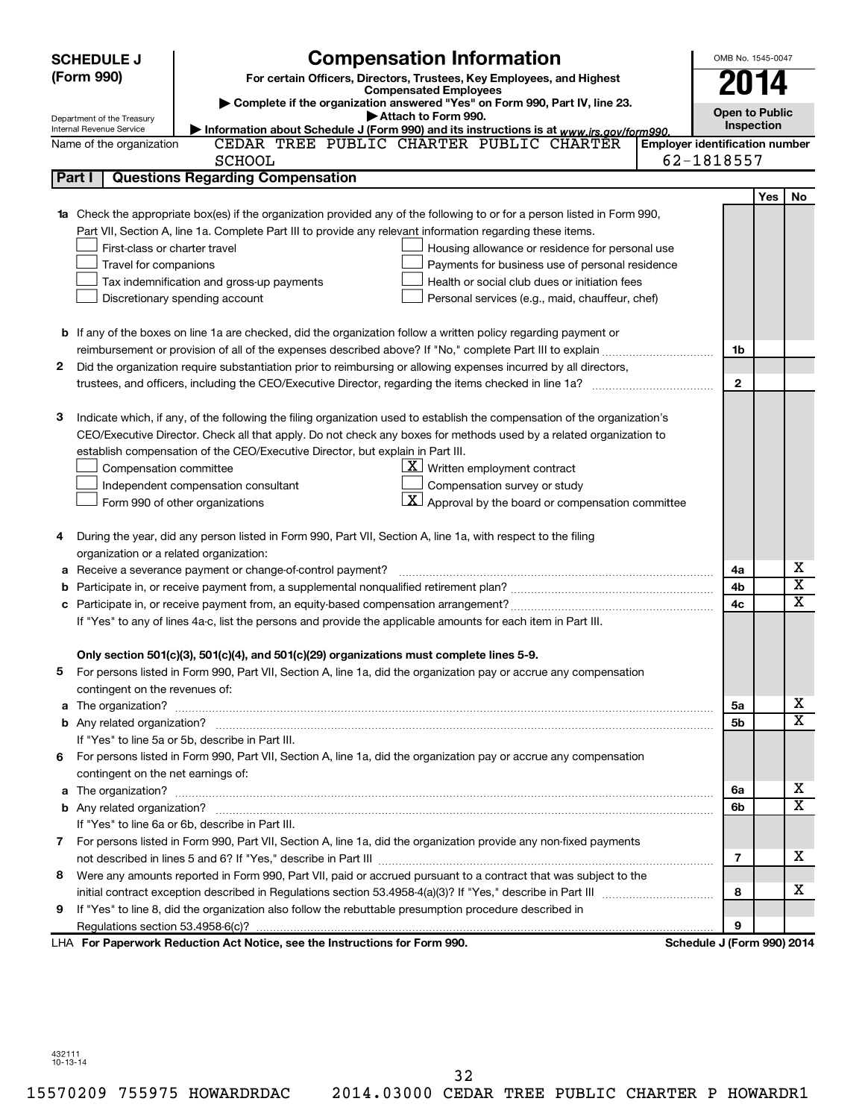| <b>SCHEDULE J</b> |                                                                                                               | <b>Compensation Information</b>                                                                                                                                                                                                     |  |                                       | OMB No. 1545-0047          |     |             |
|-------------------|---------------------------------------------------------------------------------------------------------------|-------------------------------------------------------------------------------------------------------------------------------------------------------------------------------------------------------------------------------------|--|---------------------------------------|----------------------------|-----|-------------|
| (Form 990)        |                                                                                                               | For certain Officers, Directors, Trustees, Key Employees, and Highest                                                                                                                                                               |  |                                       | 2014                       |     |             |
|                   | <b>Compensated Employees</b>                                                                                  |                                                                                                                                                                                                                                     |  |                                       |                            |     |             |
|                   | Department of the Treasury                                                                                    | Complete if the organization answered "Yes" on Form 990, Part IV, line 23.<br>Attach to Form 990.                                                                                                                                   |  |                                       | <b>Open to Public</b>      |     |             |
|                   | Internal Revenue Service                                                                                      | Information about Schedule J (Form 990) and its instructions is at www.irs.gov/form990.                                                                                                                                             |  |                                       | Inspection                 |     |             |
|                   | Name of the organization                                                                                      | CEDAR TREE PUBLIC CHARTER PUBLIC CHARTER                                                                                                                                                                                            |  | <b>Employer identification number</b> |                            |     |             |
|                   |                                                                                                               | <b>SCHOOL</b>                                                                                                                                                                                                                       |  |                                       | 62-1818557                 |     |             |
|                   | Part I                                                                                                        | <b>Questions Regarding Compensation</b>                                                                                                                                                                                             |  |                                       |                            |     |             |
|                   |                                                                                                               |                                                                                                                                                                                                                                     |  |                                       |                            | Yes | No          |
|                   |                                                                                                               | 1a Check the appropriate box(es) if the organization provided any of the following to or for a person listed in Form 990,                                                                                                           |  |                                       |                            |     |             |
|                   |                                                                                                               | Part VII, Section A, line 1a. Complete Part III to provide any relevant information regarding these items.                                                                                                                          |  |                                       |                            |     |             |
|                   | First-class or charter travel                                                                                 | Housing allowance or residence for personal use                                                                                                                                                                                     |  |                                       |                            |     |             |
|                   | Travel for companions                                                                                         | Payments for business use of personal residence                                                                                                                                                                                     |  |                                       |                            |     |             |
|                   |                                                                                                               | Tax indemnification and gross-up payments<br>Health or social club dues or initiation fees                                                                                                                                          |  |                                       |                            |     |             |
|                   |                                                                                                               | Discretionary spending account<br>Personal services (e.g., maid, chauffeur, chef)                                                                                                                                                   |  |                                       |                            |     |             |
|                   |                                                                                                               |                                                                                                                                                                                                                                     |  |                                       |                            |     |             |
|                   |                                                                                                               | <b>b</b> If any of the boxes on line 1a are checked, did the organization follow a written policy regarding payment or                                                                                                              |  |                                       |                            |     |             |
|                   |                                                                                                               |                                                                                                                                                                                                                                     |  |                                       | 1b                         |     |             |
| 2                 |                                                                                                               | Did the organization require substantiation prior to reimbursing or allowing expenses incurred by all directors,                                                                                                                    |  |                                       |                            |     |             |
|                   |                                                                                                               |                                                                                                                                                                                                                                     |  |                                       | $\mathbf{2}$               |     |             |
|                   |                                                                                                               |                                                                                                                                                                                                                                     |  |                                       |                            |     |             |
| з                 |                                                                                                               | Indicate which, if any, of the following the filing organization used to establish the compensation of the organization's                                                                                                           |  |                                       |                            |     |             |
|                   |                                                                                                               | CEO/Executive Director. Check all that apply. Do not check any boxes for methods used by a related organization to                                                                                                                  |  |                                       |                            |     |             |
|                   |                                                                                                               | establish compensation of the CEO/Executive Director, but explain in Part III.                                                                                                                                                      |  |                                       |                            |     |             |
|                   | Compensation committee                                                                                        | $\underline{\mathbf{X}}$ Written employment contract                                                                                                                                                                                |  |                                       |                            |     |             |
|                   |                                                                                                               | Compensation survey or study<br>Independent compensation consultant                                                                                                                                                                 |  |                                       |                            |     |             |
|                   |                                                                                                               | $\lfloor \underline{X} \rfloor$ Approval by the board or compensation committee<br>Form 990 of other organizations                                                                                                                  |  |                                       |                            |     |             |
| 4                 |                                                                                                               | During the year, did any person listed in Form 990, Part VII, Section A, line 1a, with respect to the filing                                                                                                                        |  |                                       |                            |     |             |
|                   | organization or a related organization:                                                                       |                                                                                                                                                                                                                                     |  |                                       |                            |     |             |
| а                 |                                                                                                               | Receive a severance payment or change-of-control payment?                                                                                                                                                                           |  |                                       | 4a                         |     | х           |
| b                 |                                                                                                               |                                                                                                                                                                                                                                     |  |                                       | 4b                         |     | х           |
|                   |                                                                                                               |                                                                                                                                                                                                                                     |  |                                       | 4c                         |     | $\mathbf x$ |
|                   | If "Yes" to any of lines 4a-c, list the persons and provide the applicable amounts for each item in Part III. |                                                                                                                                                                                                                                     |  |                                       |                            |     |             |
|                   |                                                                                                               |                                                                                                                                                                                                                                     |  |                                       |                            |     |             |
|                   |                                                                                                               | Only section 501(c)(3), 501(c)(4), and 501(c)(29) organizations must complete lines 5-9.                                                                                                                                            |  |                                       |                            |     |             |
|                   |                                                                                                               | For persons listed in Form 990, Part VII, Section A, line 1a, did the organization pay or accrue any compensation                                                                                                                   |  |                                       |                            |     |             |
|                   | contingent on the revenues of:                                                                                |                                                                                                                                                                                                                                     |  |                                       |                            |     |             |
|                   |                                                                                                               | a The organization? <b>contracts</b> and contracts are contracted and contract and contract and contract and contract and contract and contract and contract and contract and contract and contract and contract and contract and c |  |                                       | 5а                         |     | х           |
|                   |                                                                                                               |                                                                                                                                                                                                                                     |  |                                       | 5b                         |     | x           |
|                   |                                                                                                               | If "Yes" to line 5a or 5b, describe in Part III.                                                                                                                                                                                    |  |                                       |                            |     |             |
|                   |                                                                                                               | 6 For persons listed in Form 990, Part VII, Section A, line 1a, did the organization pay or accrue any compensation                                                                                                                 |  |                                       |                            |     |             |
|                   | contingent on the net earnings of:                                                                            |                                                                                                                                                                                                                                     |  |                                       |                            |     |             |
|                   |                                                                                                               |                                                                                                                                                                                                                                     |  |                                       | 6a                         |     | х           |
|                   |                                                                                                               |                                                                                                                                                                                                                                     |  |                                       | 6b                         |     | x           |
|                   |                                                                                                               | If "Yes" to line 6a or 6b, describe in Part III.                                                                                                                                                                                    |  |                                       |                            |     |             |
|                   |                                                                                                               | 7 For persons listed in Form 990, Part VII, Section A, line 1a, did the organization provide any non-fixed payments                                                                                                                 |  |                                       |                            |     |             |
|                   |                                                                                                               |                                                                                                                                                                                                                                     |  |                                       | 7                          |     | х           |
| 8                 |                                                                                                               | Were any amounts reported in Form 990, Part VII, paid or accrued pursuant to a contract that was subject to the                                                                                                                     |  |                                       |                            |     |             |
|                   |                                                                                                               |                                                                                                                                                                                                                                     |  |                                       | 8                          |     | х           |
| 9                 |                                                                                                               | If "Yes" to line 8, did the organization also follow the rebuttable presumption procedure described in                                                                                                                              |  |                                       |                            |     |             |
|                   |                                                                                                               |                                                                                                                                                                                                                                     |  |                                       | 9                          |     |             |
|                   |                                                                                                               | LHA For Paperwork Reduction Act Notice, see the Instructions for Form 990.                                                                                                                                                          |  |                                       | Schedule J (Form 990) 2014 |     |             |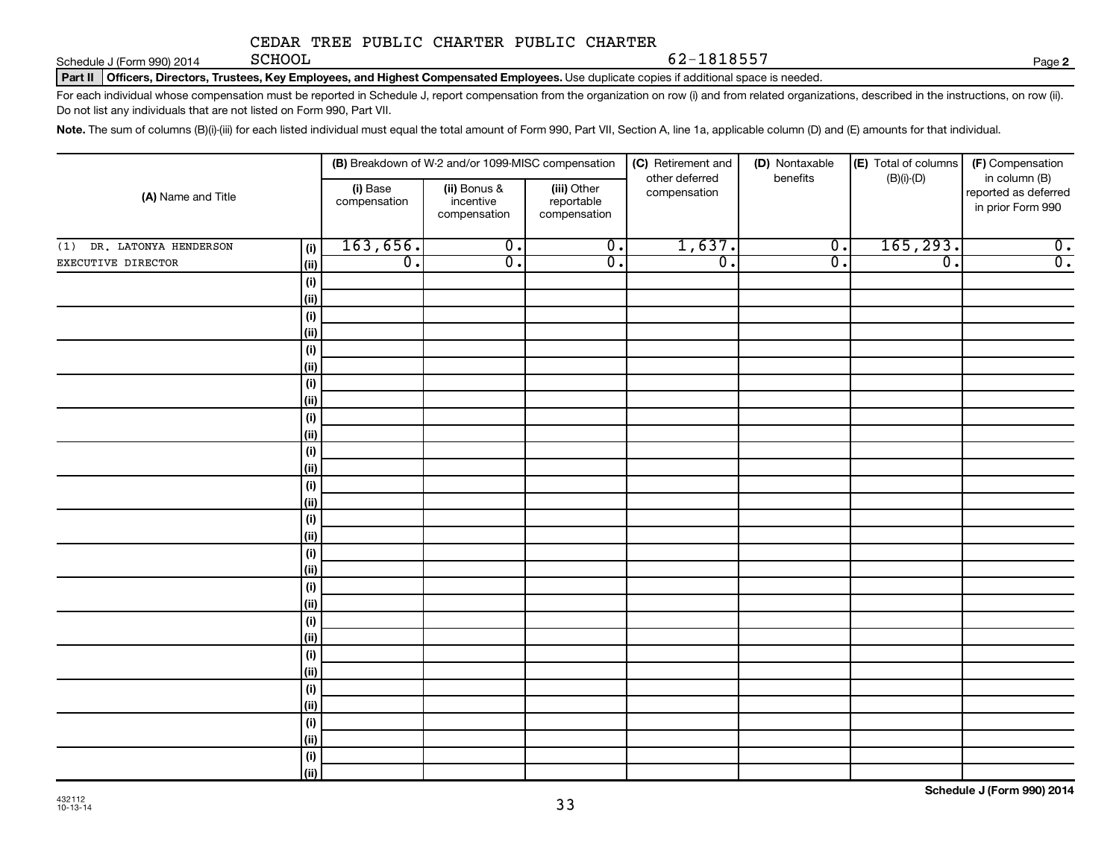Schedule J (Form 990) 2014 **Page SCHOOL** 

62-1818557

**2**

Part II | Officers, Directors, Trustees, Key Employees, and Highest Compensated Employees. Use duplicate copies if additional space is needed.

For each individual whose compensation must be reported in Schedule J, report compensation from the organization on row (i) and from related organizations, described in the instructions, on row (ii). Do not list any individuals that are not listed on Form 990, Part VII.

Note. The sum of columns (B)(i)-(iii) for each listed individual must equal the total amount of Form 990, Part VII, Section A, line 1a, applicable column (D) and (E) amounts for that individual.

| (A) Name and Title        |                     | (B) Breakdown of W-2 and/or 1099-MISC compensation |                                           |                                           | (C) Retirement and<br>(D) Nontaxable | (E) Total of columns | (F) Compensation |                                                            |
|---------------------------|---------------------|----------------------------------------------------|-------------------------------------------|-------------------------------------------|--------------------------------------|----------------------|------------------|------------------------------------------------------------|
|                           |                     | (i) Base<br>compensation                           | (ii) Bonus &<br>incentive<br>compensation | (iii) Other<br>reportable<br>compensation | other deferred<br>compensation       | benefits             | $(B)(i)-(D)$     | in column (B)<br>reported as deferred<br>in prior Form 990 |
| (1) DR. LATONYA HENDERSON | (i)                 | 163,656.                                           | $\overline{0}$ .                          | $\overline{0}$ .                          | 1,637.                               | $\overline{0}$ .     | 165, 293.        | $\overline{0}$ .                                           |
| EXECUTIVE DIRECTOR        | (ii)                | $\overline{0}$ .                                   | σ.                                        | $\overline{0}$ .                          | $\overline{0}$ .                     | $\overline{0}$ .     | $\overline{0}$ . | $\overline{0}$ .                                           |
|                           | (i)                 |                                                    |                                           |                                           |                                      |                      |                  |                                                            |
|                           | (ii)                |                                                    |                                           |                                           |                                      |                      |                  |                                                            |
|                           | (i)                 |                                                    |                                           |                                           |                                      |                      |                  |                                                            |
|                           | (ii)                |                                                    |                                           |                                           |                                      |                      |                  |                                                            |
|                           | (i)                 |                                                    |                                           |                                           |                                      |                      |                  |                                                            |
|                           | (ii)                |                                                    |                                           |                                           |                                      |                      |                  |                                                            |
|                           | (i)                 |                                                    |                                           |                                           |                                      |                      |                  |                                                            |
|                           | (ii)                |                                                    |                                           |                                           |                                      |                      |                  |                                                            |
|                           | (i)                 |                                                    |                                           |                                           |                                      |                      |                  |                                                            |
|                           | (ii)                |                                                    |                                           |                                           |                                      |                      |                  |                                                            |
|                           | (i)                 |                                                    |                                           |                                           |                                      |                      |                  |                                                            |
|                           | (ii)                |                                                    |                                           |                                           |                                      |                      |                  |                                                            |
|                           | (i)                 |                                                    |                                           |                                           |                                      |                      |                  |                                                            |
|                           | (ii)                |                                                    |                                           |                                           |                                      |                      |                  |                                                            |
|                           | (i)                 |                                                    |                                           |                                           |                                      |                      |                  |                                                            |
|                           | $\vert$ (ii)        |                                                    |                                           |                                           |                                      |                      |                  |                                                            |
|                           | (i)                 |                                                    |                                           |                                           |                                      |                      |                  |                                                            |
|                           | $\vert$ (ii)        |                                                    |                                           |                                           |                                      |                      |                  |                                                            |
|                           | (i)                 |                                                    |                                           |                                           |                                      |                      |                  |                                                            |
|                           | $\vert$ (ii)        |                                                    |                                           |                                           |                                      |                      |                  |                                                            |
|                           | (i)                 |                                                    |                                           |                                           |                                      |                      |                  |                                                            |
|                           | $\vert$ (ii)        |                                                    |                                           |                                           |                                      |                      |                  |                                                            |
|                           | (i)                 |                                                    |                                           |                                           |                                      |                      |                  |                                                            |
|                           | $\vert$ (ii)        |                                                    |                                           |                                           |                                      |                      |                  |                                                            |
|                           | (i)                 |                                                    |                                           |                                           |                                      |                      |                  |                                                            |
|                           | $\vert$ (ii)        |                                                    |                                           |                                           |                                      |                      |                  |                                                            |
|                           | (i)<br>$\vert$ (ii) |                                                    |                                           |                                           |                                      |                      |                  |                                                            |
|                           | (i)                 |                                                    |                                           |                                           |                                      |                      |                  |                                                            |
|                           | (iii)               |                                                    |                                           |                                           |                                      |                      |                  |                                                            |
|                           |                     |                                                    |                                           |                                           |                                      |                      |                  |                                                            |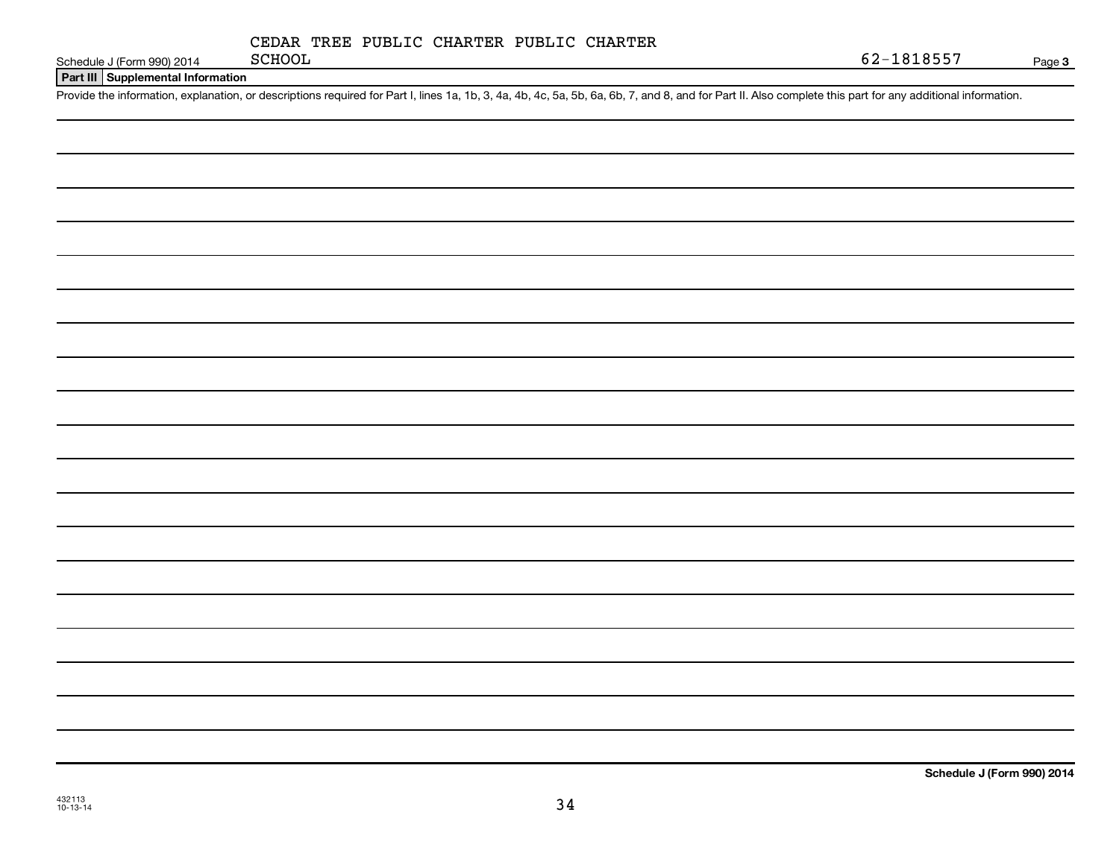|  | CEDAR TREE PUBLIC CHARTER PUBLIC CHARTER |  |
|--|------------------------------------------|--|
|  |                                          |  |

Schedule J (Form 990) 2014 SCHOOL

**Part III Supplemental Information**

Provide the information, explanation, or descriptions required for Part I, lines 1a, 1b, 3, 4a, 4b, 4c, 5a, 5b, 6a, 6b, 7, and 8, and for Part II. Also complete this part for any additional information.

432113 10-13-14

**Schedule J (Form 990) 2014**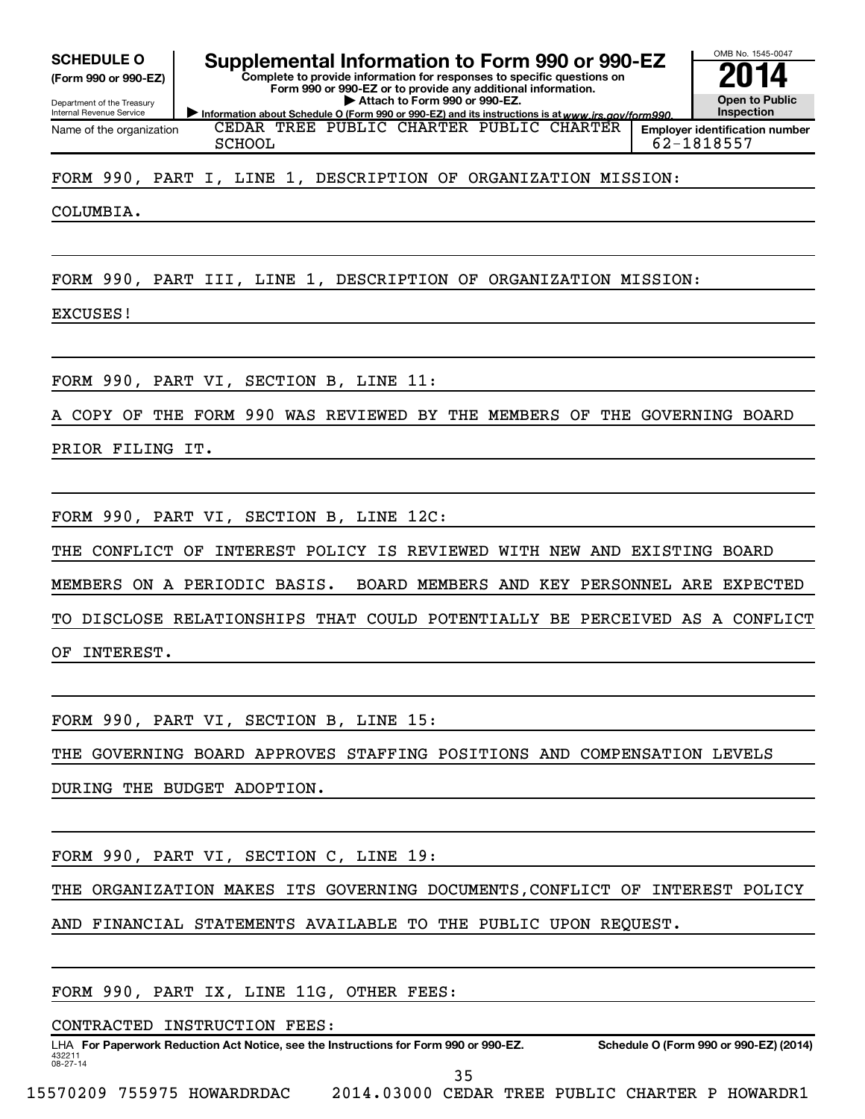**(Form 990 or 990-EZ)**

Department of the Treasury Internal Revenue Service Name of the organization

SCHEDULE O **Supplemental Information to Form 990 or 990-EZ 2014** 

Information about Schedule O (Form 990 or 990-EZ) and its instructions is at www.irs.gov/form990. **Complete to provide information for responses to specific questions on Form 990 or 990-EZ or to provide any additional information. | Attach to Form 990 or 990-EZ.**



CEDAR TREE PUBLIC CHARTER PUBLIC CHARTER SCHOOL 62-1818557

FORM 990, PART I, LINE 1, DESCRIPTION OF ORGANIZATION MISSION:

COLUMBIA.

FORM 990, PART III, LINE 1, DESCRIPTION OF ORGANIZATION MISSION:

EXCUSES!

FORM 990, PART VI, SECTION B, LINE 11:

COPY OF THE FORM 990 WAS REVIEWED BY THE MEMBERS OF THE GOVERNING BOARD

PRIOR FILING IT.

FORM 990, PART VI, SECTION B, LINE 12C:

THE CONFLICT OF INTEREST POLICY IS REVIEWED WITH NEW AND EXISTING BOARD

MEMBERS ON A PERIODIC BASIS. BOARD MEMBERS AND KEY PERSONNEL ARE EXPECTED

TO DISCLOSE RELATIONSHIPS THAT COULD POTENTIALLY BE PERCEIVED AS A CONFLICT

OF INTEREST.

FORM 990, PART VI, SECTION B, LINE 15:

THE GOVERNING BOARD APPROVES STAFFING POSITIONS AND COMPENSATION LEVELS

DURING THE BUDGET ADOPTION.

FORM 990, PART VI, SECTION C, LINE 19:

THE ORGANIZATION MAKES ITS GOVERNING DOCUMENTS,CONFLICT OF INTEREST POLICY

AND FINANCIAL STATEMENTS AVAILABLE TO THE PUBLIC UPON REQUEST.

FORM 990, PART IX, LINE 11G, OTHER FEES:

CONTRACTED INSTRUCTION FEES:

432211 08-27-14 LHA For Paperwork Reduction Act Notice, see the Instructions for Form 990 or 990-EZ. Schedule O (Form 990 or 990-EZ) (2014) 35